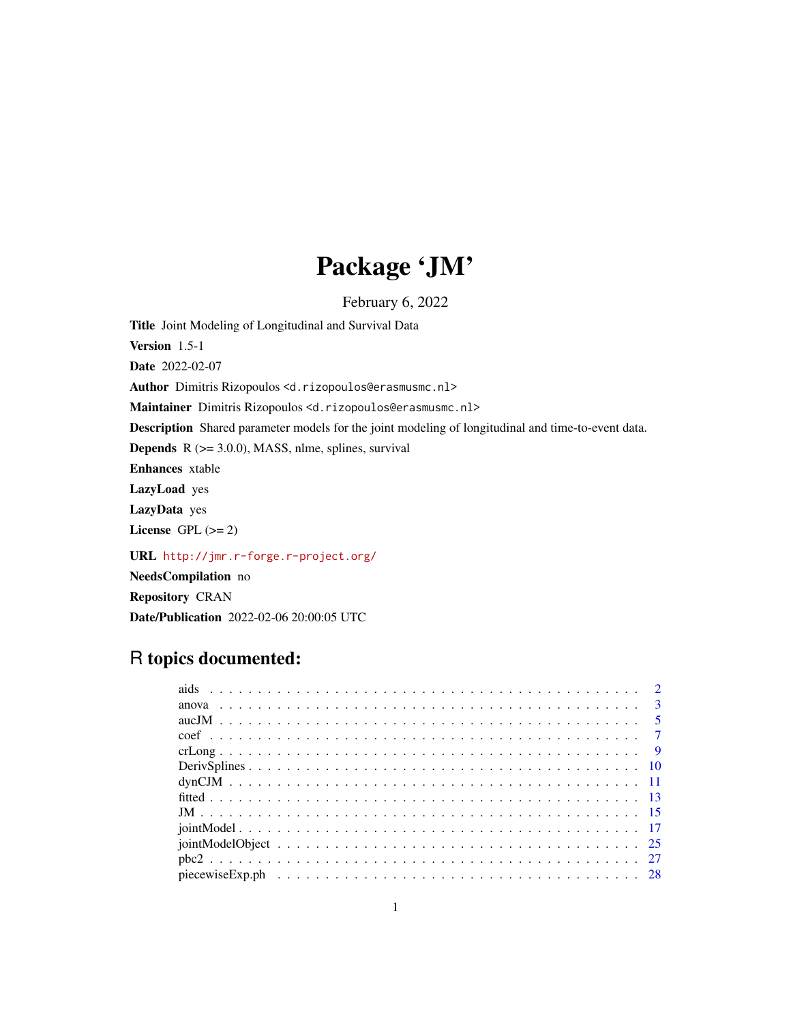# Package 'JM'

February 6, 2022

Title Joint Modeling of Longitudinal and Survival Data

Version 1.5-1

Date 2022-02-07

Author Dimitris Rizopoulos <d.rizopoulos@erasmusmc.nl>

Maintainer Dimitris Rizopoulos <d.rizopoulos@erasmusmc.nl>

Description Shared parameter models for the joint modeling of longitudinal and time-to-event data.

**Depends**  $R$  ( $>= 3.0.0$ ), MASS, nlme, splines, survival

Enhances xtable

LazyLoad yes

LazyData yes

License GPL  $(>= 2)$ 

URL <http://jmr.r-forge.r-project.org/>

NeedsCompilation no

Repository CRAN

Date/Publication 2022-02-06 20:00:05 UTC

# R topics documented: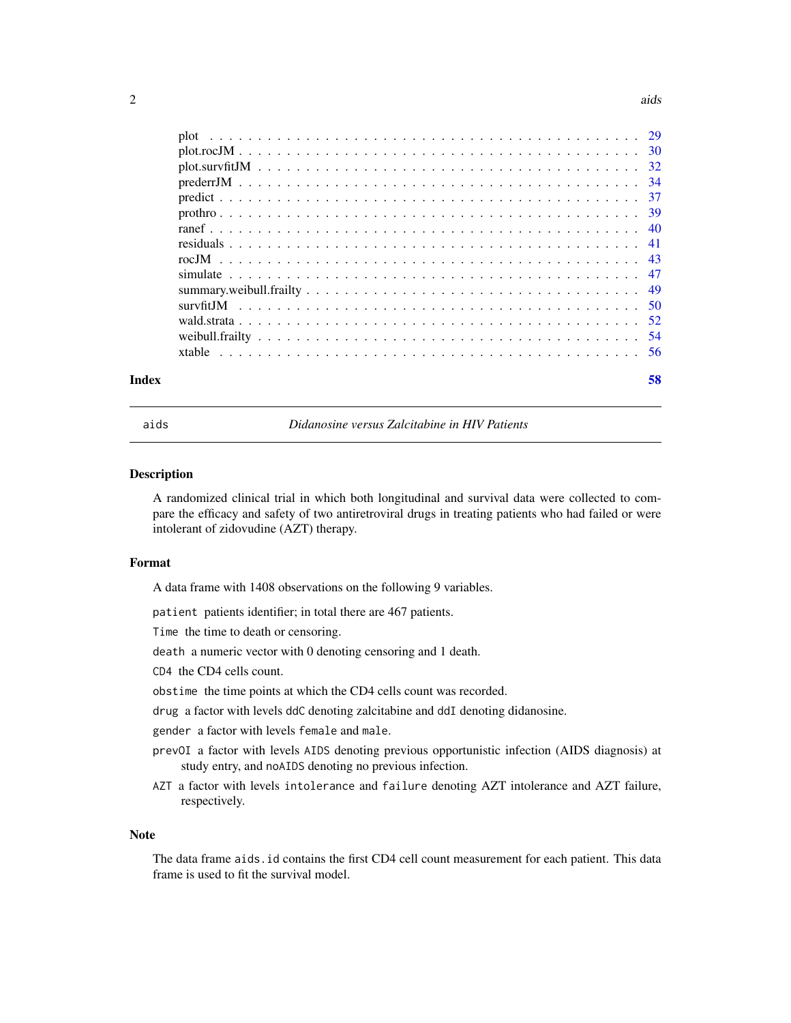#### <span id="page-1-0"></span> $2 \cos \theta$  and  $\sin \theta$  and  $\sin \theta$  and  $\sin \theta$  and  $\sin \theta$  and  $\sin \theta$  and  $\sin \theta$  and  $\sin \theta$  and  $\sin \theta$  and  $\sin \theta$  and  $\sin \theta$  and  $\sin \theta$  and  $\sin \theta$  and  $\sin \theta$  and  $\sin \theta$  and  $\sin \theta$  and  $\sin \theta$  and  $\sin \theta$  and  $\sin \theta$  and  $\sin \theta$  and

| Index |  |  |  |  |  |  |  |  |  |  |  |  |  | 58 |
|-------|--|--|--|--|--|--|--|--|--|--|--|--|--|----|

aids *Didanosine versus Zalcitabine in HIV Patients*

#### Description

A randomized clinical trial in which both longitudinal and survival data were collected to compare the efficacy and safety of two antiretroviral drugs in treating patients who had failed or were intolerant of zidovudine (AZT) therapy.

#### Format

A data frame with 1408 observations on the following 9 variables.

patient patients identifier; in total there are 467 patients.

Time the time to death or censoring.

death a numeric vector with 0 denoting censoring and 1 death.

CD4 the CD4 cells count.

obstime the time points at which the CD4 cells count was recorded.

drug a factor with levels ddC denoting zalcitabine and ddI denoting didanosine.

gender a factor with levels female and male.

- prevOI a factor with levels AIDS denoting previous opportunistic infection (AIDS diagnosis) at study entry, and noAIDS denoting no previous infection.
- AZT a factor with levels intolerance and failure denoting AZT intolerance and AZT failure, respectively.

#### Note

The data frame aids.id contains the first CD4 cell count measurement for each patient. This data frame is used to fit the survival model.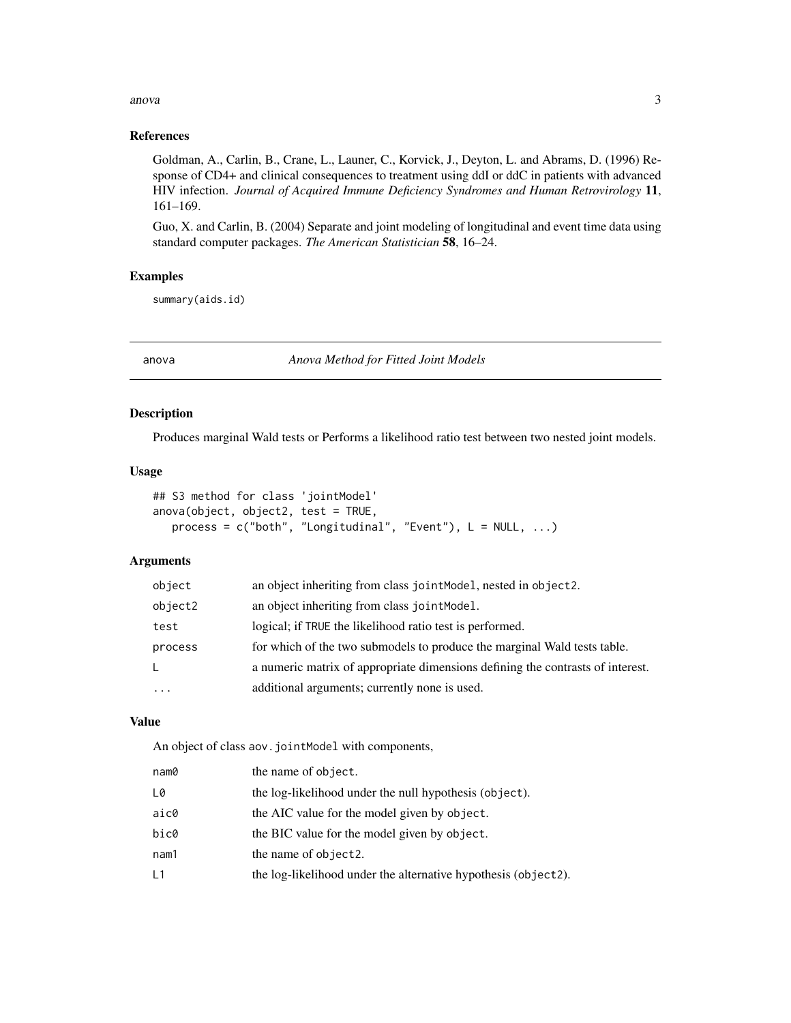#### <span id="page-2-0"></span>anova  $\sim$  3

### References

Goldman, A., Carlin, B., Crane, L., Launer, C., Korvick, J., Deyton, L. and Abrams, D. (1996) Response of CD4+ and clinical consequences to treatment using ddI or ddC in patients with advanced HIV infection. *Journal of Acquired Immune Deficiency Syndromes and Human Retrovirology* 11, 161–169.

Guo, X. and Carlin, B. (2004) Separate and joint modeling of longitudinal and event time data using standard computer packages. *The American Statistician* 58, 16–24.

# Examples

summary(aids.id)

anova *Anova Method for Fitted Joint Models*

# <span id="page-2-1"></span>Description

Produces marginal Wald tests or Performs a likelihood ratio test between two nested joint models.

#### Usage

```
## S3 method for class 'jointModel'
anova(object, object2, test = TRUE,
  process = c("both", "Longitudinal", "Event"), L = NULL, ...)
```
# Arguments

| object  | an object inheriting from class jointModel, nested in object2.                 |
|---------|--------------------------------------------------------------------------------|
| object2 | an object inheriting from class joint Model.                                   |
| test    | logical; if TRUE the likelihood ratio test is performed.                       |
| process | for which of the two submodels to produce the marginal Wald tests table.       |
| L       | a numeric matrix of appropriate dimensions defining the contrasts of interest. |
| $\cdot$ | additional arguments; currently none is used.                                  |

#### Value

An object of class aov.jointModel with components,

| nam0 | the name of object.                                            |
|------|----------------------------------------------------------------|
| L0   | the log-likelihood under the null hypothesis (object).         |
| aic0 | the AIC value for the model given by object.                   |
| bic0 | the BIC value for the model given by object.                   |
| nam1 | the name of object2.                                           |
| L1   | the log-likelihood under the alternative hypothesis (object2). |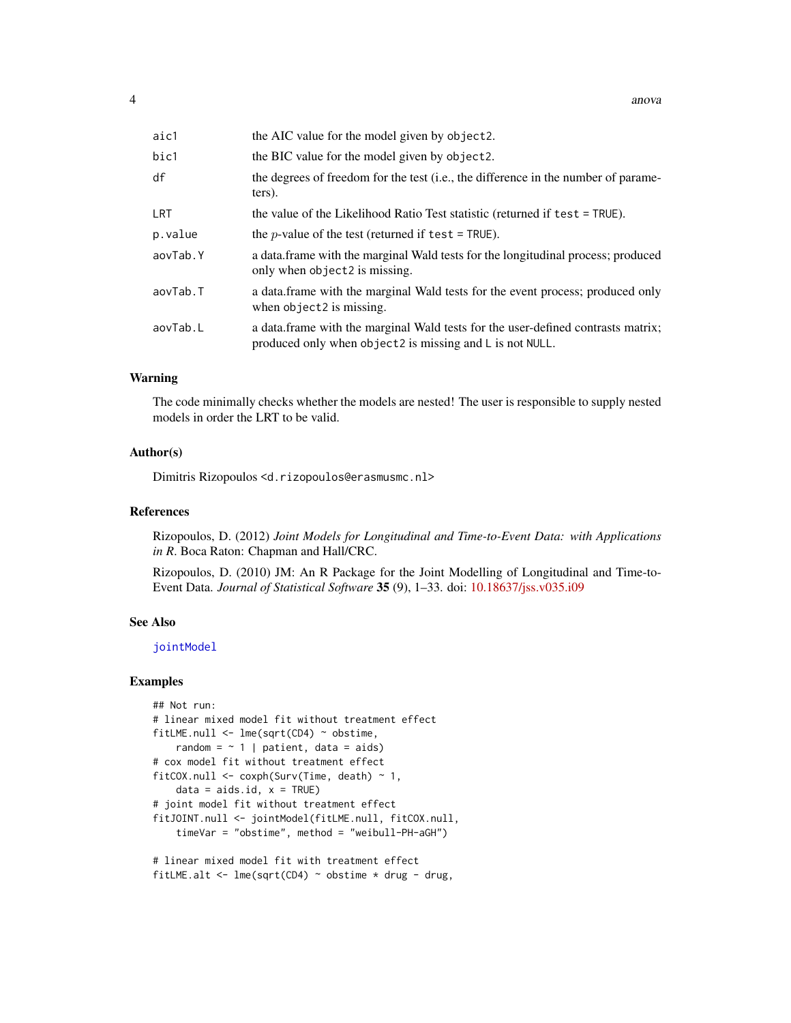<span id="page-3-0"></span>

| aic1       | the AIC value for the model given by object2.                                                                                                |
|------------|----------------------------------------------------------------------------------------------------------------------------------------------|
| bic1       | the BIC value for the model given by object2.                                                                                                |
| df         | the degrees of freedom for the test (i.e., the difference in the number of parame-<br>ters).                                                 |
| <b>LRT</b> | the value of the Likelihood Ratio Test statistic (returned if test = TRUE).                                                                  |
| p.value    | the <i>p</i> -value of the test (returned if test = TRUE).                                                                                   |
| aovTab.Y   | a data frame with the marginal Wald tests for the longitudinal process; produced<br>only when object2 is missing.                            |
| aovTab.T   | a data frame with the marginal Wald tests for the event process; produced only<br>when object2 is missing.                                   |
| aovTab.L   | a data frame with the marginal Wald tests for the user-defined contrasts matrix;<br>produced only when object2 is missing and L is not NULL. |

#### Warning

The code minimally checks whether the models are nested! The user is responsible to supply nested models in order the LRT to be valid.

#### Author(s)

Dimitris Rizopoulos <d.rizopoulos@erasmusmc.nl>

### References

Rizopoulos, D. (2012) *Joint Models for Longitudinal and Time-to-Event Data: with Applications in R*. Boca Raton: Chapman and Hall/CRC.

Rizopoulos, D. (2010) JM: An R Package for the Joint Modelling of Longitudinal and Time-to-Event Data. *Journal of Statistical Software* 35 (9), 1–33. doi: [10.18637/jss.v035.i09](https://doi.org/10.18637/jss.v035.i09)

### See Also

[jointModel](#page-16-1)

```
## Not run:
# linear mixed model fit without treatment effect
fitLME.null \leq lme(sqrt(CD4) \sim obstime,
   random = \sim 1 | patient, data = aids)
# cox model fit without treatment effect
fitCOX.null <- coxph(Surv(Time, death) ~ 1,
    data = aids.id, x = TRUE)# joint model fit without treatment effect
fitJOINT.null <- jointModel(fitLME.null, fitCOX.null,
    timeVar = "obstime", method = "weibull-PH-aGH")
# linear mixed model fit with treatment effect
fitLME.alt <- lmc(sqrt(CD4) \sim obstime * drug - drug,
```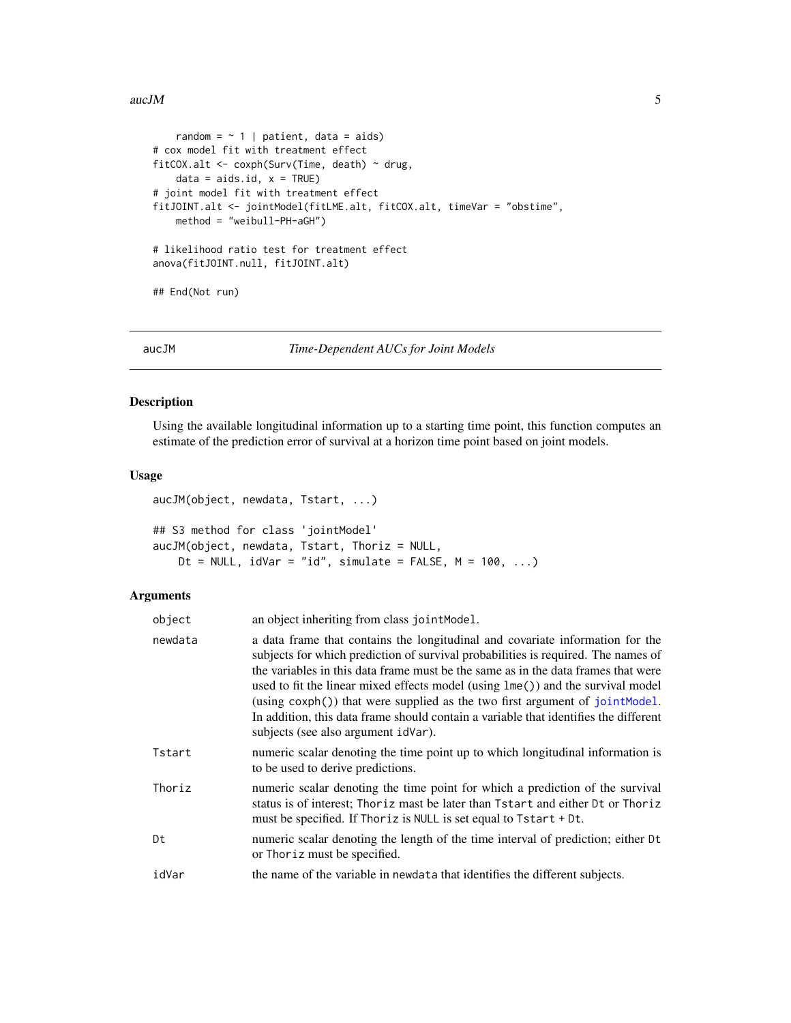#### <span id="page-4-0"></span> $aucJM$  5

```
random = \sim 1 | patient, data = aids)
# cox model fit with treatment effect
fitCOX.alt <- coxph(Surv(Time, death) ~ drug,
    data = aids.id, x = TRUE)# joint model fit with treatment effect
fitJOINT.alt <- jointModel(fitLME.alt, fitCOX.alt, timeVar = "obstime",
   method = "weibull-PH-aGH")
# likelihood ratio test for treatment effect
anova(fitJOINT.null, fitJOINT.alt)
## End(Not run)
```

```
aucJM Time-Dependent AUCs for Joint Models
```
#### Description

Using the available longitudinal information up to a starting time point, this function computes an estimate of the prediction error of survival at a horizon time point based on joint models.

# Usage

```
aucJM(object, newdata, Tstart, ...)
## S3 method for class 'jointModel'
aucJM(object, newdata, Tstart, Thoriz = NULL,
   Dt = NULL, idVar = "id", simulate = FALSE, M = 100, ...)
```
# Arguments

| object  | an object inheriting from class jointModel.                                                                                                                                                                                                                                                                                                                                                                                                                                                                                                                  |
|---------|--------------------------------------------------------------------------------------------------------------------------------------------------------------------------------------------------------------------------------------------------------------------------------------------------------------------------------------------------------------------------------------------------------------------------------------------------------------------------------------------------------------------------------------------------------------|
| newdata | a data frame that contains the longitudinal and covariate information for the<br>subjects for which prediction of survival probabilities is required. The names of<br>the variables in this data frame must be the same as in the data frames that were<br>used to fit the linear mixed effects model (using lme()) and the survival model<br>$(using \cosh() )$ that were supplied as the two first argument of joint Model.<br>In addition, this data frame should contain a variable that identifies the different<br>subjects (see also argument idVar). |
| Tstart  | numeric scalar denoting the time point up to which longitudinal information is<br>to be used to derive predictions.                                                                                                                                                                                                                                                                                                                                                                                                                                          |
| Thoriz  | numeric scalar denoting the time point for which a prediction of the survival<br>status is of interest; Thoriz mast be later than Tstart and either Dt or Thoriz<br>must be specified. If Thoriz is NULL is set equal to Tstart + Dt.                                                                                                                                                                                                                                                                                                                        |
| Dt      | numeric scalar denoting the length of the time interval of prediction; either Dt<br>or Thoriz must be specified.                                                                                                                                                                                                                                                                                                                                                                                                                                             |
| idVar   | the name of the variable in newdata that identifies the different subjects.                                                                                                                                                                                                                                                                                                                                                                                                                                                                                  |
|         |                                                                                                                                                                                                                                                                                                                                                                                                                                                                                                                                                              |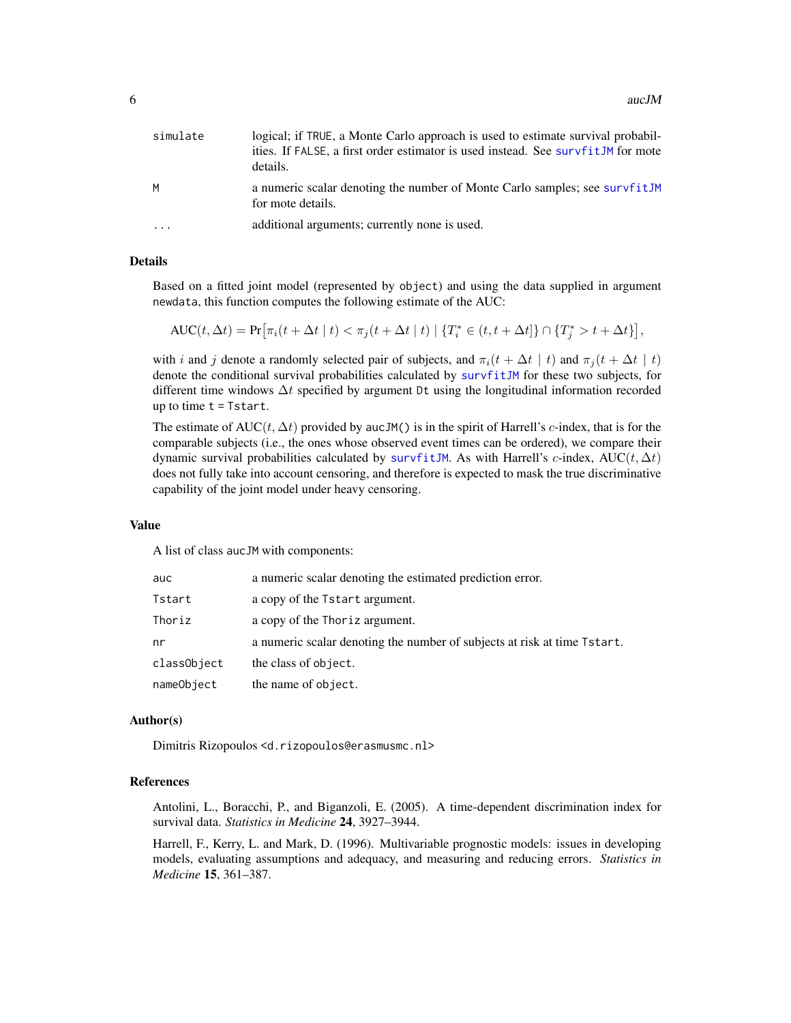<span id="page-5-0"></span>

| simulate                | logical; if TRUE, a Monte Carlo approach is used to estimate survival probabil-<br>ities. If FALSE, a first order estimator is used instead. See survfitJM for mote<br>details. |
|-------------------------|---------------------------------------------------------------------------------------------------------------------------------------------------------------------------------|
| M                       | a numeric scalar denoting the number of Monte Carlo samples; see survfitJM<br>for mote details.                                                                                 |
| $\cdot$ $\cdot$ $\cdot$ | additional arguments; currently none is used.                                                                                                                                   |

#### Details

Based on a fitted joint model (represented by object) and using the data supplied in argument newdata, this function computes the following estimate of the AUC:

 $\text{AUC}(t, \Delta t) = \Pr[\pi_i(t + \Delta t \mid t) < \pi_j(t + \Delta t \mid t) \mid \{T_i^* \in (t, t + \Delta t]\} \cap \{T_j^* > t + \Delta t\}],$ 

with i and j denote a randomly selected pair of subjects, and  $\pi_i(t + \Delta t \mid t)$  and  $\pi_i(t + \Delta t \mid t)$ denote the conditional survival probabilities calculated by [survfitJM](#page-49-1) for these two subjects, for different time windows  $\Delta t$  specified by argument Dt using the longitudinal information recorded up to time  $t = Tstart$ .

The estimate of AUC(t,  $\Delta t$ ) provided by aucJM() is in the spirit of Harrell's c-index, that is for the comparable subjects (i.e., the ones whose observed event times can be ordered), we compare their dynamic survival probabilities calculated by [survfitJM](#page-49-1). As with Harrell's c-index, AUC(t,  $\Delta t$ ) does not fully take into account censoring, and therefore is expected to mask the true discriminative capability of the joint model under heavy censoring.

#### Value

A list of class aucJM with components:

| auc         | a numeric scalar denoting the estimated prediction error.                |
|-------------|--------------------------------------------------------------------------|
| Tstart      | a copy of the Tstart argument.                                           |
| Thoriz      | a copy of the Thoriz argument.                                           |
| nr          | a numeric scalar denoting the number of subjects at risk at time Tstart. |
| classObject | the class of object.                                                     |
| nameObject  | the name of object.                                                      |

#### Author(s)

Dimitris Rizopoulos <d.rizopoulos@erasmusmc.nl>

#### References

Antolini, L., Boracchi, P., and Biganzoli, E. (2005). A time-dependent discrimination index for survival data. *Statistics in Medicine* 24, 3927–3944.

Harrell, F., Kerry, L. and Mark, D. (1996). Multivariable prognostic models: issues in developing models, evaluating assumptions and adequacy, and measuring and reducing errors. *Statistics in Medicine* 15, 361–387.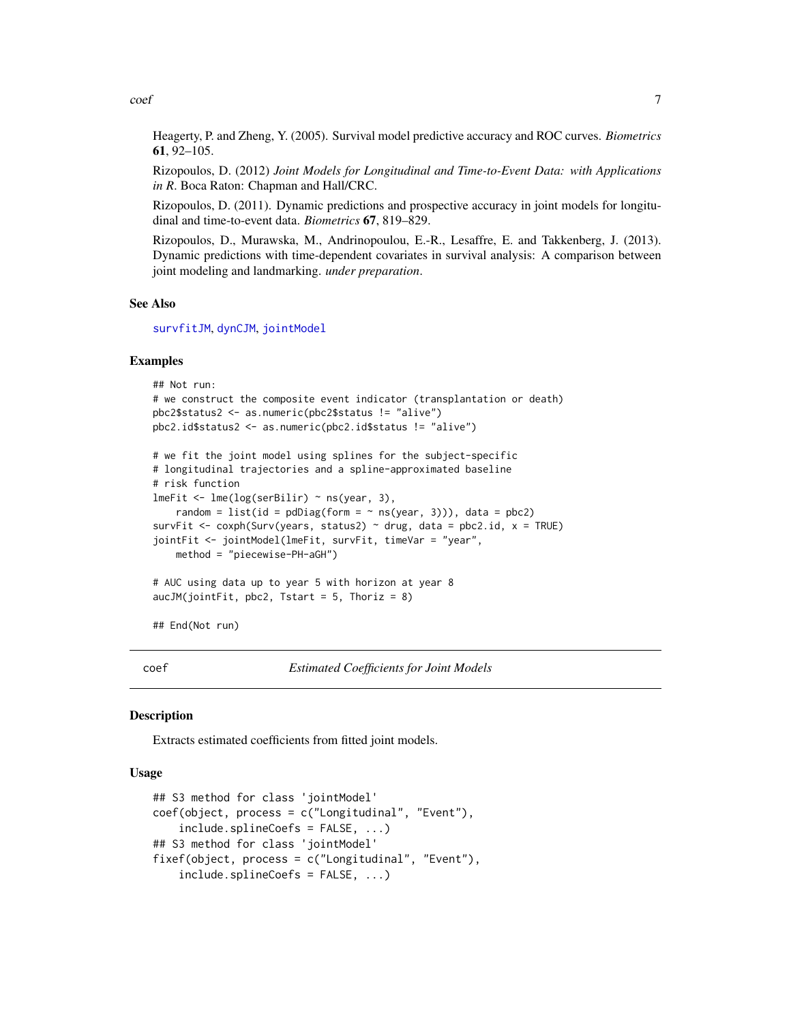<span id="page-6-0"></span> $\text{coeff}$  7

Heagerty, P. and Zheng, Y. (2005). Survival model predictive accuracy and ROC curves. *Biometrics* 61, 92–105.

Rizopoulos, D. (2012) *Joint Models for Longitudinal and Time-to-Event Data: with Applications in R*. Boca Raton: Chapman and Hall/CRC.

Rizopoulos, D. (2011). Dynamic predictions and prospective accuracy in joint models for longitudinal and time-to-event data. *Biometrics* 67, 819–829.

Rizopoulos, D., Murawska, M., Andrinopoulou, E.-R., Lesaffre, E. and Takkenberg, J. (2013). Dynamic predictions with time-dependent covariates in survival analysis: A comparison between joint modeling and landmarking. *under preparation*.

#### See Also

[survfitJM](#page-49-1), [dynCJM](#page-10-1), [jointModel](#page-16-1)

#### Examples

```
## Not run:
# we construct the composite event indicator (transplantation or death)
pbc2$status2 <- as.numeric(pbc2$status != "alive")
pbc2.id$status2 <- as.numeric(pbc2.id$status != "alive")
# we fit the joint model using splines for the subject-specific
# longitudinal trajectories and a spline-approximated baseline
# risk function
lmeFit <- lme(log(serBilir) ~ ns(year, 3),
    random = list(id = pdDiag(form = \sim ns(year, 3))), data = pbc2)
survFit <- coxph(Surv(years, status2) \sim drug, data = pbc2.id, x = TRUE)
jointFit <- jointModel(lmeFit, survFit, timeVar = "year",
   method = "piecewise-PH-aGH")
# AUC using data up to year 5 with horizon at year 8
aucJM(jointFit, pbc2, Tstart = 5, Thoriz = 8)
## End(Not run)
```
coef *Estimated Coefficients for Joint Models*

#### <span id="page-6-1"></span>**Description**

Extracts estimated coefficients from fitted joint models.

#### Usage

```
## S3 method for class 'jointModel'
coef(object, process = c("Longitudinal", "Event"),
    include.splineCoefs = FALSE, ...)
## S3 method for class 'jointModel'
fixef(object, process = c("Longitudinal", "Event"),
    include.splineCoefs = FALSE, ...)
```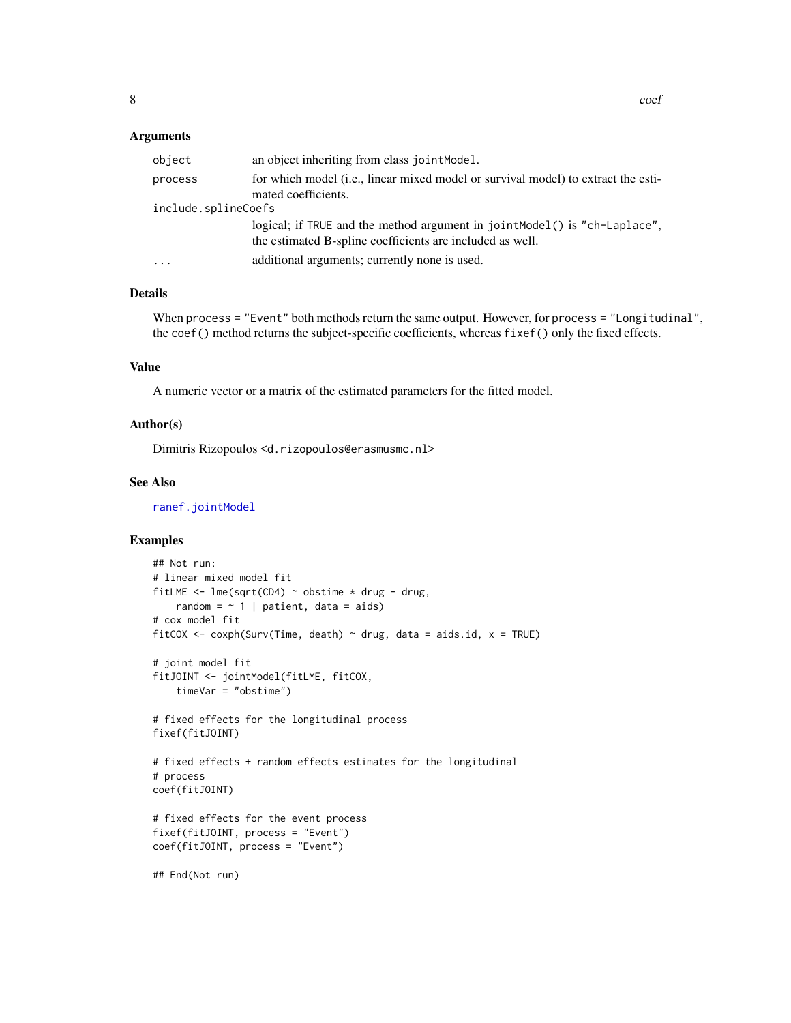#### <span id="page-7-0"></span>Arguments

| object              | an object inheriting from class joint Model.                                                                                           |
|---------------------|----------------------------------------------------------------------------------------------------------------------------------------|
| process             | for which model (i.e., linear mixed model or survival model) to extract the esti-<br>mated coefficients.                               |
| include.splineCoefs |                                                                                                                                        |
|                     | logical; if TRUE and the method argument in jointModel() is "ch-Laplace",<br>the estimated B-spline coefficients are included as well. |
| .                   | additional arguments; currently none is used.                                                                                          |
|                     |                                                                                                                                        |

#### Details

When process = "Event" both methods return the same output. However, for process = "Longitudinal", the coef() method returns the subject-specific coefficients, whereas fixef() only the fixed effects.

# Value

A numeric vector or a matrix of the estimated parameters for the fitted model.

#### Author(s)

Dimitris Rizopoulos <d.rizopoulos@erasmusmc.nl>

# See Also

[ranef.jointModel](#page-39-1)

```
## Not run:
# linear mixed model fit
fitLME <- lme(sqrt(CD4) \sim obstime \times drug - drug,random = \sim 1 | patient, data = aids)
# cox model fit
fitCOX <- coxph(Surv(Time, death) \sim drug, data = aids.id, x = TRUE)
# joint model fit
fitJOINT <- jointModel(fitLME, fitCOX,
    timeVar = "obstime")
# fixed effects for the longitudinal process
fixef(fitJOINT)
# fixed effects + random effects estimates for the longitudinal
# process
coef(fitJOINT)
# fixed effects for the event process
fixef(fitJOINT, process = "Event")
coef(fitJOINT, process = "Event")
## End(Not run)
```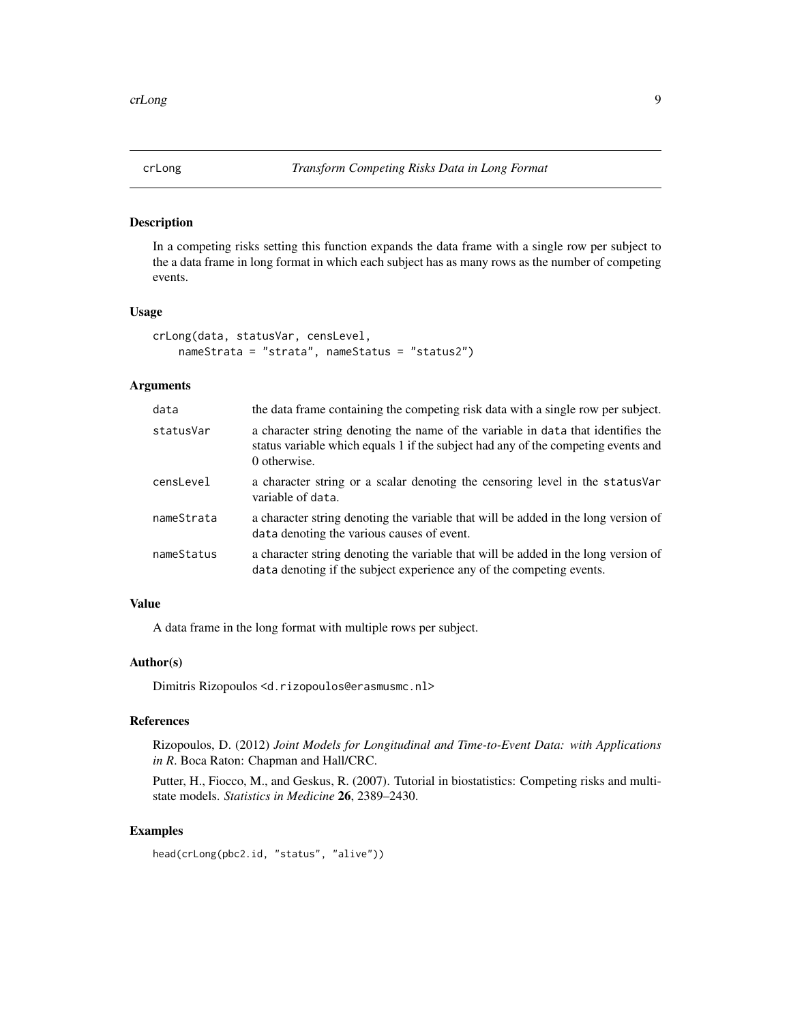<span id="page-8-0"></span>

In a competing risks setting this function expands the data frame with a single row per subject to the a data frame in long format in which each subject has as many rows as the number of competing events.

### Usage

```
crLong(data, statusVar, censLevel,
   nameStrata = "strata", nameStatus = "status2")
```
#### Arguments

| data       | the data frame containing the competing risk data with a single row per subject.                                                                                                      |
|------------|---------------------------------------------------------------------------------------------------------------------------------------------------------------------------------------|
| statusVar  | a character string denoting the name of the variable in data that identifies the<br>status variable which equals 1 if the subject had any of the competing events and<br>0 otherwise. |
| censLevel  | a character string or a scalar denoting the censoring level in the status Var<br>variable of data.                                                                                    |
| nameStrata | a character string denoting the variable that will be added in the long version of<br>data denoting the various causes of event.                                                      |
| nameStatus | a character string denoting the variable that will be added in the long version of<br>data denoting if the subject experience any of the competing events.                            |

# Value

A data frame in the long format with multiple rows per subject.

# Author(s)

Dimitris Rizopoulos <d.rizopoulos@erasmusmc.nl>

# References

Rizopoulos, D. (2012) *Joint Models for Longitudinal and Time-to-Event Data: with Applications in R*. Boca Raton: Chapman and Hall/CRC.

Putter, H., Fiocco, M., and Geskus, R. (2007). Tutorial in biostatistics: Competing risks and multistate models. *Statistics in Medicine* 26, 2389–2430.

```
head(crLong(pbc2.id, "status", "alive"))
```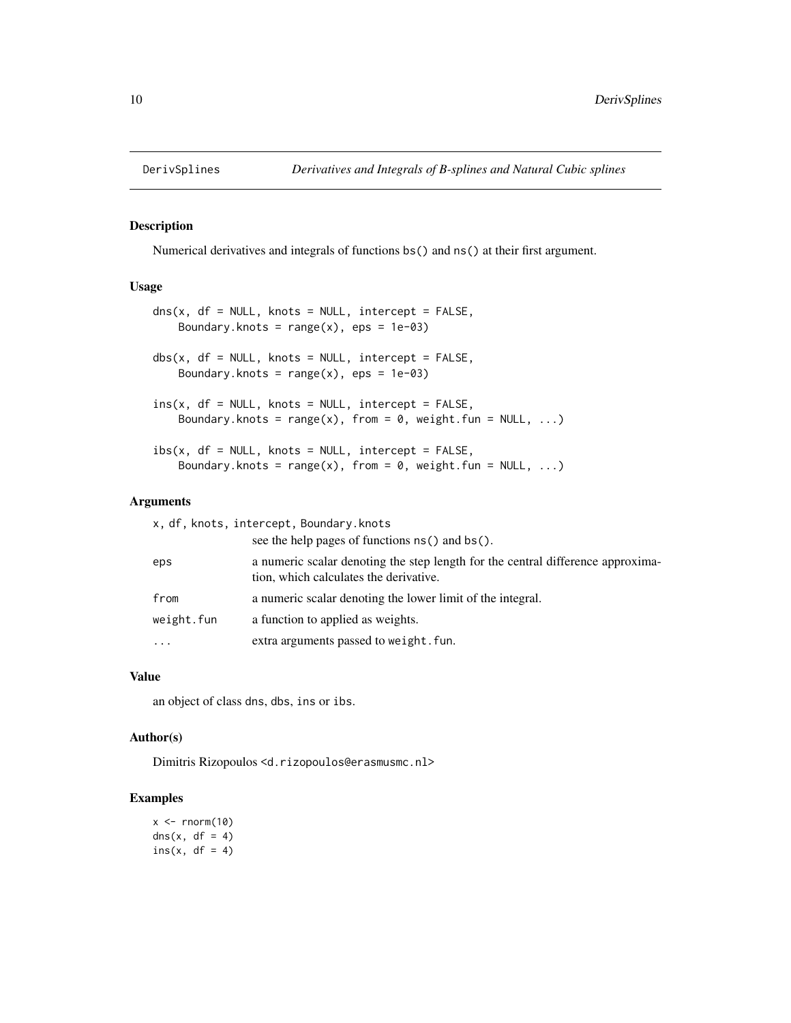<span id="page-9-0"></span>

Numerical derivatives and integrals of functions bs() and ns() at their first argument.

#### Usage

```
dns(x, df = NULL, knots = NULL, intercept = FALSE,Boundary.knots = range(x), eps = 1e-03)
dbs(x, df = NULL, knots = NULL, intercept = FALSE,Boundary.knots = range(x), eps = 1e-03)
ins(x, df = NULL, knots = NULL, intercept = FALSE,Boundary.knots = range(x), from = 0, weight.fun = NULL, ...)
ibs(x, df = NULL, knots = NULL, intercept = FALSE,Boundary.knots = range(x), from = 0, weight.fun = NULL, ...)
```
#### Arguments

| x, df, knots, intercept, Boundary.knots |                                                                                                                           |  |  |  |  |  |
|-----------------------------------------|---------------------------------------------------------------------------------------------------------------------------|--|--|--|--|--|
|                                         | see the help pages of functions ns() and bs().                                                                            |  |  |  |  |  |
| eps                                     | a numeric scalar denoting the step length for the central difference approxima-<br>tion, which calculates the derivative. |  |  |  |  |  |
| from                                    | a numeric scalar denoting the lower limit of the integral.                                                                |  |  |  |  |  |
| weight.fun                              | a function to applied as weights.                                                                                         |  |  |  |  |  |
|                                         | extra arguments passed to weight. fun.                                                                                    |  |  |  |  |  |
|                                         |                                                                                                                           |  |  |  |  |  |

# Value

an object of class dns, dbs, ins or ibs.

#### Author(s)

Dimitris Rizopoulos <d.rizopoulos@erasmusmc.nl>

```
x \le - rnorm(10)
\text{dns}(x, df = 4)ins(x, df = 4)
```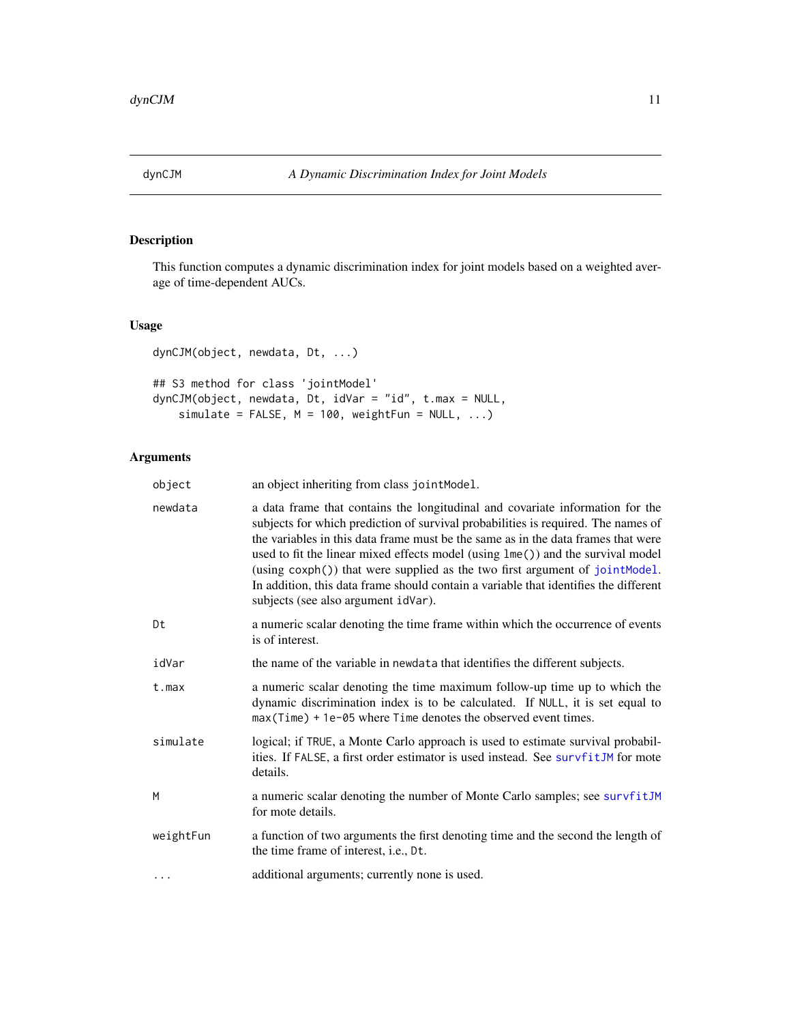<span id="page-10-1"></span><span id="page-10-0"></span>

This function computes a dynamic discrimination index for joint models based on a weighted average of time-dependent AUCs.

# Usage

dynCJM(object, newdata, Dt, ...)

```
## S3 method for class 'jointModel'
dynCJM(object, newdata, Dt, idVar = "id", t.max = NULL,
    simulate = FALSE, M = 100, weightFun = NULL, ...
```
# Arguments

| object    | an object inheriting from class jointModel.                                                                                                                                                                                                                                                                                                                                                                                                                                                                                                              |
|-----------|----------------------------------------------------------------------------------------------------------------------------------------------------------------------------------------------------------------------------------------------------------------------------------------------------------------------------------------------------------------------------------------------------------------------------------------------------------------------------------------------------------------------------------------------------------|
| newdata   | a data frame that contains the longitudinal and covariate information for the<br>subjects for which prediction of survival probabilities is required. The names of<br>the variables in this data frame must be the same as in the data frames that were<br>used to fit the linear mixed effects model (using lme()) and the survival model<br>(using coxph()) that were supplied as the two first argument of jointModel.<br>In addition, this data frame should contain a variable that identifies the different<br>subjects (see also argument idVar). |
| Dt        | a numeric scalar denoting the time frame within which the occurrence of events<br>is of interest.                                                                                                                                                                                                                                                                                                                                                                                                                                                        |
| idVar     | the name of the variable in newdata that identifies the different subjects.                                                                                                                                                                                                                                                                                                                                                                                                                                                                              |
| $t$ . max | a numeric scalar denoting the time maximum follow-up time up to which the<br>dynamic discrimination index is to be calculated. If NULL, it is set equal to<br>max (Time) + 1e-05 where Time denotes the observed event times.                                                                                                                                                                                                                                                                                                                            |
| simulate  | logical; if TRUE, a Monte Carlo approach is used to estimate survival probabil-<br>ities. If FALSE, a first order estimator is used instead. See survfitJM for mote<br>details.                                                                                                                                                                                                                                                                                                                                                                          |
| M         | a numeric scalar denoting the number of Monte Carlo samples; see survfitJM<br>for mote details.                                                                                                                                                                                                                                                                                                                                                                                                                                                          |
| weightFun | a function of two arguments the first denoting time and the second the length of<br>the time frame of interest, i.e., Dt.                                                                                                                                                                                                                                                                                                                                                                                                                                |
| $\cdots$  | additional arguments; currently none is used.                                                                                                                                                                                                                                                                                                                                                                                                                                                                                                            |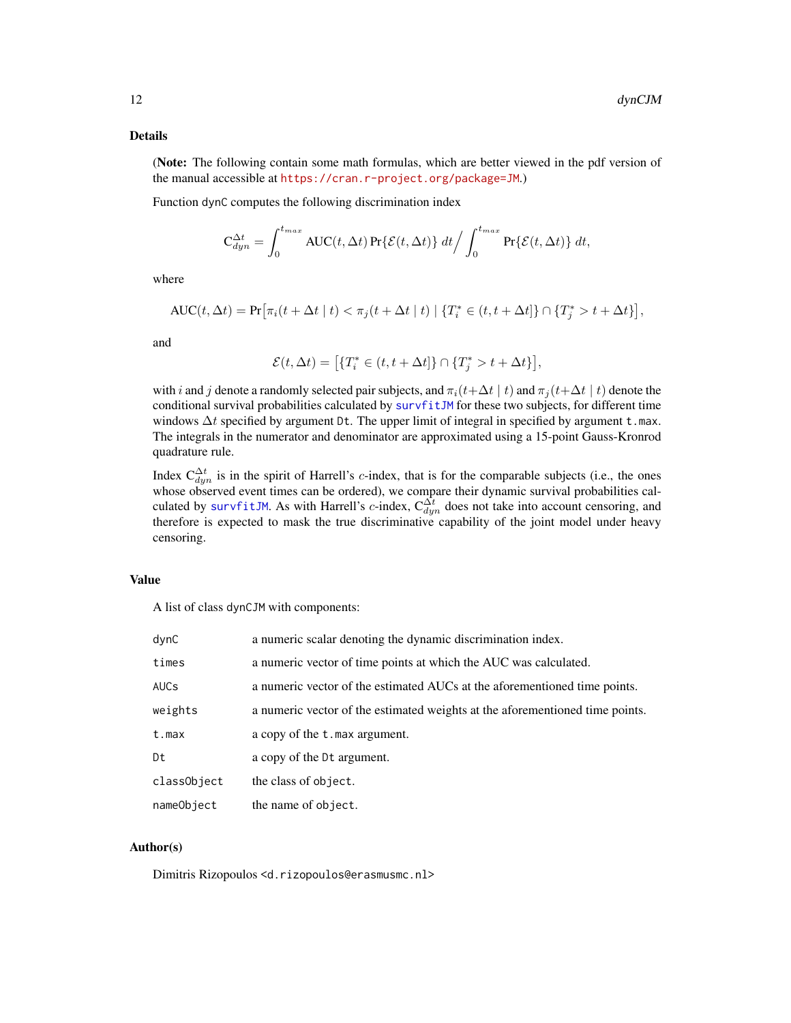# Details

(Note: The following contain some math formulas, which are better viewed in the pdf version of the manual accessible at <https://cran.r-project.org/package=JM>.)

Function dynC computes the following discrimination index

$$
\mathbf{C}_{dyn}^{\Delta t} = \int_0^{t_{max}} \text{AUC}(t, \Delta t) \Pr\{\mathcal{E}(t, \Delta t)\} dt / \int_0^{t_{max}} \Pr\{\mathcal{E}(t, \Delta t)\} dt,
$$

where

$$
AUC(t, \Delta t) = \Pr[\pi_i(t + \Delta t \mid t) < \pi_j(t + \Delta t \mid t) \mid \{T_i^* \in (t, t + \Delta t]\} \cap \{T_j^* > t + \Delta t\}],
$$

and

$$
\mathcal{E}(t,\Delta t) = \left[ \{T_i^* \in (t, t + \Delta t] \} \cap \{T_j^* > t + \Delta t \} \right],
$$

with i and j denote a randomly selected pair subjects, and  $\pi_i(t+\Delta t \mid t)$  and  $\pi_j(t+\Delta t \mid t)$  denote the conditional survival probabilities calculated by [survfitJM](#page-49-1) for these two subjects, for different time windows  $\Delta t$  specified by argument Dt. The upper limit of integral in specified by argument t.max. The integrals in the numerator and denominator are approximated using a 15-point Gauss-Kronrod quadrature rule.

Index  $C_{dyn}^{\Delta t}$  is in the spirit of Harrell's c-index, that is for the comparable subjects (i.e., the ones whose observed event times can be ordered), we compare their dynamic survival probabilities calculated by [survfitJM](#page-49-1). As with Harrell's c-index,  $C_{dyn}^{\Delta t}$  does not take into account censoring, and therefore is expected to mask the true discriminative capability of the joint model under heavy censoring.

# Value

A list of class dynCJM with components:

| dynC        | a numeric scalar denoting the dynamic discrimination index.                  |
|-------------|------------------------------------------------------------------------------|
| times       | a numeric vector of time points at which the AUC was calculated.             |
| <b>AUCs</b> | a numeric vector of the estimated AUCs at the aforementioned time points.    |
| weights     | a numeric vector of the estimated weights at the aforementioned time points. |
| t.max       | a copy of the t.max argument.                                                |
| Dt          | a copy of the Dt argument.                                                   |
| classObject | the class of object.                                                         |
| nameObject  | the name of object.                                                          |

### Author(s)

Dimitris Rizopoulos <d.rizopoulos@erasmusmc.nl>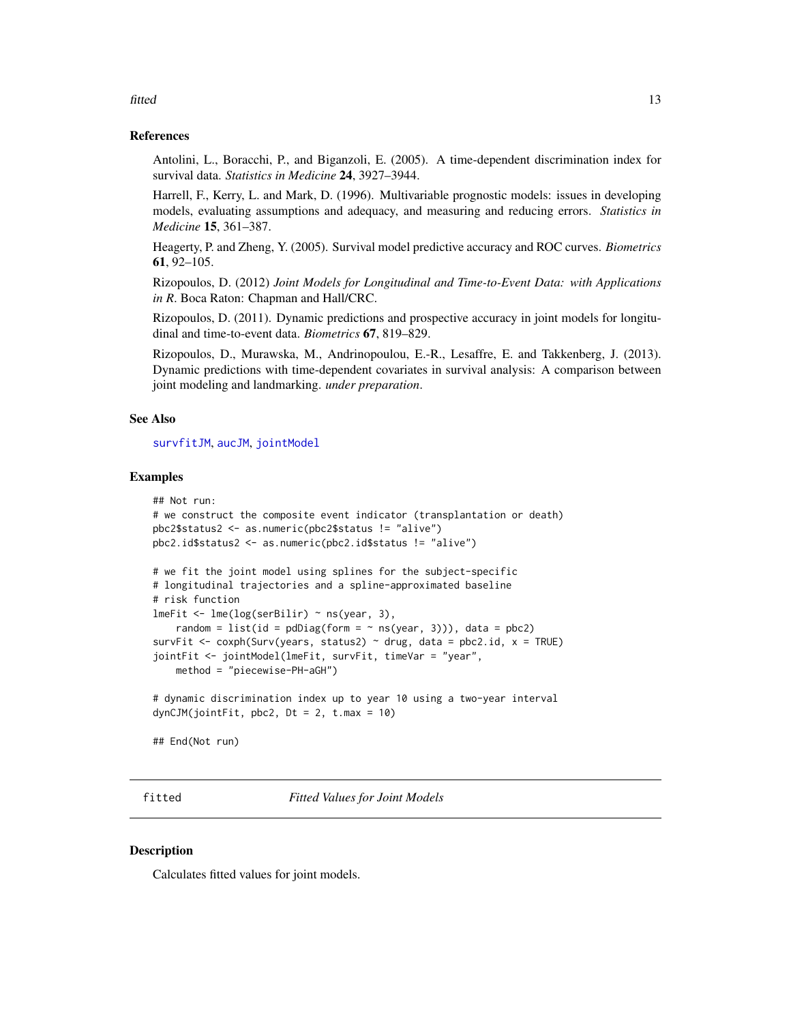#### <span id="page-12-0"></span>fitted the contract of the contract of the contract of the contract of the contract of the contract of the contract of the contract of the contract of the contract of the contract of the contract of the contract of the con

#### References

Antolini, L., Boracchi, P., and Biganzoli, E. (2005). A time-dependent discrimination index for survival data. *Statistics in Medicine* 24, 3927–3944.

Harrell, F., Kerry, L. and Mark, D. (1996). Multivariable prognostic models: issues in developing models, evaluating assumptions and adequacy, and measuring and reducing errors. *Statistics in Medicine* 15, 361–387.

Heagerty, P. and Zheng, Y. (2005). Survival model predictive accuracy and ROC curves. *Biometrics* 61, 92–105.

Rizopoulos, D. (2012) *Joint Models for Longitudinal and Time-to-Event Data: with Applications in R*. Boca Raton: Chapman and Hall/CRC.

Rizopoulos, D. (2011). Dynamic predictions and prospective accuracy in joint models for longitudinal and time-to-event data. *Biometrics* 67, 819–829.

Rizopoulos, D., Murawska, M., Andrinopoulou, E.-R., Lesaffre, E. and Takkenberg, J. (2013). Dynamic predictions with time-dependent covariates in survival analysis: A comparison between joint modeling and landmarking. *under preparation*.

#### See Also

[survfitJM](#page-49-1), [aucJM](#page-4-1), [jointModel](#page-16-1)

#### Examples

```
## Not run:
# we construct the composite event indicator (transplantation or death)
pbc2$status2 <- as.numeric(pbc2$status != "alive")
pbc2.id$status2 <- as.numeric(pbc2.id$status != "alive")
# we fit the joint model using splines for the subject-specific
# longitudinal trajectories and a spline-approximated baseline
# risk function
lmeFit <- lme(log(serBilir) ~ ns(year, 3),
    random = list(id = pdDiag(form = \sim ns(year, 3))), data = pbc2)
survFit <- coxph(Surv(years, status2) \sim drug, data = pbc2.id, x = TRUE)
jointFit <- jointModel(lmeFit, survFit, timeVar = "year",
    method = "piecewise-PH-aGH")
# dynamic discrimination index up to year 10 using a two-year interval
dynCJM(jointFit, pbc2, Dt = 2, t.max = 10)## End(Not run)
```
fitted *Fitted Values for Joint Models*

#### <span id="page-12-1"></span>**Description**

Calculates fitted values for joint models.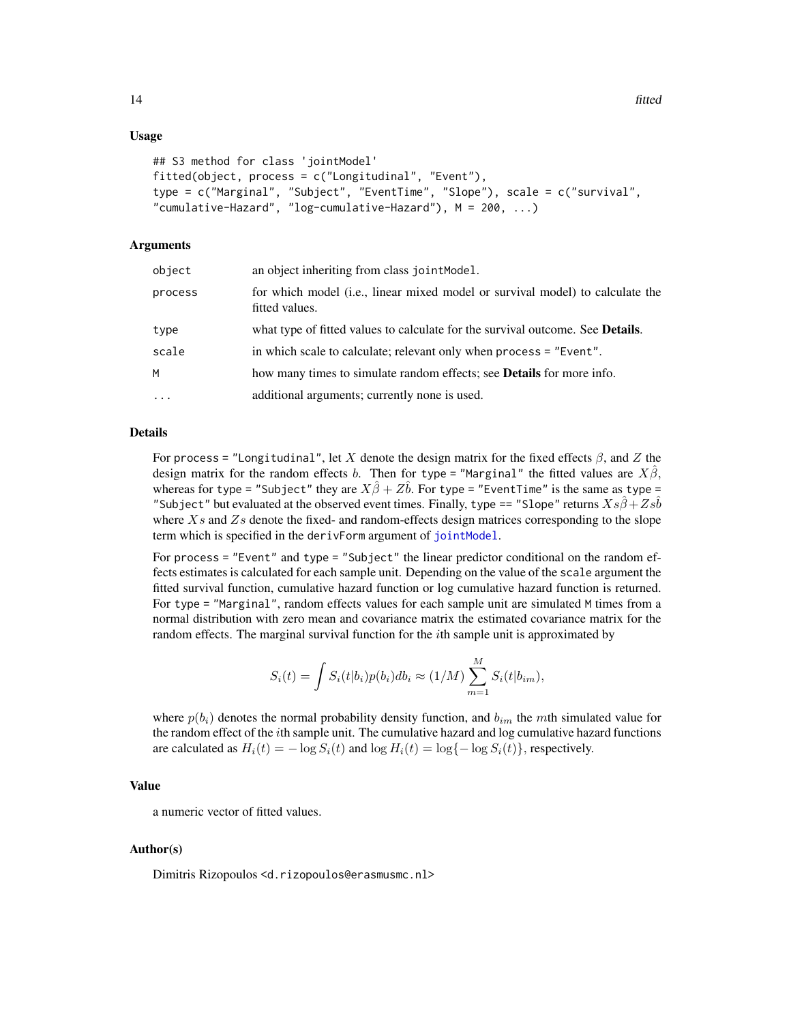### <span id="page-13-0"></span>Usage

```
## S3 method for class 'jointModel'
fitted(object, process = c("Longitudinal", "Event"),
type = c("Marginal", "Subject", "EventTime", "Slope"), scale = c("survival",
"cumulative-Hazard", "log-cumulative-Hazard"), M = 200, ...)
```
#### Arguments

| object  | an object inheriting from class joint Model.                                                    |
|---------|-------------------------------------------------------------------------------------------------|
| process | for which model (i.e., linear mixed model or survival model) to calculate the<br>fitted values. |
| type    | what type of fitted values to calculate for the survival outcome. See <b>Details</b> .          |
| scale   | in which scale to calculate; relevant only when process = "Event".                              |
| м       | how many times to simulate random effects; see <b>Details</b> for more info.                    |
| .       | additional arguments; currently none is used.                                                   |
|         |                                                                                                 |

#### Details

For process = "Longitudinal", let X denote the design matrix for the fixed effects  $\beta$ , and Z the design matrix for the random effects b. Then for type = "Marginal" the fitted values are  $X\beta$ , whereas for type = "Subject" they are  $X\hat{\beta} + Z\hat{b}$ . For type = "EventTime" is the same as type = "Subject" but evaluated at the observed event times. Finally, type == "Slope" returns  $Xs\beta + Zs\bar{b}$ where  $X_s$  and  $Z_s$  denote the fixed- and random-effects design matrices corresponding to the slope term which is specified in the derivForm argument of [jointModel](#page-16-1).

For process = "Event" and type = "Subject" the linear predictor conditional on the random effects estimates is calculated for each sample unit. Depending on the value of the scale argument the fitted survival function, cumulative hazard function or log cumulative hazard function is returned. For type = "Marginal", random effects values for each sample unit are simulated M times from a normal distribution with zero mean and covariance matrix the estimated covariance matrix for the random effects. The marginal survival function for the ith sample unit is approximated by

$$
S_i(t) = \int S_i(t|b_i)p(b_i)db_i \approx (1/M)\sum_{m=1}^{M} S_i(t|b_{im}),
$$

where  $p(b_i)$  denotes the normal probability density function, and  $b_{im}$  the mth simulated value for the random effect of the *i*th sample unit. The cumulative hazard and log cumulative hazard functions are calculated as  $H_i(t) = -\log S_i(t)$  and  $\log H_i(t) = \log\{-\log S_i(t)\}\$ , respectively.

# Value

a numeric vector of fitted values.

#### Author(s)

Dimitris Rizopoulos <d.rizopoulos@erasmusmc.nl>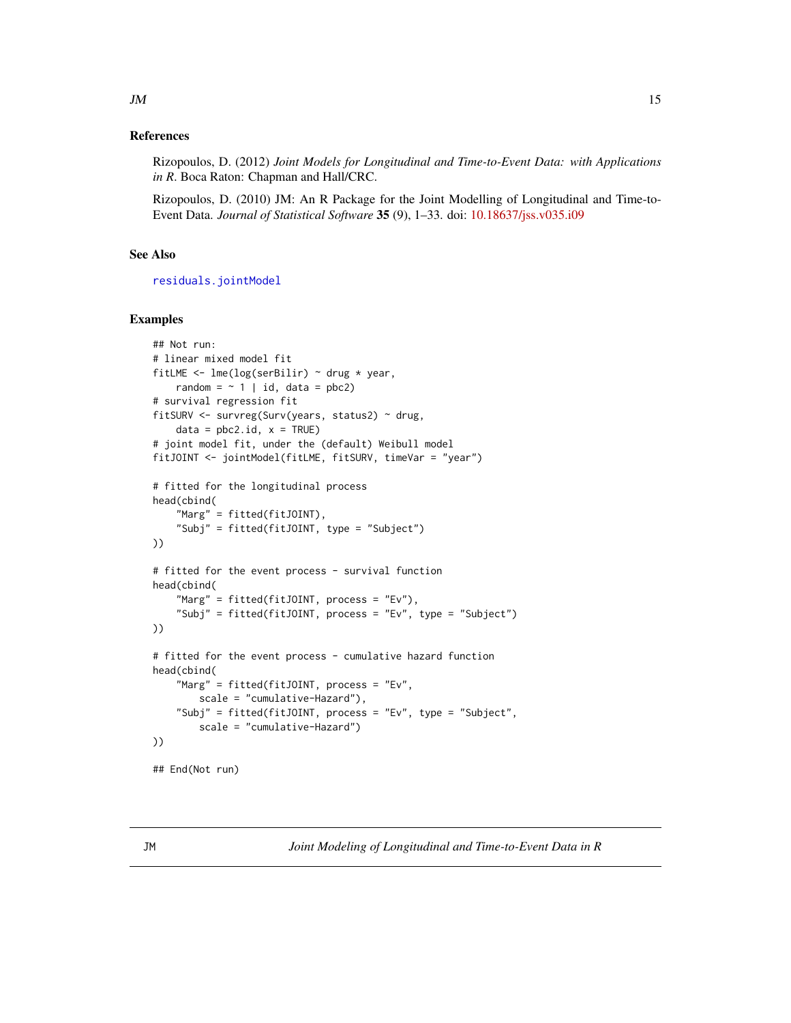# <span id="page-14-0"></span>References

Rizopoulos, D. (2012) *Joint Models for Longitudinal and Time-to-Event Data: with Applications in R*. Boca Raton: Chapman and Hall/CRC.

Rizopoulos, D. (2010) JM: An R Package for the Joint Modelling of Longitudinal and Time-to-Event Data. *Journal of Statistical Software* 35 (9), 1–33. doi: [10.18637/jss.v035.i09](https://doi.org/10.18637/jss.v035.i09)

# See Also

[residuals.jointModel](#page-40-1)

#### Examples

```
## Not run:
# linear mixed model fit
fitLME <- lme(log(serBilir) ~ drug * year,
    random = \sim 1 | id, data = pbc2)
# survival regression fit
fitSURV <- survreg(Surv(years, status2) ~ drug,
    data = pbc2.id, x = TRUE)# joint model fit, under the (default) Weibull model
fitJOINT <- jointModel(fitLME, fitSURV, timeVar = "year")
# fitted for the longitudinal process
head(cbind(
    "Marg" = fitted(fitJOINT),
    "Subj" = fitted(fitJOINT, type = "Subject")
))
# fitted for the event process - survival function
head(cbind(
    "Marg" = fitted(fitJOINT, process = "Ev"),
    "Subj" = fitted(fitJOINT, process = "Ev", type = "Subject")
))
# fitted for the event process - cumulative hazard function
head(cbind(
    "Marg" = fitted(fitJOINT, process = "Ev",
        scale = "cumulative-Hazard"),
    "Subj" = fitted(fitJOINT, process = "Ev", type = "Subject",
        scale = "cumulative-Hazard")
))
## End(Not run)
```
JM *Joint Modeling of Longitudinal and Time-to-Event Data in R*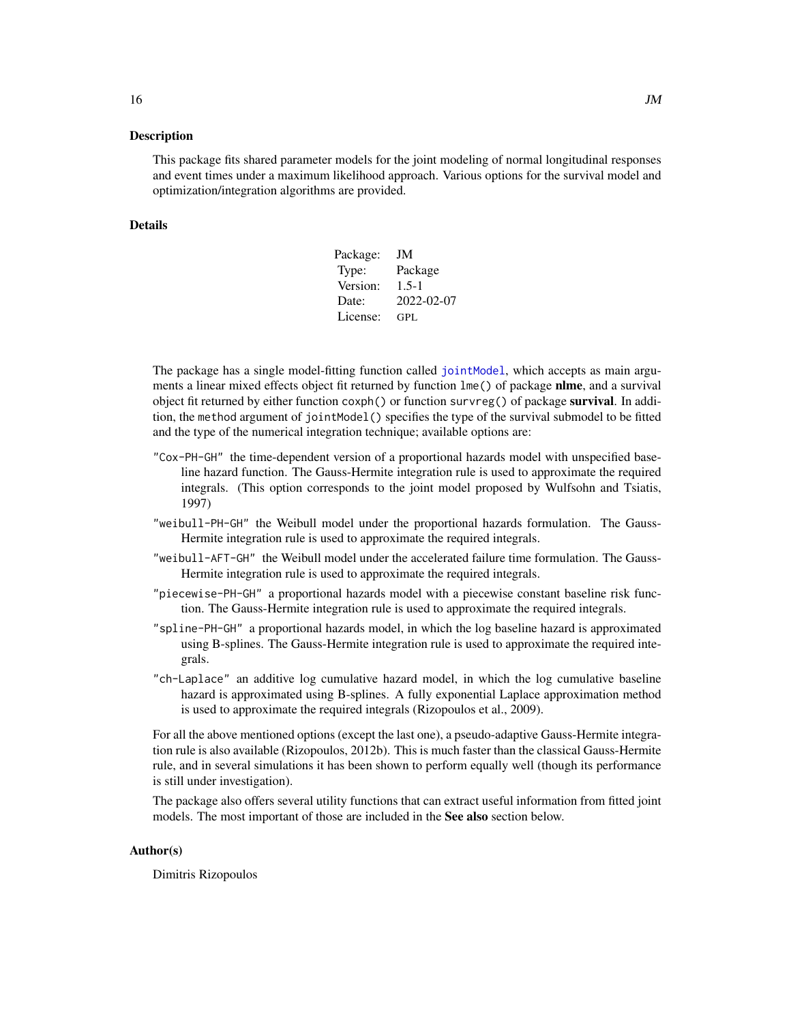<span id="page-15-0"></span>This package fits shared parameter models for the joint modeling of normal longitudinal responses and event times under a maximum likelihood approach. Various options for the survival model and optimization/integration algorithms are provided.

#### Details

| Package: | JM         |
|----------|------------|
| Type:    | Package    |
| Version: | $1.5 - 1$  |
| Date:    | 2022-02-07 |
| License: | GPL        |

The package has a single model-fitting function called [jointModel](#page-16-1), which accepts as main arguments a linear mixed effects object fit returned by function lme() of package **nlme**, and a survival object fit returned by either function coxph() or function survreg() of package survival. In addition, the method argument of jointModel() specifies the type of the survival submodel to be fitted and the type of the numerical integration technique; available options are:

- "Cox-PH-GH" the time-dependent version of a proportional hazards model with unspecified baseline hazard function. The Gauss-Hermite integration rule is used to approximate the required integrals. (This option corresponds to the joint model proposed by Wulfsohn and Tsiatis, 1997)
- "weibull-PH-GH" the Weibull model under the proportional hazards formulation. The Gauss-Hermite integration rule is used to approximate the required integrals.
- "weibull-AFT-GH" the Weibull model under the accelerated failure time formulation. The Gauss-Hermite integration rule is used to approximate the required integrals.
- "piecewise-PH-GH" a proportional hazards model with a piecewise constant baseline risk function. The Gauss-Hermite integration rule is used to approximate the required integrals.
- "spline-PH-GH" a proportional hazards model, in which the log baseline hazard is approximated using B-splines. The Gauss-Hermite integration rule is used to approximate the required integrals.
- "ch-Laplace" an additive log cumulative hazard model, in which the log cumulative baseline hazard is approximated using B-splines. A fully exponential Laplace approximation method is used to approximate the required integrals (Rizopoulos et al., 2009).

For all the above mentioned options (except the last one), a pseudo-adaptive Gauss-Hermite integration rule is also available (Rizopoulos, 2012b). This is much faster than the classical Gauss-Hermite rule, and in several simulations it has been shown to perform equally well (though its performance is still under investigation).

The package also offers several utility functions that can extract useful information from fitted joint models. The most important of those are included in the See also section below.

#### Author(s)

Dimitris Rizopoulos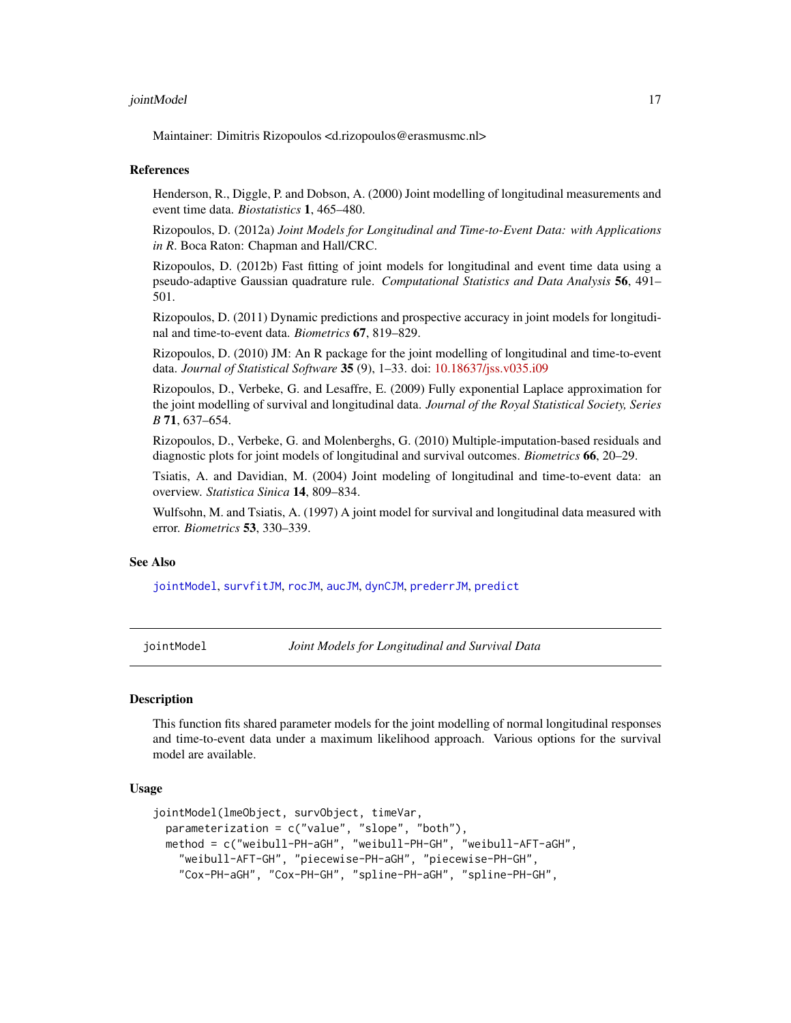#### <span id="page-16-0"></span>jointModel 17

Maintainer: Dimitris Rizopoulos <d.rizopoulos@erasmusmc.nl>

#### References

Henderson, R., Diggle, P. and Dobson, A. (2000) Joint modelling of longitudinal measurements and event time data. *Biostatistics* 1, 465–480.

Rizopoulos, D. (2012a) *Joint Models for Longitudinal and Time-to-Event Data: with Applications in R*. Boca Raton: Chapman and Hall/CRC.

Rizopoulos, D. (2012b) Fast fitting of joint models for longitudinal and event time data using a pseudo-adaptive Gaussian quadrature rule. *Computational Statistics and Data Analysis* 56, 491– 501.

Rizopoulos, D. (2011) Dynamic predictions and prospective accuracy in joint models for longitudinal and time-to-event data. *Biometrics* 67, 819–829.

Rizopoulos, D. (2010) JM: An R package for the joint modelling of longitudinal and time-to-event data. *Journal of Statistical Software* 35 (9), 1–33. doi: [10.18637/jss.v035.i09](https://doi.org/10.18637/jss.v035.i09)

Rizopoulos, D., Verbeke, G. and Lesaffre, E. (2009) Fully exponential Laplace approximation for the joint modelling of survival and longitudinal data. *Journal of the Royal Statistical Society, Series B* 71, 637–654.

Rizopoulos, D., Verbeke, G. and Molenberghs, G. (2010) Multiple-imputation-based residuals and diagnostic plots for joint models of longitudinal and survival outcomes. *Biometrics* 66, 20–29.

Tsiatis, A. and Davidian, M. (2004) Joint modeling of longitudinal and time-to-event data: an overview. *Statistica Sinica* 14, 809–834.

Wulfsohn, M. and Tsiatis, A. (1997) A joint model for survival and longitudinal data measured with error. *Biometrics* 53, 330–339.

#### See Also

[jointModel](#page-16-1), [survfitJM](#page-49-1), [rocJM](#page-42-1), [aucJM](#page-4-1), [dynCJM](#page-10-1), [prederrJM](#page-33-1), [predict](#page-36-1)

<span id="page-16-1"></span>jointModel *Joint Models for Longitudinal and Survival Data*

#### **Description**

This function fits shared parameter models for the joint modelling of normal longitudinal responses and time-to-event data under a maximum likelihood approach. Various options for the survival model are available.

#### Usage

```
jointModel(lmeObject, survObject, timeVar,
 parameterization = c("value", "slope", "both"),
 method = c("weibull-PH-aGH", "weibull-PH-GH", "weibull-AFT-aGH",
    "weibull-AFT-GH", "piecewise-PH-aGH", "piecewise-PH-GH",
    "Cox-PH-aGH", "Cox-PH-GH", "spline-PH-aGH", "spline-PH-GH",
```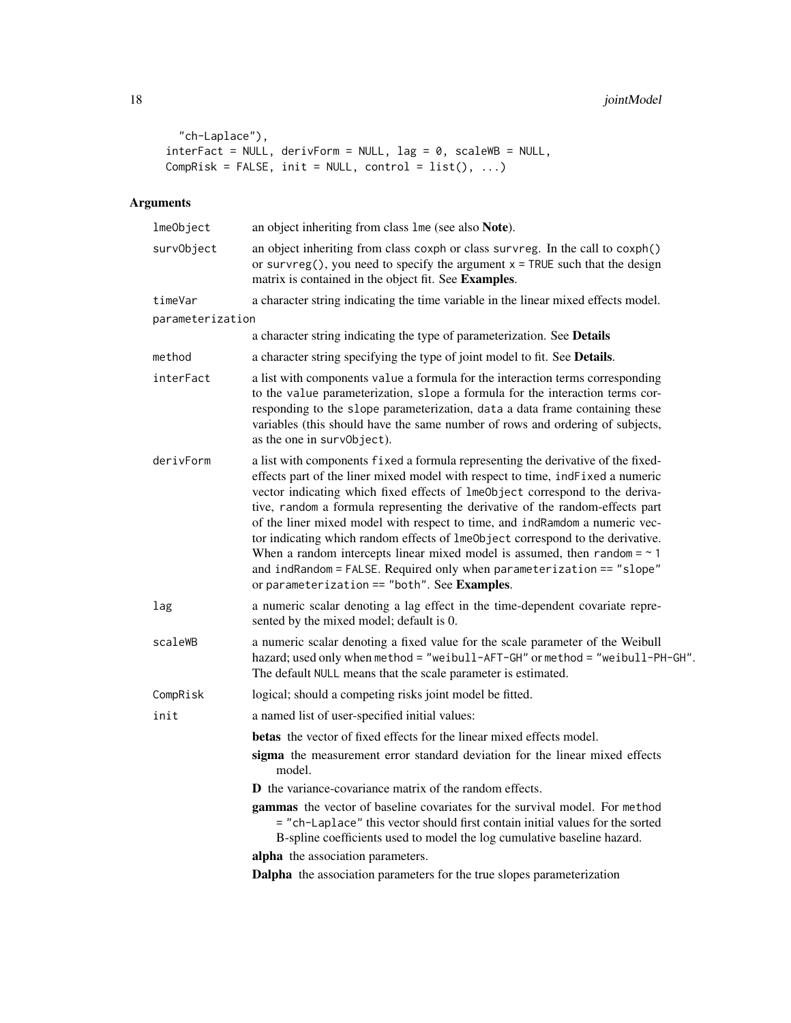```
"ch-Laplace"),
interFact = NULL, derivForm = NULL, lag = 0, scaleWB = NULL,Comprisk = FALSE, init = NULL, control = list(), ...)
```
# Arguments

| lmeObject        | an object inheriting from class 1me (see also Note).                                                                                                                                                                                                                                                                                                                                                                                                                                                                                                                                                                                                                                                              |
|------------------|-------------------------------------------------------------------------------------------------------------------------------------------------------------------------------------------------------------------------------------------------------------------------------------------------------------------------------------------------------------------------------------------------------------------------------------------------------------------------------------------------------------------------------------------------------------------------------------------------------------------------------------------------------------------------------------------------------------------|
| survObject       | an object inheriting from class coxph or class survreg. In the call to coxph()<br>or survreg(), you need to specify the argument $x = TRUE$ such that the design<br>matrix is contained in the object fit. See Examples.                                                                                                                                                                                                                                                                                                                                                                                                                                                                                          |
| timeVar          | a character string indicating the time variable in the linear mixed effects model.                                                                                                                                                                                                                                                                                                                                                                                                                                                                                                                                                                                                                                |
| parameterization |                                                                                                                                                                                                                                                                                                                                                                                                                                                                                                                                                                                                                                                                                                                   |
|                  | a character string indicating the type of parameterization. See Details                                                                                                                                                                                                                                                                                                                                                                                                                                                                                                                                                                                                                                           |
| method           | a character string specifying the type of joint model to fit. See Details.                                                                                                                                                                                                                                                                                                                                                                                                                                                                                                                                                                                                                                        |
| interFact        | a list with components value a formula for the interaction terms corresponding<br>to the value parameterization, slope a formula for the interaction terms cor-<br>responding to the slope parameterization, data a data frame containing these<br>variables (this should have the same number of rows and ordering of subjects,<br>as the one in surv0bject).                                                                                                                                                                                                                                                                                                                                                    |
| derivForm        | a list with components fixed a formula representing the derivative of the fixed-<br>effects part of the liner mixed model with respect to time, indFixed a numeric<br>vector indicating which fixed effects of lmeObject correspond to the deriva-<br>tive, random a formula representing the derivative of the random-effects part<br>of the liner mixed model with respect to time, and indRamdom a numeric vec-<br>tor indicating which random effects of 1me0bject correspond to the derivative.<br>When a random intercepts linear mixed model is assumed, then random $=$ $\sim$ 1<br>and indRandom = FALSE. Required only when parameterization == "slope"<br>or parameterization == "both". See Examples. |
| lag              | a numeric scalar denoting a lag effect in the time-dependent covariate repre-<br>sented by the mixed model; default is 0.                                                                                                                                                                                                                                                                                                                                                                                                                                                                                                                                                                                         |
| scaleWB          | a numeric scalar denoting a fixed value for the scale parameter of the Weibull<br>hazard; used only when method = "weibull-AFT-GH" or method = "weibull-PH-GH".<br>The default NULL means that the scale parameter is estimated.                                                                                                                                                                                                                                                                                                                                                                                                                                                                                  |
| CompRisk         | logical; should a competing risks joint model be fitted.                                                                                                                                                                                                                                                                                                                                                                                                                                                                                                                                                                                                                                                          |
| init             | a named list of user-specified initial values:                                                                                                                                                                                                                                                                                                                                                                                                                                                                                                                                                                                                                                                                    |
|                  | <b>betas</b> the vector of fixed effects for the linear mixed effects model.                                                                                                                                                                                                                                                                                                                                                                                                                                                                                                                                                                                                                                      |
|                  | sigma the measurement error standard deviation for the linear mixed effects<br>model.                                                                                                                                                                                                                                                                                                                                                                                                                                                                                                                                                                                                                             |
|                  | <b>D</b> the variance-covariance matrix of the random effects.                                                                                                                                                                                                                                                                                                                                                                                                                                                                                                                                                                                                                                                    |
|                  | gammas the vector of baseline covariates for the survival model. For method<br>= "ch-Laplace" this vector should first contain initial values for the sorted<br>B-spline coefficients used to model the log cumulative baseline hazard.                                                                                                                                                                                                                                                                                                                                                                                                                                                                           |
|                  | alpha the association parameters.                                                                                                                                                                                                                                                                                                                                                                                                                                                                                                                                                                                                                                                                                 |
|                  | Dalpha the association parameters for the true slopes parameterization                                                                                                                                                                                                                                                                                                                                                                                                                                                                                                                                                                                                                                            |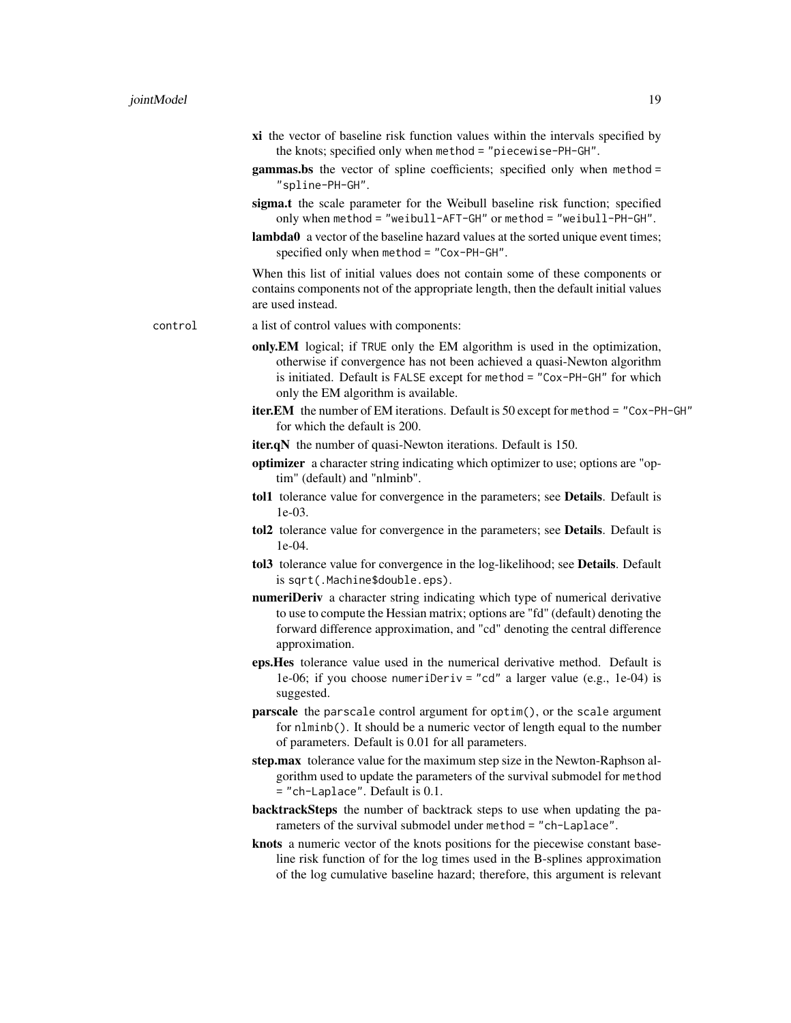- xi the vector of baseline risk function values within the intervals specified by the knots; specified only when method = "piecewise-PH-GH".
- gammas.bs the vector of spline coefficients; specified only when method = "spline-PH-GH".
- sigma.t the scale parameter for the Weibull baseline risk function; specified only when method = "weibull-AFT-GH" or method = "weibull-PH-GH".
- lambda0 a vector of the baseline hazard values at the sorted unique event times; specified only when method = "Cox-PH-GH".

When this list of initial values does not contain some of these components or contains components not of the appropriate length, then the default initial values are used instead.

- control a list of control values with components:
	- only.EM logical; if TRUE only the EM algorithm is used in the optimization, otherwise if convergence has not been achieved a quasi-Newton algorithm is initiated. Default is FALSE except for method = "Cox-PH-GH" for which only the EM algorithm is available.
	- iter.EM the number of EM iterations. Default is 50 except for method = "Cox-PH-GH" for which the default is 200.
	- **iter.qN** the number of quasi-Newton iterations. Default is 150.
	- optimizer a character string indicating which optimizer to use; options are "optim" (default) and "nlminb".
	- tol1 tolerance value for convergence in the parameters; see Details. Default is 1e-03.
	- tol2 tolerance value for convergence in the parameters; see Details. Default is 1e-04.
	- tol3 tolerance value for convergence in the log-likelihood; see Details. Default is sqrt(.Machine\$double.eps).
	- numeriDeriv a character string indicating which type of numerical derivative to use to compute the Hessian matrix; options are "fd" (default) denoting the forward difference approximation, and "cd" denoting the central difference approximation.
	- eps.Hes tolerance value used in the numerical derivative method. Default is 1e-06; if you choose numeriDeriv = "cd" a larger value (e.g., 1e-04) is suggested.
	- parscale the parscale control argument for optim(), or the scale argument for nlminb(). It should be a numeric vector of length equal to the number of parameters. Default is 0.01 for all parameters.
	- step.max tolerance value for the maximum step size in the Newton-Raphson algorithm used to update the parameters of the survival submodel for method = "ch-Laplace". Default is 0.1.
	- backtrackSteps the number of backtrack steps to use when updating the parameters of the survival submodel under method = "ch-Laplace".
	- knots a numeric vector of the knots positions for the piecewise constant baseline risk function of for the log times used in the B-splines approximation of the log cumulative baseline hazard; therefore, this argument is relevant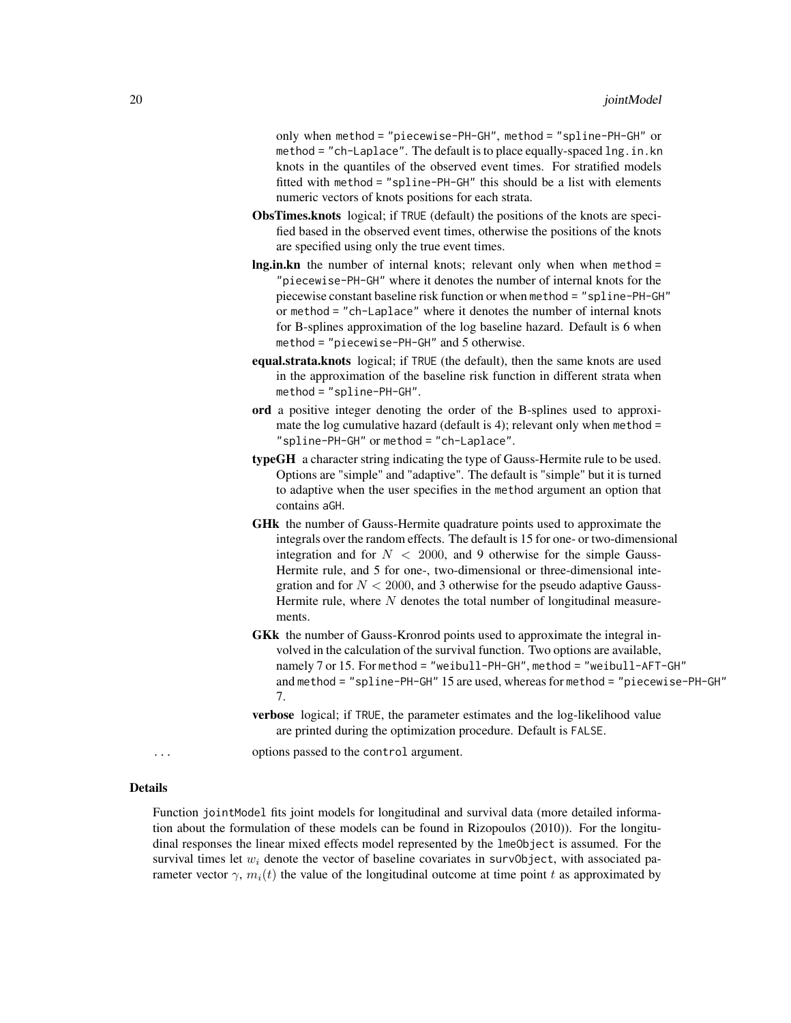only when method = "piecewise-PH-GH", method = "spline-PH-GH" or method = "ch-Laplace". The default is to place equally-spaced lng.in.kn knots in the quantiles of the observed event times. For stratified models fitted with method = "spline-PH-GH" this should be a list with elements numeric vectors of knots positions for each strata.

- ObsTimes.knots logical; if TRUE (default) the positions of the knots are specified based in the observed event times, otherwise the positions of the knots are specified using only the true event times.
- lng.in.kn the number of internal knots; relevant only when when method = "piecewise-PH-GH" where it denotes the number of internal knots for the piecewise constant baseline risk function or when method = "spline-PH-GH" or method = "ch-Laplace" where it denotes the number of internal knots for B-splines approximation of the log baseline hazard. Default is 6 when method = "piecewise-PH-GH" and 5 otherwise.
- equal.strata.knots logical; if TRUE (the default), then the same knots are used in the approximation of the baseline risk function in different strata when method = "spline-PH-GH".
- ord a positive integer denoting the order of the B-splines used to approximate the log cumulative hazard (default is 4); relevant only when method = "spline-PH-GH" or method = "ch-Laplace".
- typeGH a character string indicating the type of Gauss-Hermite rule to be used. Options are "simple" and "adaptive". The default is "simple" but it is turned to adaptive when the user specifies in the method argument an option that contains aGH.
- GHk the number of Gauss-Hermite quadrature points used to approximate the integrals over the random effects. The default is 15 for one- or two-dimensional integration and for  $N < 2000$ , and 9 otherwise for the simple Gauss-Hermite rule, and 5 for one-, two-dimensional or three-dimensional integration and for  $N < 2000$ , and 3 otherwise for the pseudo adaptive Gauss-Hermite rule, where  $N$  denotes the total number of longitudinal measurements.
- GKk the number of Gauss-Kronrod points used to approximate the integral involved in the calculation of the survival function. Two options are available, namely 7 or 15. For method = "weibull-PH-GH", method = "weibull-AFT-GH" and method = "spline-PH-GH" 15 are used, whereas for method = "piecewise-PH-GH" 7.
- verbose logical; if TRUE, the parameter estimates and the log-likelihood value are printed during the optimization procedure. Default is FALSE.

... options passed to the control argument.

# Details

Function jointModel fits joint models for longitudinal and survival data (more detailed information about the formulation of these models can be found in Rizopoulos (2010)). For the longitudinal responses the linear mixed effects model represented by the lmeObject is assumed. For the survival times let  $w_i$  denote the vector of baseline covariates in surv0bject, with associated parameter vector  $\gamma$ ,  $m_i(t)$  the value of the longitudinal outcome at time point t as approximated by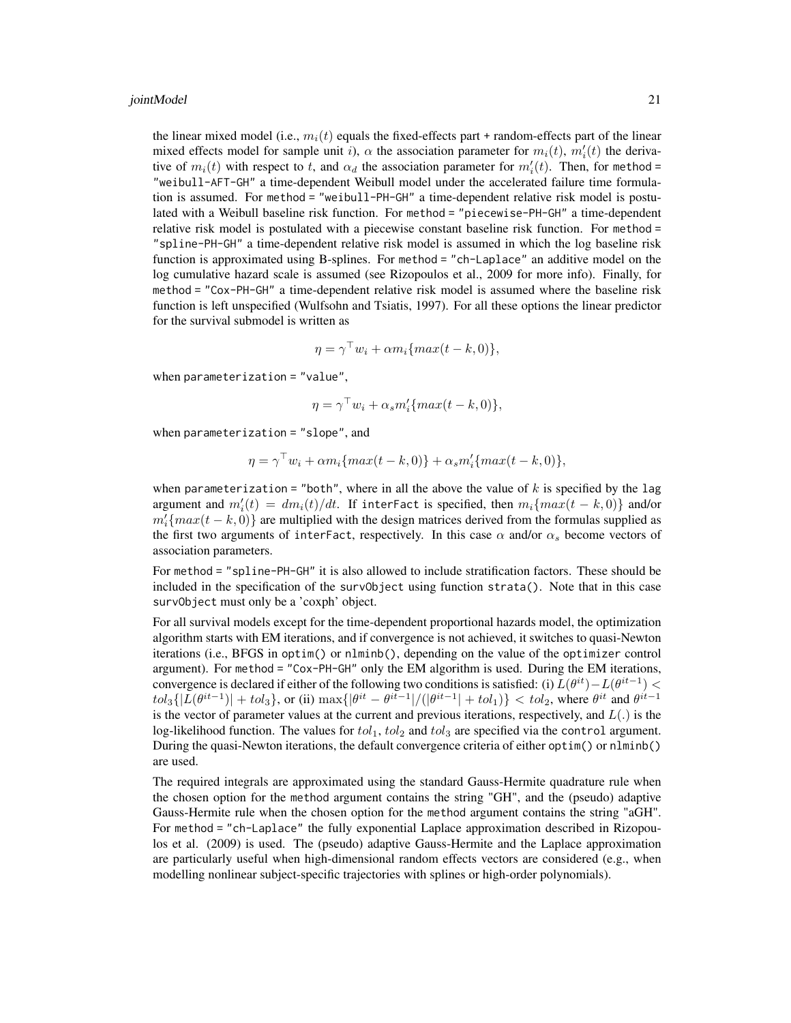#### jointModel 21

the linear mixed model (i.e.,  $m_i(t)$  equals the fixed-effects part + random-effects part of the linear mixed effects model for sample unit i),  $\alpha$  the association parameter for  $m_i(t)$ ,  $m'_i(t)$  the derivative of  $m_i(t)$  with respect to t, and  $\alpha_d$  the association parameter for  $m_i'(t)$ . Then, for method = "weibull-AFT-GH" a time-dependent Weibull model under the accelerated failure time formulation is assumed. For method = "weibull-PH-GH" a time-dependent relative risk model is postulated with a Weibull baseline risk function. For method = "piecewise-PH-GH" a time-dependent relative risk model is postulated with a piecewise constant baseline risk function. For method = "spline-PH-GH" a time-dependent relative risk model is assumed in which the log baseline risk function is approximated using B-splines. For method = "ch-Laplace" an additive model on the log cumulative hazard scale is assumed (see Rizopoulos et al., 2009 for more info). Finally, for method = "Cox-PH-GH" a time-dependent relative risk model is assumed where the baseline risk function is left unspecified (Wulfsohn and Tsiatis, 1997). For all these options the linear predictor for the survival submodel is written as

$$
\eta = \gamma^{\top} w_i + \alpha m_i \{ max(t - k, 0) \},
$$

when parameterization = "value",

$$
\eta = \gamma^{\top} w_i + \alpha_s m'_i \{ max(t - k, 0) \},
$$

when parameterization = "slope", and

$$
\eta = \gamma^{\top} w_i + \alpha m_i \{ max(t - k, 0) \} + \alpha_s m'_i \{ max(t - k, 0) \},
$$

when parameterization = "both", where in all the above the value of  $k$  is specified by the lag argument and  $m_i'(t) = dm_i(t)/dt$ . If interFact is specified, then  $m_i\{max(t - k, 0)\}$  and/or  $m'_i \{max(t - k, 0)\}\$  are multiplied with the design matrices derived from the formulas supplied as the first two arguments of interFact, respectively. In this case  $\alpha$  and/or  $\alpha_s$  become vectors of association parameters.

For method = "spline-PH-GH" it is also allowed to include stratification factors. These should be included in the specification of the survObject using function strata(). Note that in this case survObject must only be a 'coxph' object.

For all survival models except for the time-dependent proportional hazards model, the optimization algorithm starts with EM iterations, and if convergence is not achieved, it switches to quasi-Newton iterations (i.e., BFGS in optim() or nlminb(), depending on the value of the optimizer control argument). For method = "Cox-PH-GH" only the EM algorithm is used. During the EM iterations, convergence is declared if either of the following two conditions is satisfied: (i)  $L(\theta^{it}) - L(\theta^{it-1})$  <  $tol_3\{|L(\theta^{it-1})| + tol_3\}$ , or (ii)  $\max\{|\theta^{it} - \theta^{it-1}|/(|\theta^{it-1}| + tol_1)\} < tol_2$ , where  $\theta^{it}$  and  $\theta^{it-1}$ is the vector of parameter values at the current and previous iterations, respectively, and  $L(.)$  is the log-likelihood function. The values for  $tol_1$ ,  $tol_2$  and  $tol_3$  are specified via the control argument. During the quasi-Newton iterations, the default convergence criteria of either optim() or nlminb() are used.

The required integrals are approximated using the standard Gauss-Hermite quadrature rule when the chosen option for the method argument contains the string "GH", and the (pseudo) adaptive Gauss-Hermite rule when the chosen option for the method argument contains the string "aGH". For method = "ch-Laplace" the fully exponential Laplace approximation described in Rizopoulos et al. (2009) is used. The (pseudo) adaptive Gauss-Hermite and the Laplace approximation are particularly useful when high-dimensional random effects vectors are considered (e.g., when modelling nonlinear subject-specific trajectories with splines or high-order polynomials).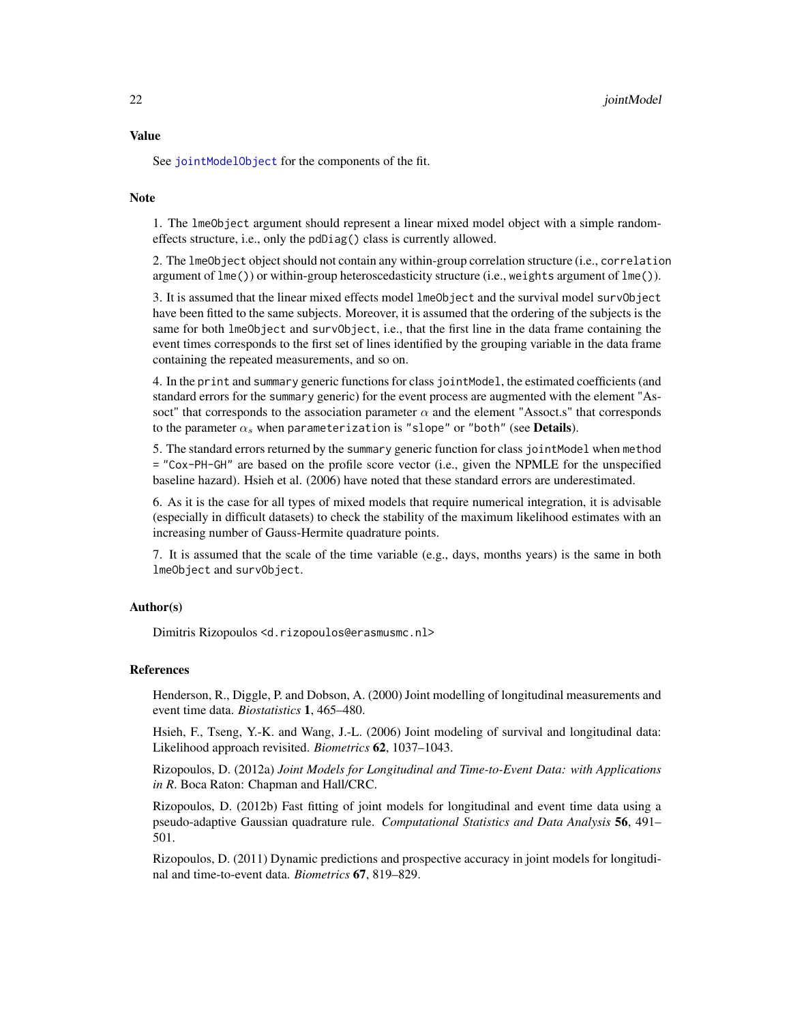<span id="page-21-0"></span>See [jointModelObject](#page-24-1) for the components of the fit.

# Note

1. The lmeObject argument should represent a linear mixed model object with a simple randomeffects structure, i.e., only the pdDiag() class is currently allowed.

2. The lmeObject object should not contain any within-group correlation structure (i.e., correlation argument of  $\text{Im}(s)$  or within-group heteroscedasticity structure (i.e., weights argument of  $\text{Im}(s)$ ).

3. It is assumed that the linear mixed effects model lmeObject and the survival model survObject have been fitted to the same subjects. Moreover, it is assumed that the ordering of the subjects is the same for both lmeObject and survObject, i.e., that the first line in the data frame containing the event times corresponds to the first set of lines identified by the grouping variable in the data frame containing the repeated measurements, and so on.

4. In the print and summary generic functions for class jointModel, the estimated coefficients (and standard errors for the summary generic) for the event process are augmented with the element "Assoct" that corresponds to the association parameter  $\alpha$  and the element "Assoct.s" that corresponds to the parameter  $\alpha_s$  when parameterization is "slope" or "both" (see **Details**).

5. The standard errors returned by the summary generic function for class jointModel when method = "Cox-PH-GH" are based on the profile score vector (i.e., given the NPMLE for the unspecified baseline hazard). Hsieh et al. (2006) have noted that these standard errors are underestimated.

6. As it is the case for all types of mixed models that require numerical integration, it is advisable (especially in difficult datasets) to check the stability of the maximum likelihood estimates with an increasing number of Gauss-Hermite quadrature points.

7. It is assumed that the scale of the time variable (e.g., days, months years) is the same in both lmeObject and survObject.

### Author(s)

Dimitris Rizopoulos <d.rizopoulos@erasmusmc.nl>

#### References

Henderson, R., Diggle, P. and Dobson, A. (2000) Joint modelling of longitudinal measurements and event time data. *Biostatistics* 1, 465–480.

Hsieh, F., Tseng, Y.-K. and Wang, J.-L. (2006) Joint modeling of survival and longitudinal data: Likelihood approach revisited. *Biometrics* 62, 1037–1043.

Rizopoulos, D. (2012a) *Joint Models for Longitudinal and Time-to-Event Data: with Applications in R*. Boca Raton: Chapman and Hall/CRC.

Rizopoulos, D. (2012b) Fast fitting of joint models for longitudinal and event time data using a pseudo-adaptive Gaussian quadrature rule. *Computational Statistics and Data Analysis* 56, 491– 501.

Rizopoulos, D. (2011) Dynamic predictions and prospective accuracy in joint models for longitudinal and time-to-event data. *Biometrics* 67, 819–829.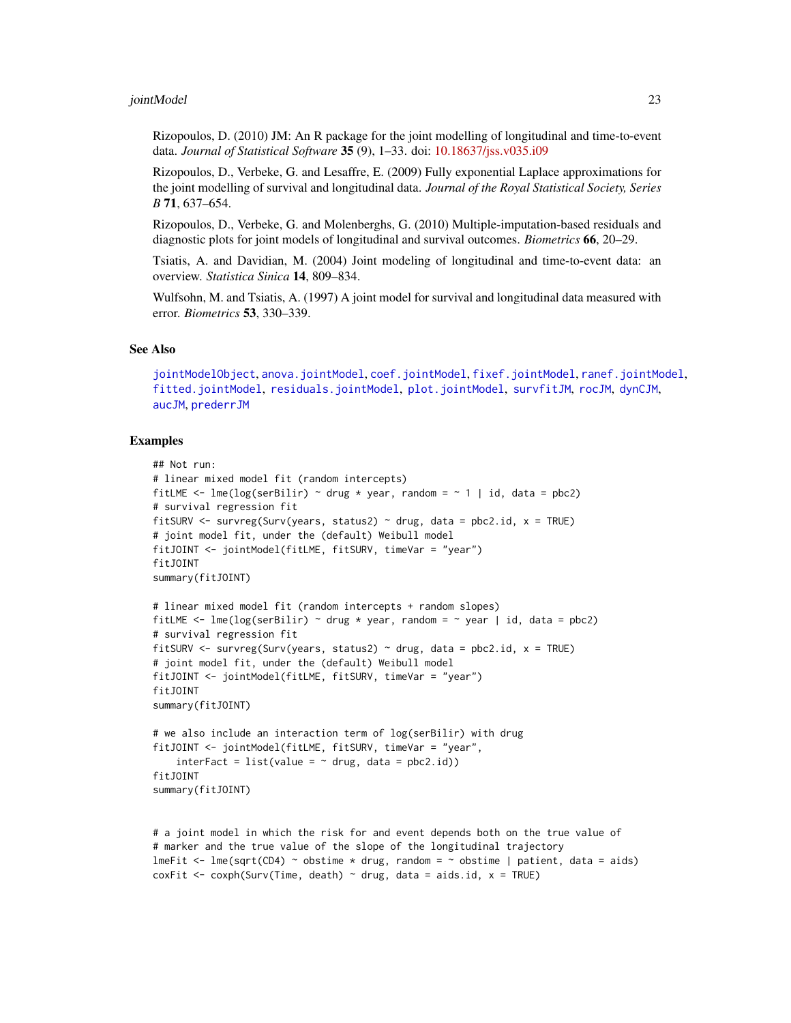#### <span id="page-22-0"></span>jointModel 23

Rizopoulos, D. (2010) JM: An R package for the joint modelling of longitudinal and time-to-event data. *Journal of Statistical Software* 35 (9), 1–33. doi: [10.18637/jss.v035.i09](https://doi.org/10.18637/jss.v035.i09)

Rizopoulos, D., Verbeke, G. and Lesaffre, E. (2009) Fully exponential Laplace approximations for the joint modelling of survival and longitudinal data. *Journal of the Royal Statistical Society, Series B* 71, 637–654.

Rizopoulos, D., Verbeke, G. and Molenberghs, G. (2010) Multiple-imputation-based residuals and diagnostic plots for joint models of longitudinal and survival outcomes. *Biometrics* 66, 20–29.

Tsiatis, A. and Davidian, M. (2004) Joint modeling of longitudinal and time-to-event data: an overview. *Statistica Sinica* 14, 809–834.

Wulfsohn, M. and Tsiatis, A. (1997) A joint model for survival and longitudinal data measured with error. *Biometrics* 53, 330–339.

#### See Also

[jointModelObject](#page-24-1), [anova.jointModel](#page-2-1), [coef.jointModel](#page-6-1), [fixef.jointModel](#page-6-1), [ranef.jointModel](#page-39-1), [fitted.jointModel](#page-12-1), [residuals.jointModel](#page-40-1), [plot.jointModel](#page-28-1), [survfitJM](#page-49-1), [rocJM](#page-42-1), [dynCJM](#page-10-1), [aucJM](#page-4-1), [prederrJM](#page-33-1)

```
## Not run:
# linear mixed model fit (random intercepts)
fitLME \le - lme(log(serBilir) \sim drug \star year, random = \sim 1 | id, data = pbc2)
# survival regression fit
fitSURV <- survreg(Surv(years, status2) \sim drug, data = pbc2.id, x = TRUE)
# joint model fit, under the (default) Weibull model
fitJOINT <- jointModel(fitLME, fitSURV, timeVar = "year")
fitJOINT
summary(fitJOINT)
# linear mixed model fit (random intercepts + random slopes)
fitLME \leq lme(log(serBilir) \sim drug \star year, random = \sim year | id, data = pbc2)
# survival regression fit
fitSURV \le survreg(Surv(years, status2) \sim drug, data = pbc2.id, x = TRUE)
# joint model fit, under the (default) Weibull model
fitJOINT <- jointModel(fitLME, fitSURV, timeVar = "year")
fitJOINT
summary(fitJOINT)
# we also include an interaction term of log(serBilir) with drug
fitJOINT <- jointModel(fitLME, fitSURV, timeVar = "year",
    interFact = list(value = ~ drug, data = pbc2.id)fitJOINT
summary(fitJOINT)
```

```
# a joint model in which the risk for and event depends both on the true value of
# marker and the true value of the slope of the longitudinal trajectory
lmeFit \le lme(sqrt(CD4) \sim obstime * drug, random = \sim obstime | patient, data = aids)
coxFit <- coxph(Surv(Time, death) \sim drug, data = aids.id, x = TRUE)
```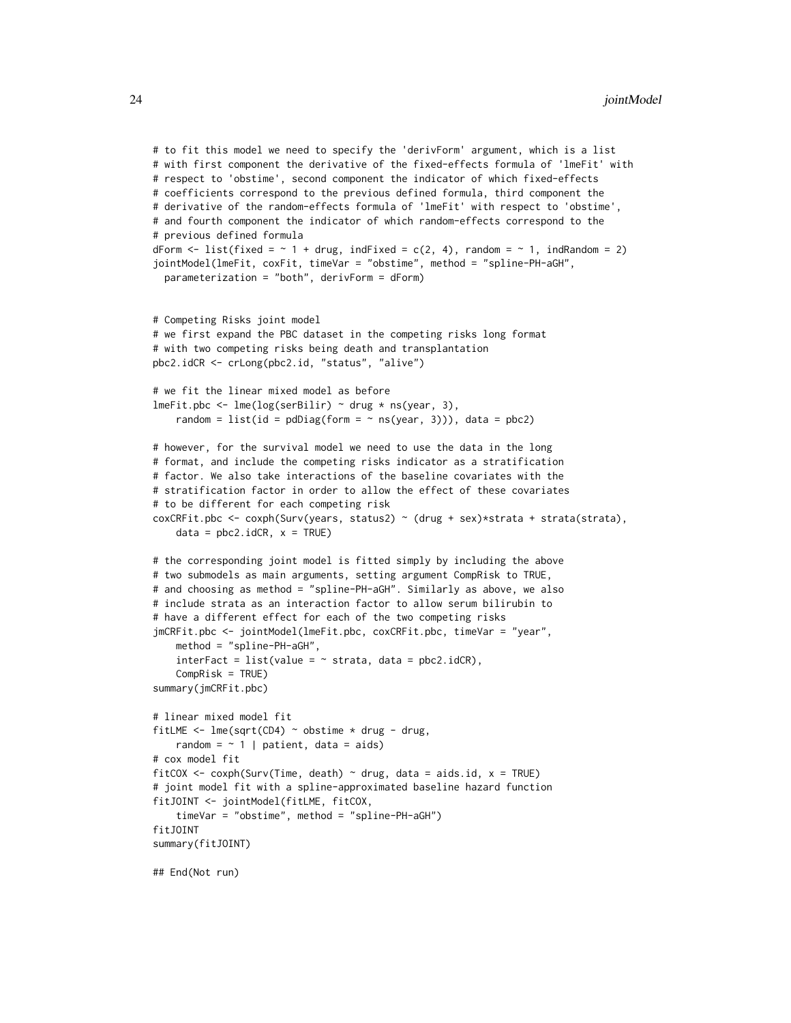```
# to fit this model we need to specify the 'derivForm' argument, which is a list
# with first component the derivative of the fixed-effects formula of 'lmeFit' with
# respect to 'obstime', second component the indicator of which fixed-effects
# coefficients correspond to the previous defined formula, third component the
# derivative of the random-effects formula of 'lmeFit' with respect to 'obstime',
# and fourth component the indicator of which random-effects correspond to the
# previous defined formula
dForm \le list(fixed = \sim 1 + drug, indFixed = c(2, 4), random = \sim 1, indRandom = 2)
jointModel(lmeFit, coxFit, timeVar = "obstime", method = "spline-PH-aGH",
 parameterization = "both", derivForm = dForm)
# Competing Risks joint model
# we first expand the PBC dataset in the competing risks long format
# with two competing risks being death and transplantation
pbc2.idCR <- crLong(pbc2.id, "status", "alive")
# we fit the linear mixed model as before
lmeFit.pbc <- lme(log(serBilir) \sim drug * ns(year, 3),
    random = list(id = pdDiag(form = \sim ns(year, 3))), data = pbc2)
# however, for the survival model we need to use the data in the long
# format, and include the competing risks indicator as a stratification
# factor. We also take interactions of the baseline covariates with the
# stratification factor in order to allow the effect of these covariates
# to be different for each competing risk
coxCRFit.pbc <- coxph(Surv(years, status2) ~ (drug + sex)*strata + strata(strata),
   data = pbc2.idCR, x = TRUE)# the corresponding joint model is fitted simply by including the above
# two submodels as main arguments, setting argument CompRisk to TRUE,
# and choosing as method = "spline-PH-aGH". Similarly as above, we also
# include strata as an interaction factor to allow serum bilirubin to
# have a different effect for each of the two competing risks
jmCRFit.pbc <- jointModel(lmeFit.pbc, coxCRFit.pbc, timeVar = "year",
    method = "spline-PH-aGH",
    interFact = list(value = \sim strata, data = pbc2.idCR),
    CompRisk = TRUE)
summary(jmCRFit.pbc)
# linear mixed model fit
fitLME <- lme(sqrt(CD4) \sim obstime * drug - drug,random = \sim 1 | patient, data = aids)
# cox model fit
fitCOX <- coxph(Surv(Time, death) \sim drug, data = aids.id, x = TRUE)
# joint model fit with a spline-approximated baseline hazard function
fitJOINT <- jointModel(fitLME, fitCOX,
    timeVar = "obstime", method = "spline-PH-aGH")
fitJOINT
summary(fitJOINT)
## End(Not run)
```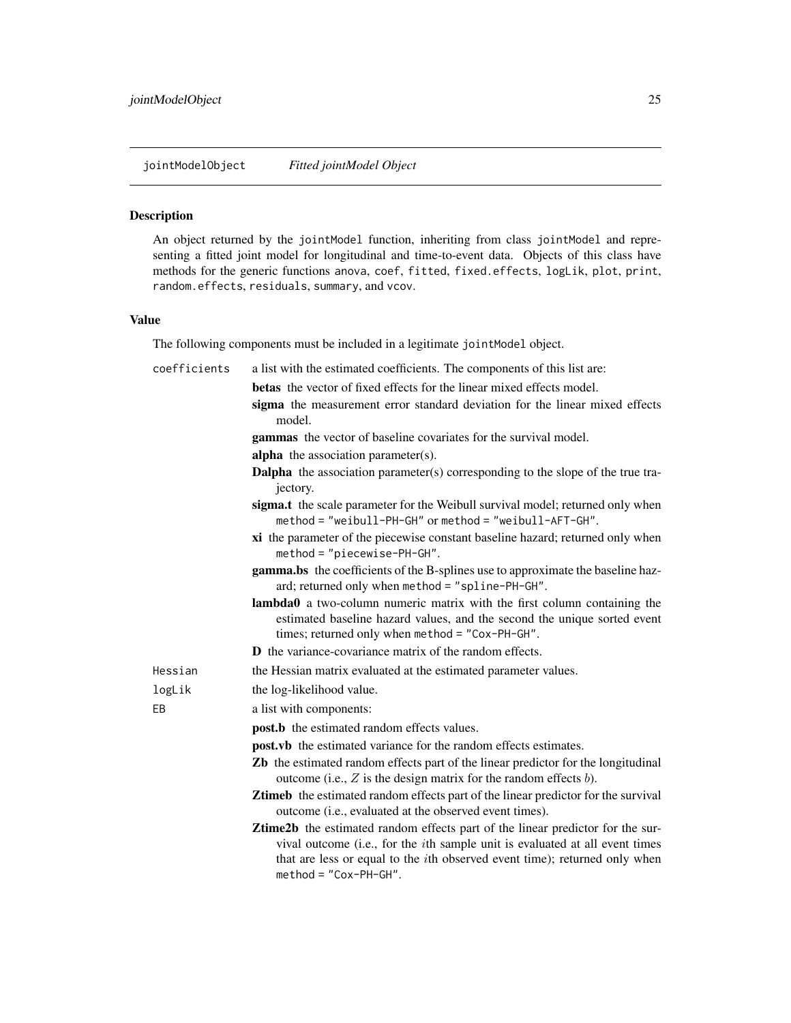<span id="page-24-1"></span><span id="page-24-0"></span>jointModelObject *Fitted jointModel Object*

#### Description

An object returned by the jointModel function, inheriting from class jointModel and representing a fitted joint model for longitudinal and time-to-event data. Objects of this class have methods for the generic functions anova, coef, fitted, fixed.effects, logLik, plot, print, random.effects, residuals, summary, and vcov.

#### Value

The following components must be included in a legitimate jointModel object.

| coefficients | a list with the estimated coefficients. The components of this list are:                                                                                                                                                                                                                     |
|--------------|----------------------------------------------------------------------------------------------------------------------------------------------------------------------------------------------------------------------------------------------------------------------------------------------|
|              | <b>betas</b> the vector of fixed effects for the linear mixed effects model.                                                                                                                                                                                                                 |
|              | sigma the measurement error standard deviation for the linear mixed effects<br>model.                                                                                                                                                                                                        |
|              | gammas the vector of baseline covariates for the survival model.                                                                                                                                                                                                                             |
|              | <b>alpha</b> the association parameter(s).                                                                                                                                                                                                                                                   |
|              | <b>Dalpha</b> the association parameter(s) corresponding to the slope of the true tra-<br>jectory.                                                                                                                                                                                           |
|              | sigma.t the scale parameter for the Weibull survival model; returned only when<br>method = "weibull-PH-GH" or method = "weibull-AFT-GH".                                                                                                                                                     |
|              | xi the parameter of the piecewise constant baseline hazard; returned only when<br>method = "piecewise-PH-GH".                                                                                                                                                                                |
|              | gamma.bs the coefficients of the B-splines use to approximate the baseline haz-<br>ard; returned only when method = "spline-PH-GH".                                                                                                                                                          |
|              | lambda0 a two-column numeric matrix with the first column containing the<br>estimated baseline hazard values, and the second the unique sorted event<br>times; returned only when method = "Cox-PH-GH".                                                                                      |
|              | <b>D</b> the variance-covariance matrix of the random effects.                                                                                                                                                                                                                               |
| Hessian      | the Hessian matrix evaluated at the estimated parameter values.                                                                                                                                                                                                                              |
| logLik       | the log-likelihood value.                                                                                                                                                                                                                                                                    |
| EB           | a list with components:                                                                                                                                                                                                                                                                      |
|              | post.b the estimated random effects values.                                                                                                                                                                                                                                                  |
|              | <b>post.vb</b> the estimated variance for the random effects estimates.                                                                                                                                                                                                                      |
|              | Zb the estimated random effects part of the linear predictor for the longitudinal<br>outcome (i.e., $Z$ is the design matrix for the random effects $b$ ).                                                                                                                                   |
|              | Ztimeb the estimated random effects part of the linear predictor for the survival<br>outcome (i.e., evaluated at the observed event times).                                                                                                                                                  |
|              | <b>Ztime2b</b> the estimated random effects part of the linear predictor for the sur-<br>vival outcome (i.e., for the <i>i</i> th sample unit is evaluated at all event times<br>that are less or equal to the <i>i</i> th observed event time); returned only when<br>method = "Cox-PH-GH". |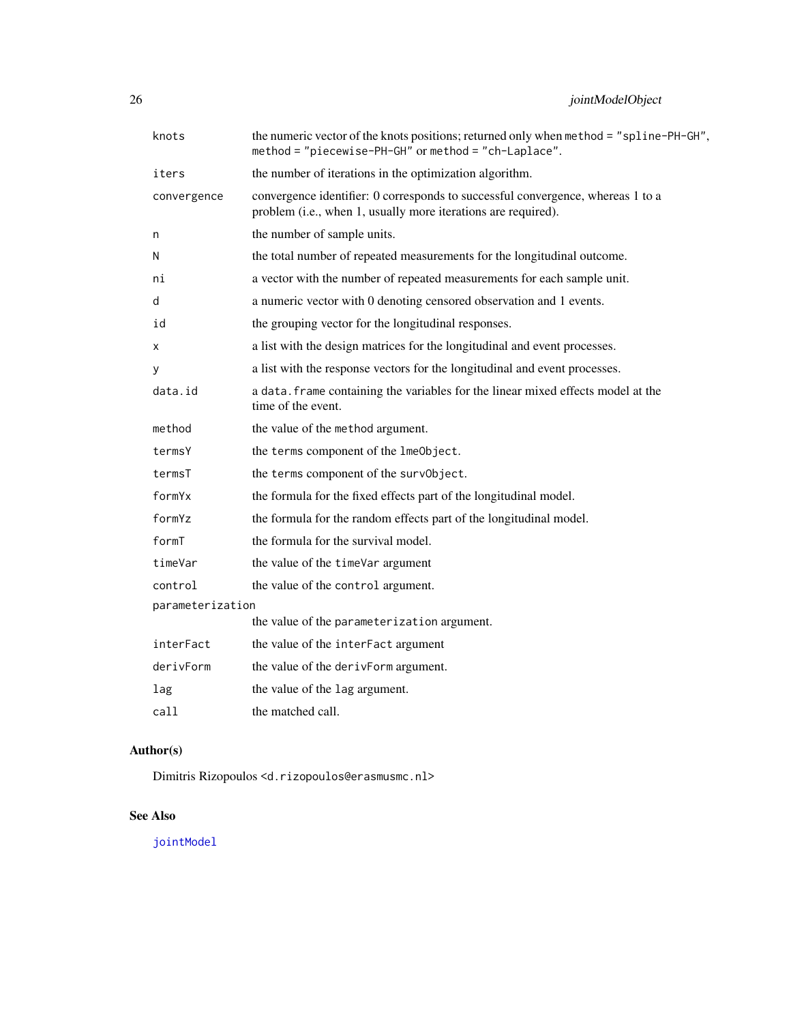<span id="page-25-0"></span>

| knots            | the numeric vector of the knots positions; returned only when method = "spline-PH-GH",<br>method = "piecewise-PH-GH" or method = "ch-Laplace".   |  |
|------------------|--------------------------------------------------------------------------------------------------------------------------------------------------|--|
| iters            | the number of iterations in the optimization algorithm.                                                                                          |  |
| convergence      | convergence identifier: 0 corresponds to successful convergence, whereas 1 to a<br>problem (i.e., when 1, usually more iterations are required). |  |
| n                | the number of sample units.                                                                                                                      |  |
| N                | the total number of repeated measurements for the longitudinal outcome.                                                                          |  |
| ni               | a vector with the number of repeated measurements for each sample unit.                                                                          |  |
| d                | a numeric vector with 0 denoting censored observation and 1 events.                                                                              |  |
| id               | the grouping vector for the longitudinal responses.                                                                                              |  |
| х                | a list with the design matrices for the longitudinal and event processes.                                                                        |  |
| У                | a list with the response vectors for the longitudinal and event processes.                                                                       |  |
| data.id          | a data. frame containing the variables for the linear mixed effects model at the<br>time of the event.                                           |  |
| method           | the value of the method argument.                                                                                                                |  |
| termsY           | the terms component of the lmeObject.                                                                                                            |  |
| termsT           | the terms component of the survObject.                                                                                                           |  |
| formYx           | the formula for the fixed effects part of the longitudinal model.                                                                                |  |
| formYz           | the formula for the random effects part of the longitudinal model.                                                                               |  |
| formT            | the formula for the survival model.                                                                                                              |  |
| timeVar          | the value of the timeVar argument                                                                                                                |  |
| control          | the value of the control argument.                                                                                                               |  |
| parameterization |                                                                                                                                                  |  |
|                  | the value of the parameterization argument.                                                                                                      |  |
| interFact        | the value of the interFact argument                                                                                                              |  |
| derivForm        | the value of the derivForm argument.                                                                                                             |  |
| lag              | the value of the lag argument.                                                                                                                   |  |
| call             | the matched call.                                                                                                                                |  |

# Author(s)

Dimitris Rizopoulos <d.rizopoulos@erasmusmc.nl>

# See Also

[jointModel](#page-16-1)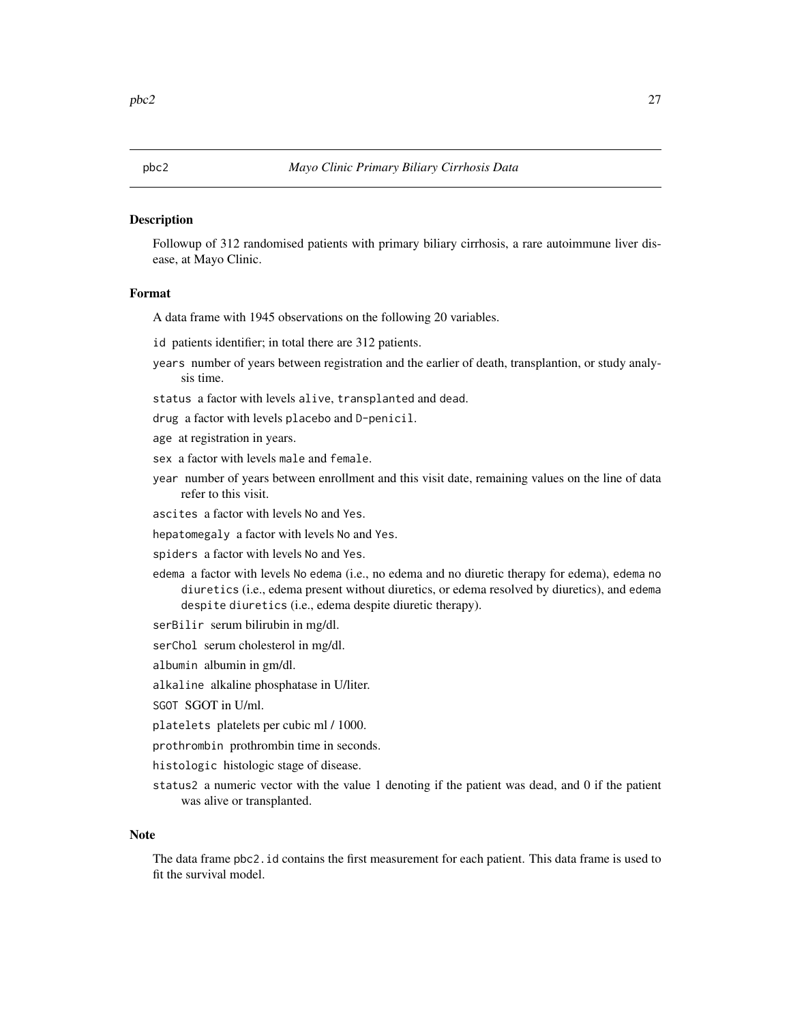Followup of 312 randomised patients with primary biliary cirrhosis, a rare autoimmune liver disease, at Mayo Clinic.

#### Format

A data frame with 1945 observations on the following 20 variables.

id patients identifier; in total there are 312 patients.

years number of years between registration and the earlier of death, transplantion, or study analysis time.

status a factor with levels alive, transplanted and dead.

drug a factor with levels placebo and D-penicil.

age at registration in years.

- sex a factor with levels male and female.
- year number of years between enrollment and this visit date, remaining values on the line of data refer to this visit.

ascites a factor with levels No and Yes.

hepatomegaly a factor with levels No and Yes.

spiders a factor with levels No and Yes.

- edema a factor with levels No edema (i.e., no edema and no diuretic therapy for edema), edema no diuretics (i.e., edema present without diuretics, or edema resolved by diuretics), and edema despite diuretics (i.e., edema despite diuretic therapy).
- serBilir serum bilirubin in mg/dl.
- serChol serum cholesterol in mg/dl.
- albumin albumin in gm/dl.
- alkaline alkaline phosphatase in U/liter.
- SGOT SGOT in U/ml.
- platelets platelets per cubic ml / 1000.
- prothrombin prothrombin time in seconds.
- histologic histologic stage of disease.
- status2 a numeric vector with the value 1 denoting if the patient was dead, and 0 if the patient was alive or transplanted.

#### Note

The data frame pbc2.id contains the first measurement for each patient. This data frame is used to fit the survival model.

<span id="page-26-0"></span>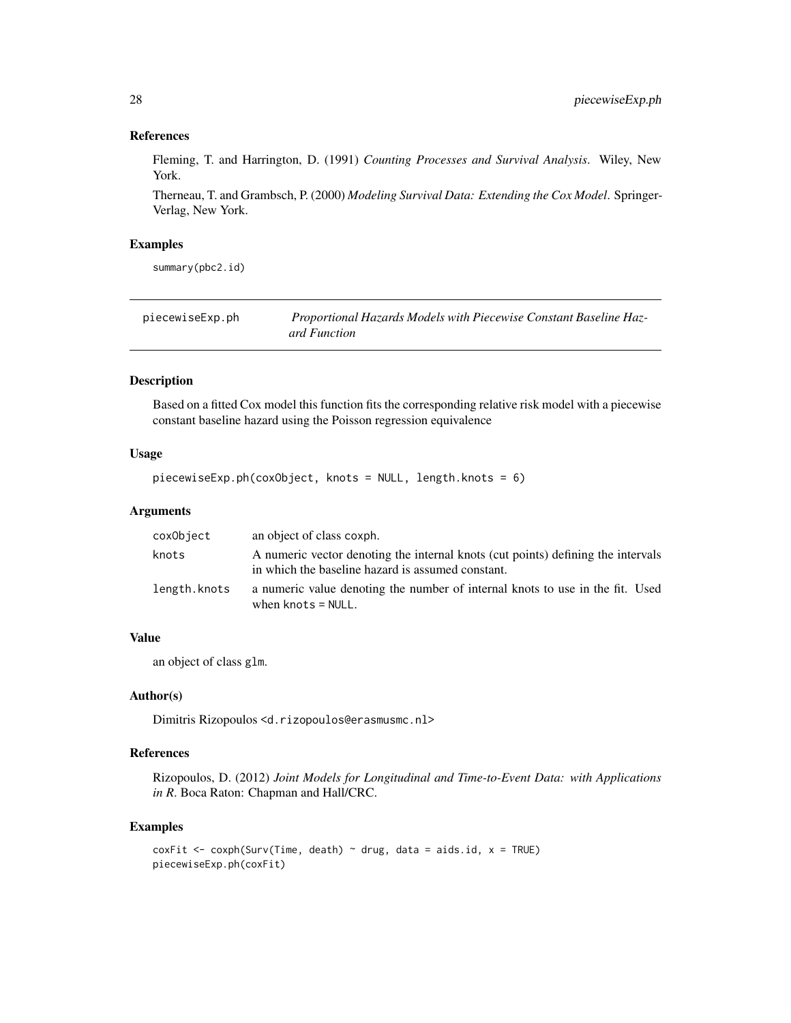#### References

Fleming, T. and Harrington, D. (1991) *Counting Processes and Survival Analysis*. Wiley, New York.

Therneau, T. and Grambsch, P. (2000) *Modeling Survival Data: Extending the Cox Model*. Springer-Verlag, New York.

#### Examples

summary(pbc2.id)

| piecewiseExp.ph | Proportional Hazards Models with Piecewise Constant Baseline Haz- |
|-----------------|-------------------------------------------------------------------|
|                 | ard Function                                                      |

#### Description

Based on a fitted Cox model this function fits the corresponding relative risk model with a piecewise constant baseline hazard using the Poisson regression equivalence

# Usage

```
piecewiseExp.ph(coxObject, knots = NULL, length.knots = 6)
```
# Arguments

| coxObject    | an object of class coxph.                                                                                                             |
|--------------|---------------------------------------------------------------------------------------------------------------------------------------|
| knots        | A numeric vector denoting the internal knots (cut points) defining the intervals<br>in which the baseline hazard is assumed constant. |
| length.knots | a numeric value denoting the number of internal knots to use in the fit. Used<br>when $knots = NULL$ .                                |

# Value

an object of class glm.

#### Author(s)

Dimitris Rizopoulos <d.rizopoulos@erasmusmc.nl>

# References

Rizopoulos, D. (2012) *Joint Models for Longitudinal and Time-to-Event Data: with Applications in R*. Boca Raton: Chapman and Hall/CRC.

```
coxFit <- coxph(Surv(Time, death) \sim drug, data = aids.id, x = TRUE)
piecewiseExp.ph(coxFit)
```
<span id="page-27-0"></span>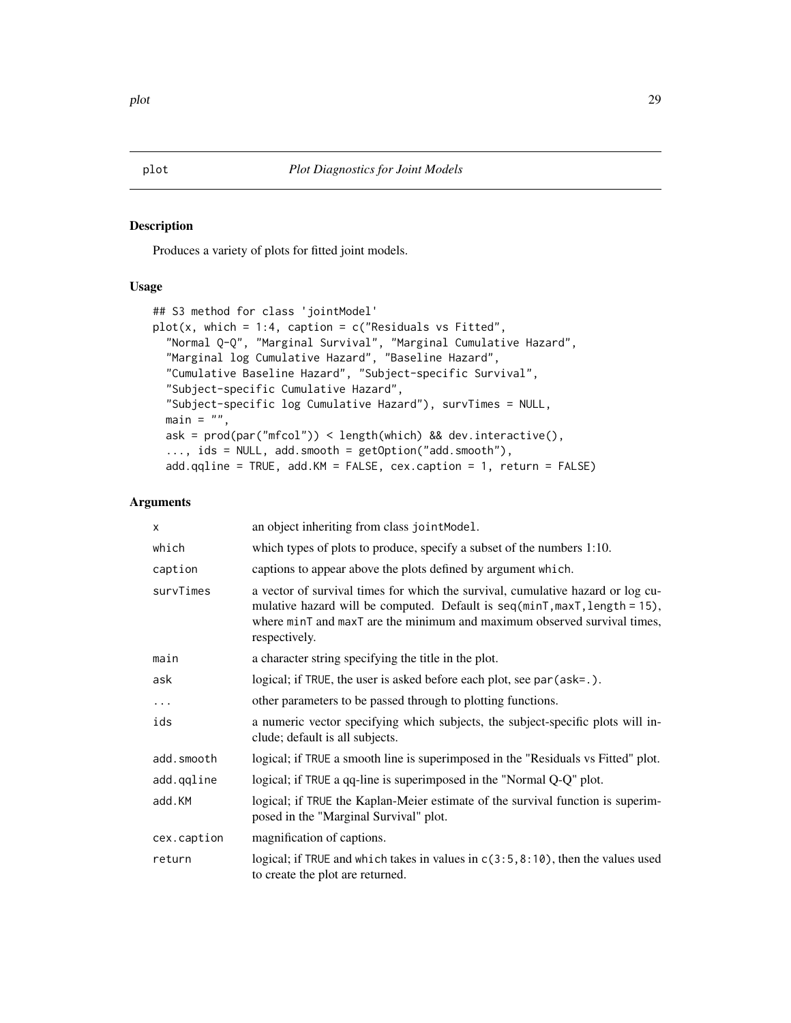<span id="page-28-1"></span>Produces a variety of plots for fitted joint models.

# Usage

```
## S3 method for class 'jointModel'
plot(x, which = 1:4, caption = c("Residuals vs Fitted","Normal Q-Q", "Marginal Survival", "Marginal Cumulative Hazard",
 "Marginal log Cumulative Hazard", "Baseline Hazard",
  "Cumulative Baseline Hazard", "Subject-specific Survival",
  "Subject-specific Cumulative Hazard",
  "Subject-specific log Cumulative Hazard"), survTimes = NULL,
 main = "",ask = prod(par("mfcol")) < length(which) && dev.interactive(),
  ..., ids = NULL, add.smooth = getOption("add.smooth"),
 add.qqline = TRUE, add.KM = FALSE, cex.caption = 1, return = FALSE)
```
# Arguments

| X           | an object inheriting from class jointModel.                                                                                                                                                                                                                   |
|-------------|---------------------------------------------------------------------------------------------------------------------------------------------------------------------------------------------------------------------------------------------------------------|
| which       | which types of plots to produce, specify a subset of the numbers 1:10.                                                                                                                                                                                        |
| caption     | captions to appear above the plots defined by argument which.                                                                                                                                                                                                 |
| survTimes   | a vector of survival times for which the survival, cumulative hazard or log cu-<br>mulative hazard will be computed. Default is $seq(minT, maxT, length = 15)$ ,<br>where minT and maxT are the minimum and maximum observed survival times,<br>respectively. |
| main        | a character string specifying the title in the plot.                                                                                                                                                                                                          |
| ask         | logical; if TRUE, the user is asked before each plot, see par (ask=.).                                                                                                                                                                                        |
| .           | other parameters to be passed through to plotting functions.                                                                                                                                                                                                  |
| ids         | a numeric vector specifying which subjects, the subject-specific plots will in-<br>clude; default is all subjects.                                                                                                                                            |
| add.smooth  | logical; if TRUE a smooth line is superimposed in the "Residuals vs Fitted" plot.                                                                                                                                                                             |
| add.qqline  | logical; if TRUE a qq-line is superimposed in the "Normal Q-Q" plot.                                                                                                                                                                                          |
| add.KM      | logical; if TRUE the Kaplan-Meier estimate of the survival function is superim-<br>posed in the "Marginal Survival" plot.                                                                                                                                     |
| cex.caption | magnification of captions.                                                                                                                                                                                                                                    |
| return      | logical; if TRUE and which takes in values in $c(3:5, 8:10)$ , then the values used<br>to create the plot are returned.                                                                                                                                       |

<span id="page-28-0"></span>plot the contract of the contract of the contract of the contract of the contract of the contract of the contract of the contract of the contract of the contract of the contract of the contract of the contract of the contr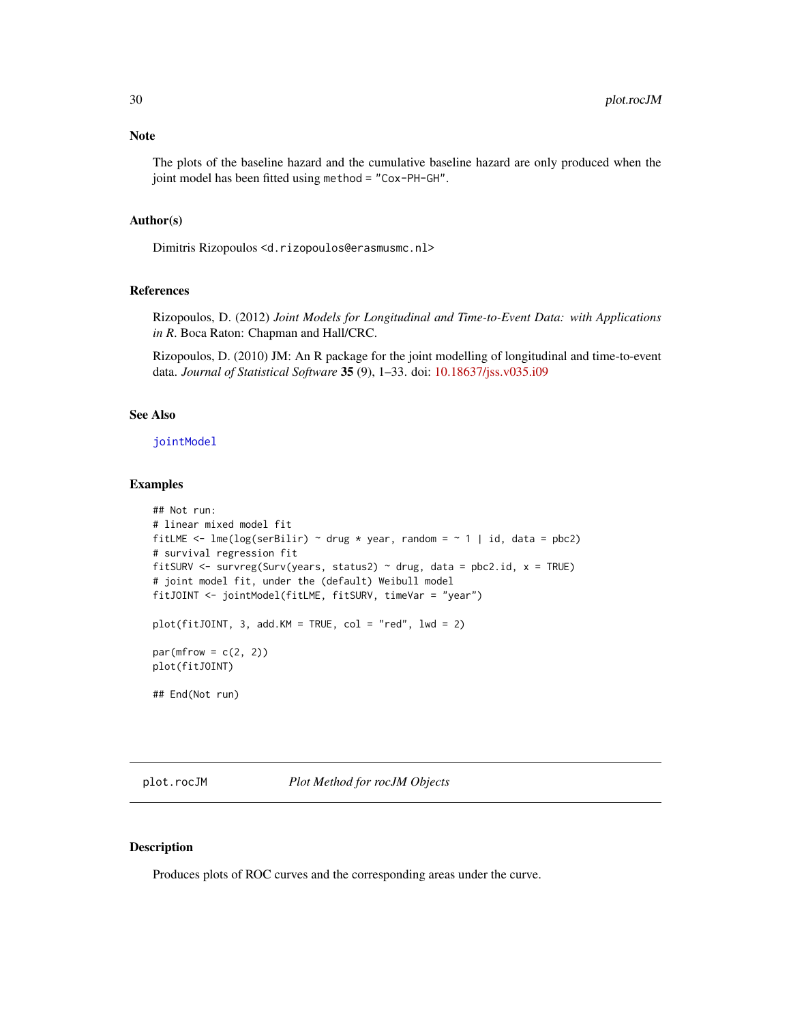<span id="page-29-0"></span>The plots of the baseline hazard and the cumulative baseline hazard are only produced when the joint model has been fitted using method = "Cox-PH-GH".

#### Author(s)

Dimitris Rizopoulos <d.rizopoulos@erasmusmc.nl>

# References

Rizopoulos, D. (2012) *Joint Models for Longitudinal and Time-to-Event Data: with Applications in R*. Boca Raton: Chapman and Hall/CRC.

Rizopoulos, D. (2010) JM: An R package for the joint modelling of longitudinal and time-to-event data. *Journal of Statistical Software* 35 (9), 1–33. doi: [10.18637/jss.v035.i09](https://doi.org/10.18637/jss.v035.i09)

# See Also

[jointModel](#page-16-1)

# Examples

```
## Not run:
# linear mixed model fit
fitLME <- lme(log(serBilir) ~ drug * year, random = ~ 1 | id, data = pbc2)
# survival regression fit
fitSURV <- survreg(Surv(years, status2) ~ drug, data = pbc2.id, x = TRUE)
# joint model fit, under the (default) Weibull model
fitJOINT <- jointModel(fitLME, fitSURV, timeVar = "year")
plot(fitJOINT, 3, add.KM = TRUE, col = "red", lw = 2)par(mfrow = c(2, 2))plot(fitJOINT)
## End(Not run)
```
<span id="page-29-1"></span>plot.rocJM *Plot Method for rocJM Objects*

### Description

Produces plots of ROC curves and the corresponding areas under the curve.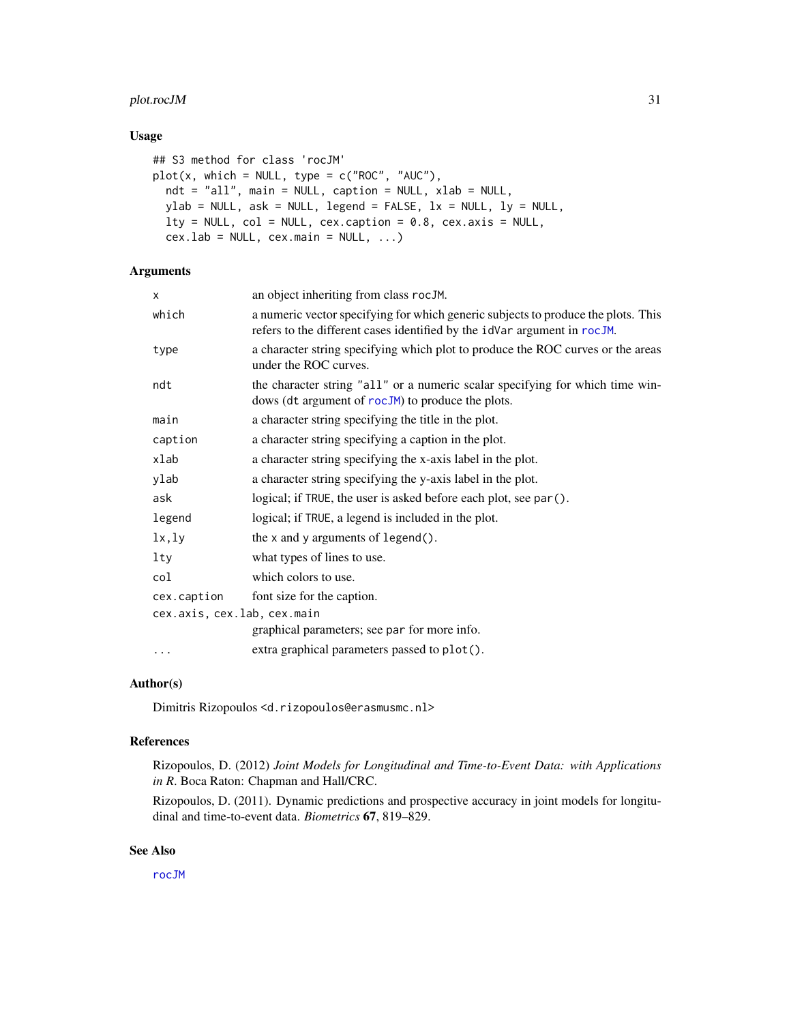# <span id="page-30-0"></span>plot.rocJM 31

# Usage

```
## S3 method for class 'rocJM'
plot(x, which = NULL, type = c("ROC", "AUC"),ndt = "all", main = NULL, caption = NULL, xlab = NULL,
 ylab = NULL, ask = NULL, legend = FALSE, lx = NULL, ly = NULL,
 lty = NULL, col = NULL, cex.caption = 0.8, cex.axis = NULL,
  cex.lab = NULL, cex.main = NULL, ...
```
# Arguments

| X                           | an object inheriting from class rocJM.                                                                                                                        |
|-----------------------------|---------------------------------------------------------------------------------------------------------------------------------------------------------------|
| which                       | a numeric vector specifying for which generic subjects to produce the plots. This<br>refers to the different cases identified by the idVar argument in rocJM. |
| type                        | a character string specifying which plot to produce the ROC curves or the areas<br>under the ROC curves.                                                      |
| ndt                         | the character string "all" or a numeric scalar specifying for which time win-<br>dows (dt argument of rocJM) to produce the plots.                            |
| main                        | a character string specifying the title in the plot.                                                                                                          |
| caption                     | a character string specifying a caption in the plot.                                                                                                          |
| xlab                        | a character string specifying the x-axis label in the plot.                                                                                                   |
| ylab                        | a character string specifying the y-axis label in the plot.                                                                                                   |
| ask                         | logical; if TRUE, the user is asked before each plot, see par().                                                                                              |
| legend                      | logical; if TRUE, a legend is included in the plot.                                                                                                           |
| lx, ly                      | the $x$ and $y$ arguments of legend $()$ .                                                                                                                    |
| lty                         | what types of lines to use.                                                                                                                                   |
| col                         | which colors to use.                                                                                                                                          |
| cex.caption                 | font size for the caption.                                                                                                                                    |
| cex.axis, cex.lab, cex.main |                                                                                                                                                               |
|                             | graphical parameters; see par for more info.                                                                                                                  |
| $\cdots$                    | extra graphical parameters passed to plot().                                                                                                                  |
|                             |                                                                                                                                                               |

# Author(s)

Dimitris Rizopoulos <d.rizopoulos@erasmusmc.nl>

#### References

Rizopoulos, D. (2012) *Joint Models for Longitudinal and Time-to-Event Data: with Applications in R*. Boca Raton: Chapman and Hall/CRC.

Rizopoulos, D. (2011). Dynamic predictions and prospective accuracy in joint models for longitudinal and time-to-event data. *Biometrics* 67, 819–829.

# See Also

[rocJM](#page-42-1)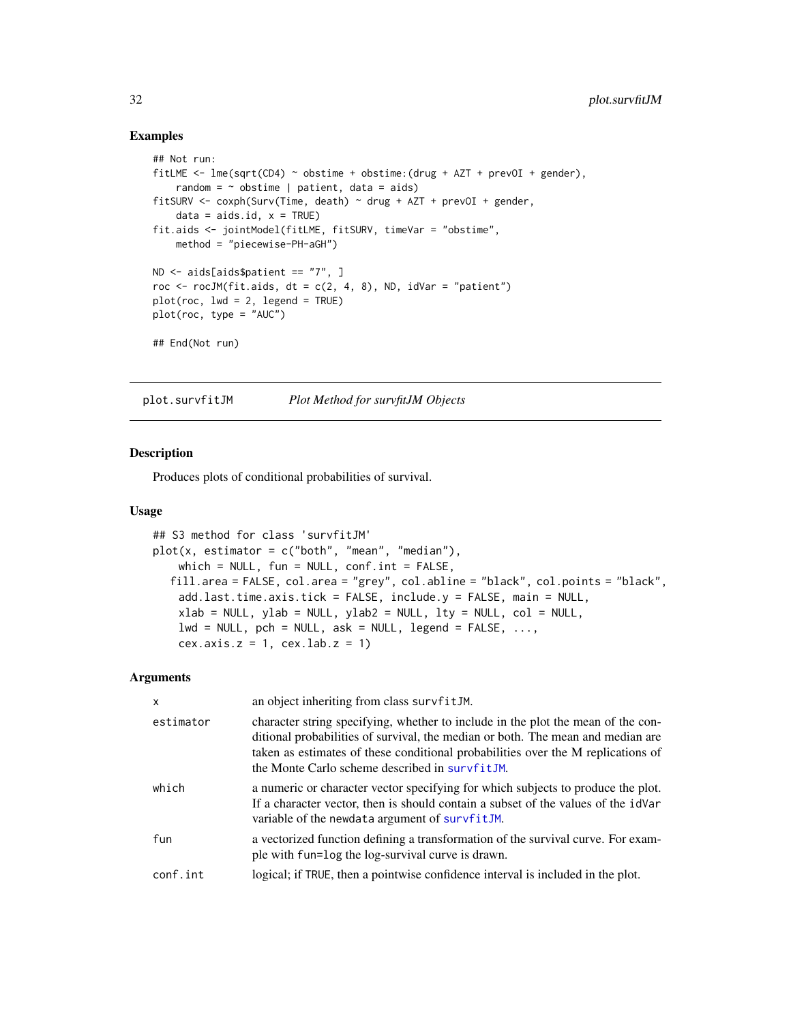#### Examples

```
## Not run:
fitLME \le - lme(sqrt(CD4) \sim obstime + obstime:(drug + AZT + prevOI + gender),
   random = \sim obstime | patient, data = aids)
fitSURV <- coxph(Surv(Time, death) ~ drug + AZT + prevOI + gender,
   data = aids.id, x = TRUE)fit.aids <- jointModel(fitLME, fitSURV, timeVar = "obstime",
   method = "piecewise-PH-aGH")
ND <- aids[aids$patient == "7", ]
roc \le rocJM(fit.aids, dt = c(2, 4, 8), ND, idVar = "patient")
plot(root, lwd = 2, legend = TRUE)plot(roc, type = "AUC")
## End(Not run)
```
<span id="page-31-1"></span>plot.survfitJM *Plot Method for survfitJM Objects*

#### Description

Produces plots of conditional probabilities of survival.

#### Usage

```
## S3 method for class 'survfitJM'
plot(x, estimator = c("both", "mean", "median"),which = NULL, fun = NULL, conf.int = FALSE,
  fill.area = FALSE, col.area = "grey", col.abline = "black", col.points = "black",
   add.last.time.axis.tick = FALSE, include.y = FALSE, main = NULL,
   xlab = NULL, ylab = NULL, ylab2 = NULL, lty = NULL, col = NULL,
   lwd = NULL, pch = NULL, ask = NULL, legend = FALSE, ...,
   cex.axis.z = 1, cex.lab.z = 1)
```
#### Arguments

| $\mathsf{x}$ | an object inheriting from class survfitJM.                                                                                                                                                                                                                                                                |
|--------------|-----------------------------------------------------------------------------------------------------------------------------------------------------------------------------------------------------------------------------------------------------------------------------------------------------------|
| estimator    | character string specifying, whether to include in the plot the mean of the con-<br>ditional probabilities of survival, the median or both. The mean and median are<br>taken as estimates of these conditional probabilities over the M replications of<br>the Monte Carlo scheme described in survfitJM. |
| which        | a numeric or character vector specifying for which subjects to produce the plot.<br>If a character vector, then is should contain a subset of the values of the idVar<br>variable of the newdata argument of survfitJM.                                                                                   |
| fun          | a vectorized function defining a transformation of the survival curve. For exam-<br>ple with fun=log the log-survival curve is drawn.                                                                                                                                                                     |
| conf.int     | logical; if TRUE, then a pointwise confidence interval is included in the plot.                                                                                                                                                                                                                           |

<span id="page-31-0"></span>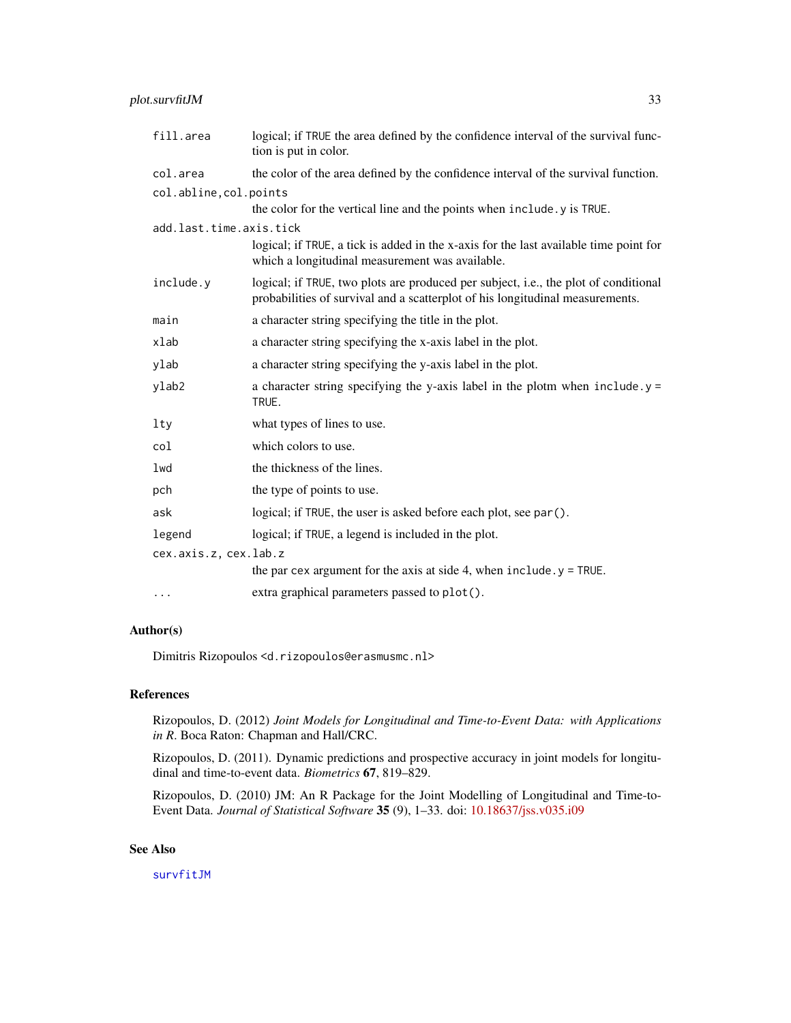# <span id="page-32-0"></span>plot.survfitJM 33

| fill.area               | logical; if TRUE the area defined by the confidence interval of the survival func-<br>tion is put in color.                                                          |
|-------------------------|----------------------------------------------------------------------------------------------------------------------------------------------------------------------|
| col.area                | the color of the area defined by the confidence interval of the survival function.                                                                                   |
| col.abline, col.points  | the color for the vertical line and the points when include . y is TRUE.                                                                                             |
| add.last.time.axis.tick |                                                                                                                                                                      |
|                         | logical; if TRUE, a tick is added in the x-axis for the last available time point for<br>which a longitudinal measurement was available.                             |
| include.y               | logical; if TRUE, two plots are produced per subject, i.e., the plot of conditional<br>probabilities of survival and a scatterplot of his longitudinal measurements. |
| main                    | a character string specifying the title in the plot.                                                                                                                 |
| xlab                    | a character string specifying the x-axis label in the plot.                                                                                                          |
| ylab                    | a character string specifying the y-axis label in the plot.                                                                                                          |
| ylab2                   | a character string specifying the y-axis label in the plotm when $include y =$<br>TRUE.                                                                              |
| $1$ ty                  | what types of lines to use.                                                                                                                                          |
| col                     | which colors to use.                                                                                                                                                 |
| lwd                     | the thickness of the lines.                                                                                                                                          |
| pch                     | the type of points to use.                                                                                                                                           |
| ask                     | logical; if TRUE, the user is asked before each plot, see par ().                                                                                                    |
| legend                  | logical; if TRUE, a legend is included in the plot.                                                                                                                  |
| cex.axis.z, cex.lab.z   |                                                                                                                                                                      |
|                         | the par cex argument for the axis at side 4, when $include y = TRUE$ .                                                                                               |
| $\cdot$                 | extra graphical parameters passed to plot().                                                                                                                         |

#### Author(s)

Dimitris Rizopoulos <d.rizopoulos@erasmusmc.nl>

# References

Rizopoulos, D. (2012) *Joint Models for Longitudinal and Time-to-Event Data: with Applications in R*. Boca Raton: Chapman and Hall/CRC.

Rizopoulos, D. (2011). Dynamic predictions and prospective accuracy in joint models for longitudinal and time-to-event data. *Biometrics* 67, 819–829.

Rizopoulos, D. (2010) JM: An R Package for the Joint Modelling of Longitudinal and Time-to-Event Data. *Journal of Statistical Software* 35 (9), 1–33. doi: [10.18637/jss.v035.i09](https://doi.org/10.18637/jss.v035.i09)

# See Also

[survfitJM](#page-49-1)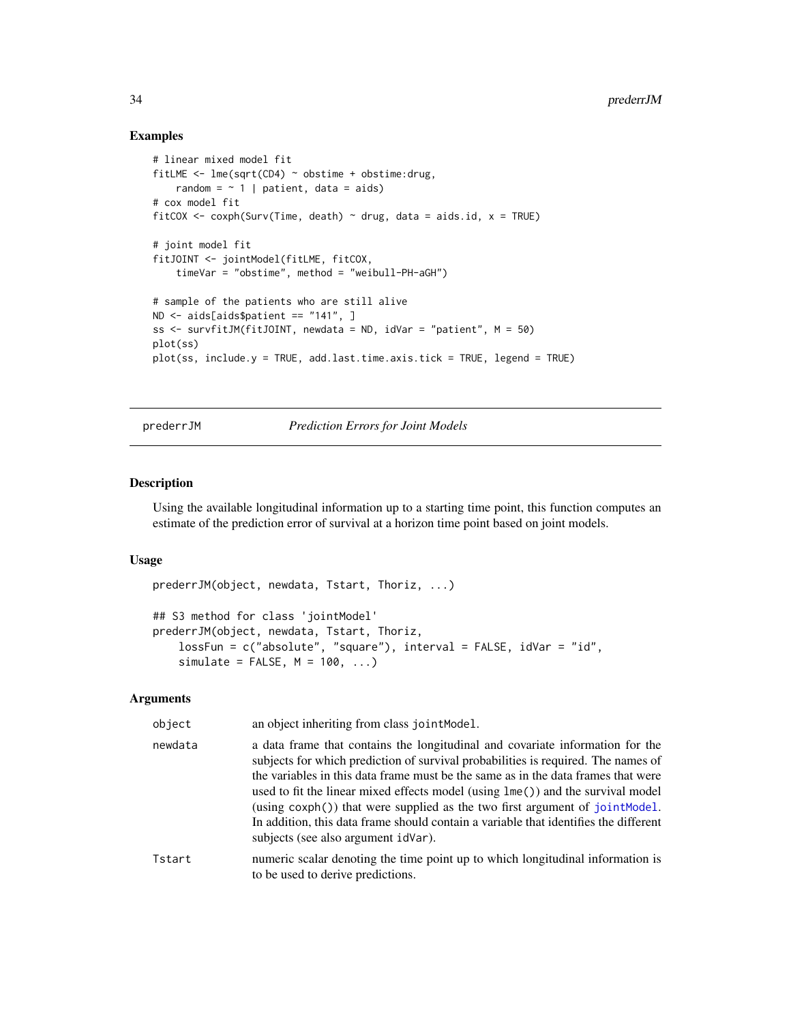#### Examples

```
# linear mixed model fit
fitLME \leq lme(sqrt(CD4) \sim obstime + obstime: drug,
   random = \sim 1 | patient, data = aids)
# cox model fit
fitCOX <- coxph(Surv(Time, death) \sim drug, data = aids.id, x = TRUE)
# joint model fit
fitJOINT <- jointModel(fitLME, fitCOX,
    timeVar = "obstime", method = "weibull-PH-aGH")
# sample of the patients who are still alive
ND <- aids[aids$patient == "141", ]
ss <- survfitJM(fitJOINT, newdata = ND, idVar = "patient", M = 50)
plot(ss)
plot(ss, include.y = TRUE, add.last.time.axis.tick = TRUE, legend = TRUE)
```
<span id="page-33-1"></span>prederrJM *Prediction Errors for Joint Models*

# **Description**

Using the available longitudinal information up to a starting time point, this function computes an estimate of the prediction error of survival at a horizon time point based on joint models.

### Usage

```
prederrJM(object, newdata, Tstart, Thoriz, ...)
## S3 method for class 'jointModel'
prederrJM(object, newdata, Tstart, Thoriz,
    lossFun = c("absolute", "square"), interval = FALSE, idVar = "id",
   simulate = FALSE, M = 100, ...
```
#### Arguments

| object  | an object inheriting from class jointModel.                                                                                                                                                                                                                                                                                                                                                                                                                                                                                                                  |
|---------|--------------------------------------------------------------------------------------------------------------------------------------------------------------------------------------------------------------------------------------------------------------------------------------------------------------------------------------------------------------------------------------------------------------------------------------------------------------------------------------------------------------------------------------------------------------|
| newdata | a data frame that contains the longitudinal and covariate information for the<br>subjects for which prediction of survival probabilities is required. The names of<br>the variables in this data frame must be the same as in the data frames that were<br>used to fit the linear mixed effects model (using lme()) and the survival model<br>(using $\cosh()$ ) that were supplied as the two first argument of joint Model.<br>In addition, this data frame should contain a variable that identifies the different<br>subjects (see also argument idVar). |
| Tstart  | numeric scalar denoting the time point up to which longitudinal information is<br>to be used to derive predictions.                                                                                                                                                                                                                                                                                                                                                                                                                                          |

<span id="page-33-0"></span>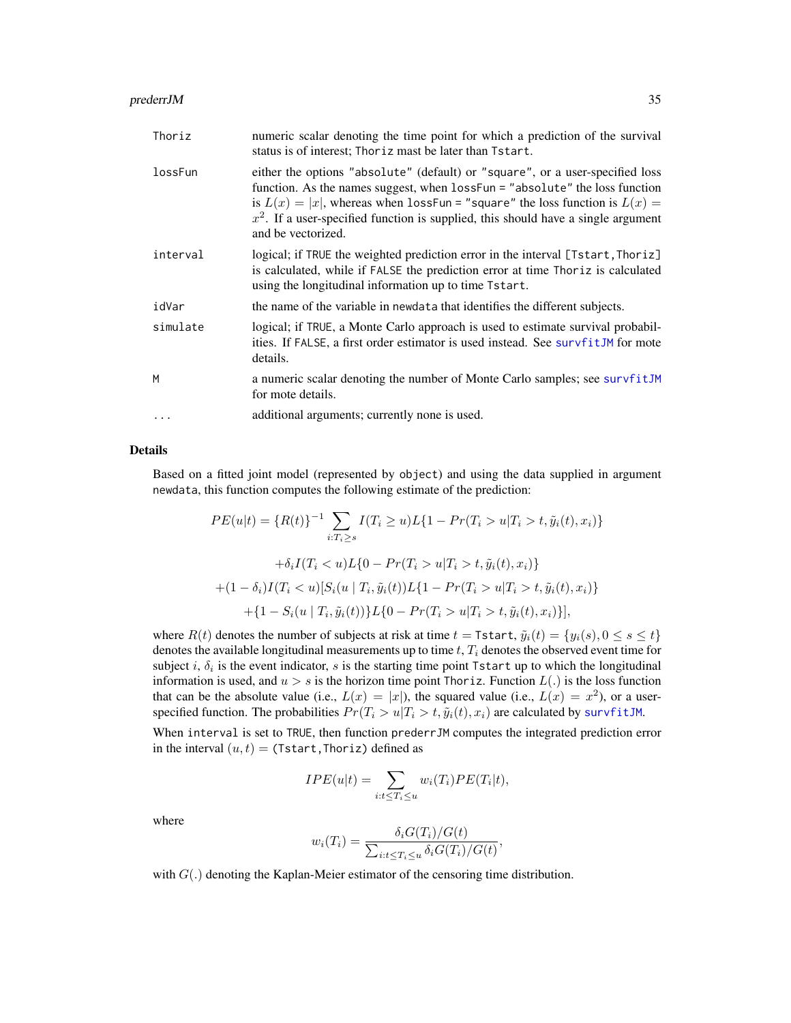#### <span id="page-34-0"></span>prederrJM 35

| Thoriz   | numeric scalar denoting the time point for which a prediction of the survival<br>status is of interest; Thoriz mast be later than Tstart.                                                                                                                                                                                                                     |
|----------|---------------------------------------------------------------------------------------------------------------------------------------------------------------------------------------------------------------------------------------------------------------------------------------------------------------------------------------------------------------|
| lossFun  | either the options "absolute" (default) or "square", or a user-specified loss<br>function. As the names suggest, when lossFun = "absolute" the loss function<br>is $L(x) =  x $ , whereas when lossFun = "square" the loss function is $L(x) =$<br>$x^2$ . If a user-specified function is supplied, this should have a single argument<br>and be vectorized. |
| interval | logical; if TRUE the weighted prediction error in the interval [Tstart, Thoriz]<br>is calculated, while if FALSE the prediction error at time Thoriz is calculated<br>using the longitudinal information up to time Tstart.                                                                                                                                   |
| idVar    | the name of the variable in newdata that identifies the different subjects.                                                                                                                                                                                                                                                                                   |
| simulate | logical; if TRUE, a Monte Carlo approach is used to estimate survival probabil-<br>ities. If FALSE, a first order estimator is used instead. See survfitJM for mote<br>details.                                                                                                                                                                               |
| M        | a numeric scalar denoting the number of Monte Carlo samples; see survfitJM<br>for mote details.                                                                                                                                                                                                                                                               |
| $\cdots$ | additional arguments; currently none is used.                                                                                                                                                                                                                                                                                                                 |

# Details

Based on a fitted joint model (represented by object) and using the data supplied in argument newdata, this function computes the following estimate of the prediction:

$$
PE(u|t) = \{R(t)\}^{-1} \sum_{i:T_i \ge s} I(T_i \ge u)L\{1 - Pr(T_i > u|T_i > t, \tilde{y}_i(t), x_i)\}
$$

$$
+ \delta_i I(T_i < u)L\{0 - Pr(T_i > u|T_i > t, \tilde{y}_i(t), x_i)\}
$$

$$
+ (1 - \delta_i)I(T_i < u)[S_i(u | T_i, \tilde{y}_i(t))L\{1 - Pr(T_i > u|T_i > t, \tilde{y}_i(t), x_i)\}
$$

$$
+ \{1 - S_i(u | T_i, \tilde{y}_i(t))\}L\{0 - Pr(T_i > u|T_i > t, \tilde{y}_i(t), x_i)\}],
$$

where  $R(t)$  denotes the number of subjects at risk at time  $t = \text{Tstart}, \tilde{y}_i(t) = \{y_i(s), 0 \le s \le t\}$ denotes the available longitudinal measurements up to time  $t$ ,  $T_i$  denotes the observed event time for subject i,  $\delta_i$  is the event indicator, s is the starting time point Tstart up to which the longitudinal information is used, and  $u > s$  is the horizon time point Thoriz. Function  $L(.)$  is the loss function that can be the absolute value (i.e.,  $L(x) = |x|$ ), the squared value (i.e.,  $L(x) = x^2$ ), or a userspecified function. The probabilities  $Pr(T_i > u | T_i > t, \tilde{y}_i(t), x_i)$  are calculated by [survfitJM](#page-49-1).

When interval is set to TRUE, then function prederrJM computes the integrated prediction error in the interval  $(u, t) =$  (Tstart, Thoriz) defined as

$$
IPE(u|t) = \sum_{i:t \leq T_i \leq u} w_i(T_i)PE(T_i|t),
$$

where

$$
w_i(T_i) = \frac{\delta_i G(T_i)/G(t)}{\sum_{i:t \le T_i \le u} \delta_i G(T_i)/G(t)},
$$

with  $G(.)$  denoting the Kaplan-Meier estimator of the censoring time distribution.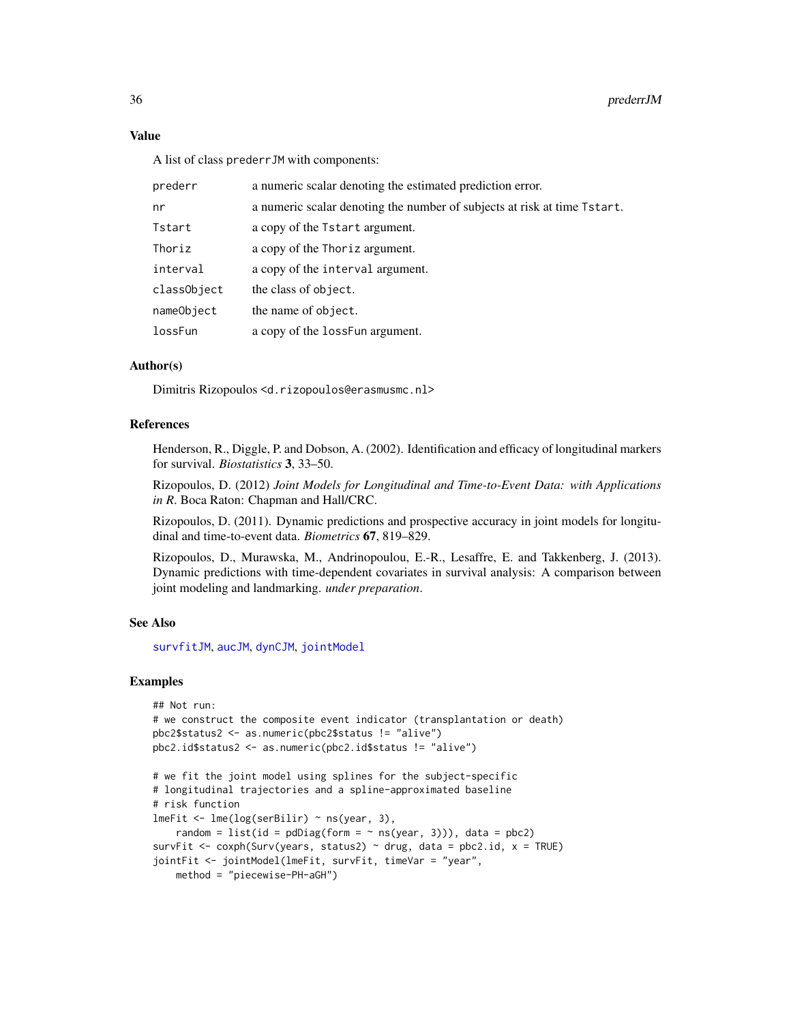#### Value

A list of class prederrJM with components:

| prederr     | a numeric scalar denoting the estimated prediction error.                |
|-------------|--------------------------------------------------------------------------|
| nr          | a numeric scalar denoting the number of subjects at risk at time Tstart. |
| Tstart      | a copy of the Tstart argument.                                           |
| Thoriz      | a copy of the Thoriz argument.                                           |
| interval    | a copy of the interval argument.                                         |
| classObject | the class of object.                                                     |
| nameObject  | the name of object.                                                      |
| lossFun     | a copy of the loss Fun argument.                                         |
|             |                                                                          |

### Author(s)

Dimitris Rizopoulos <d.rizopoulos@erasmusmc.nl>

# References

Henderson, R., Diggle, P. and Dobson, A. (2002). Identification and efficacy of longitudinal markers for survival. *Biostatistics* 3, 33–50.

Rizopoulos, D. (2012) *Joint Models for Longitudinal and Time-to-Event Data: with Applications in R*. Boca Raton: Chapman and Hall/CRC.

Rizopoulos, D. (2011). Dynamic predictions and prospective accuracy in joint models for longitudinal and time-to-event data. *Biometrics* 67, 819–829.

Rizopoulos, D., Murawska, M., Andrinopoulou, E.-R., Lesaffre, E. and Takkenberg, J. (2013). Dynamic predictions with time-dependent covariates in survival analysis: A comparison between joint modeling and landmarking. *under preparation*.

### See Also

[survfitJM](#page-49-1), [aucJM](#page-4-1), [dynCJM](#page-10-1), [jointModel](#page-16-1)

```
## Not run:
# we construct the composite event indicator (transplantation or death)
pbc2$status2 <- as.numeric(pbc2$status != "alive")
pbc2.id$status2 <- as.numeric(pbc2.id$status != "alive")
# we fit the joint model using splines for the subject-specific
# longitudinal trajectories and a spline-approximated baseline
# risk function
lmeFit <- lme(log(serBilir) ~ ns(year, 3),
    random = list(id = pdDiag(form = ~ns(year, 3))), data = pbc2)survFit <- coxph(Surv(years, status2) \sim drug, data = pbc2.id, x = TRUE)
jointFit <- jointModel(lmeFit, survFit, timeVar = "year",
   method = "piecewise-PH-aGH")
```
<span id="page-35-0"></span>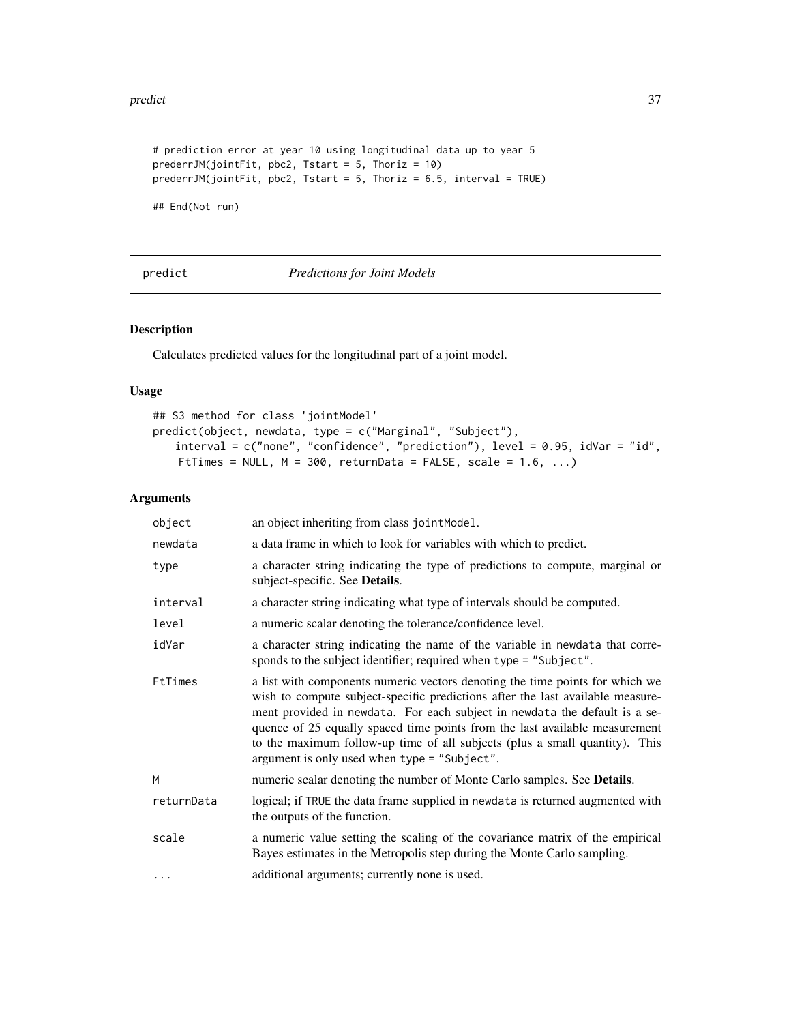#### <span id="page-36-0"></span>predict 37

```
# prediction error at year 10 using longitudinal data up to year 5
prederrJM(jointFit, pbc2, Tstart = 5, Thoriz = 10)
prederrJM(jointFit, pbc2, Tstart = 5, Thoriz = 6.5, interval = TRUE)
```
## End(Not run)

<span id="page-36-1"></span>predict *Predictions for Joint Models*

#### Description

Calculates predicted values for the longitudinal part of a joint model.

# Usage

```
## S3 method for class 'jointModel'
predict(object, newdata, type = c("Marginal", "Subject"),
   interval = c("none", "confidence", "prediction"), level = 0.95, idVar = "id",
   FtTimes = NULL, M = 300, returnData = FALSE, scale = 1.6, ...)
```
# Arguments

| object     | an object inheriting from class jointModel.                                                                                                                                                                                                                                                                                                                                                                                                                |
|------------|------------------------------------------------------------------------------------------------------------------------------------------------------------------------------------------------------------------------------------------------------------------------------------------------------------------------------------------------------------------------------------------------------------------------------------------------------------|
| newdata    | a data frame in which to look for variables with which to predict.                                                                                                                                                                                                                                                                                                                                                                                         |
| type       | a character string indicating the type of predictions to compute, marginal or<br>subject-specific. See Details.                                                                                                                                                                                                                                                                                                                                            |
| interval   | a character string indicating what type of intervals should be computed.                                                                                                                                                                                                                                                                                                                                                                                   |
| level      | a numeric scalar denoting the tolerance/confidence level.                                                                                                                                                                                                                                                                                                                                                                                                  |
| idVar      | a character string indicating the name of the variable in newdata that corre-<br>sponds to the subject identifier; required when type = "Subject".                                                                                                                                                                                                                                                                                                         |
| FtTimes    | a list with components numeric vectors denoting the time points for which we<br>wish to compute subject-specific predictions after the last available measure-<br>ment provided in newdata. For each subject in newdata the default is a se-<br>quence of 25 equally spaced time points from the last available measurement<br>to the maximum follow-up time of all subjects (plus a small quantity). This<br>argument is only used when type = "Subject". |
| M          | numeric scalar denoting the number of Monte Carlo samples. See Details.                                                                                                                                                                                                                                                                                                                                                                                    |
| returnData | logical; if TRUE the data frame supplied in newdata is returned augmented with<br>the outputs of the function.                                                                                                                                                                                                                                                                                                                                             |
| scale      | a numeric value setting the scaling of the covariance matrix of the empirical<br>Bayes estimates in the Metropolis step during the Monte Carlo sampling.                                                                                                                                                                                                                                                                                                   |
| $\cdots$   | additional arguments; currently none is used.                                                                                                                                                                                                                                                                                                                                                                                                              |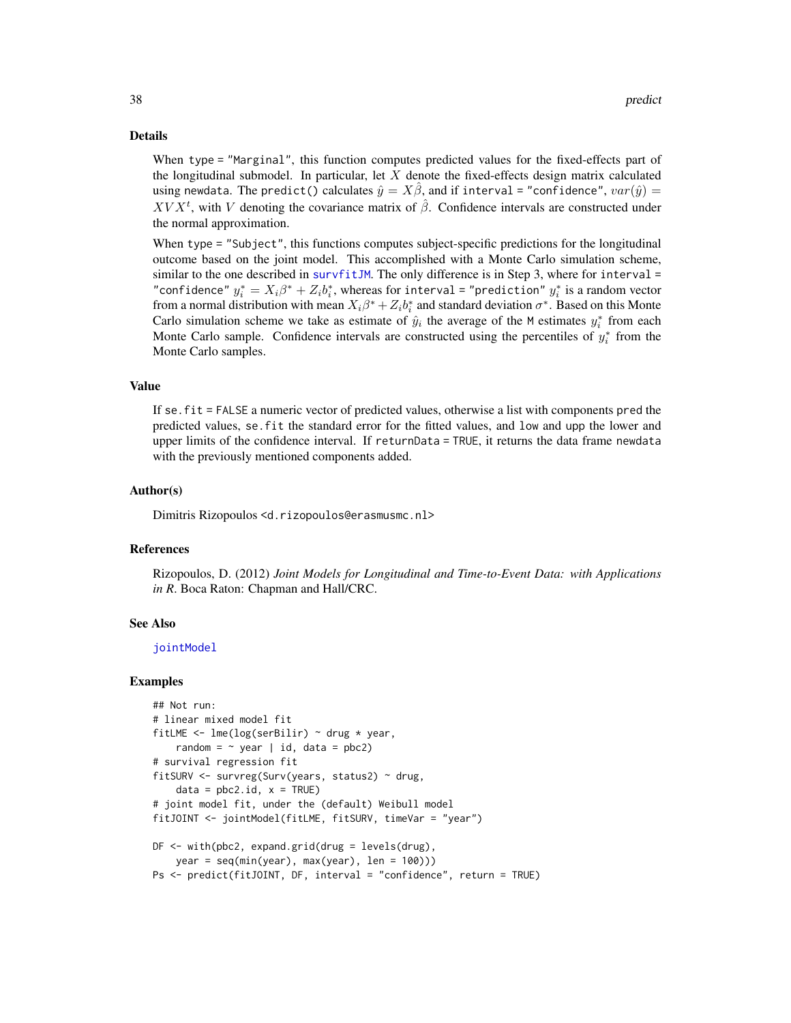#### <span id="page-37-0"></span>Details

When type = "Marginal", this function computes predicted values for the fixed-effects part of the longitudinal submodel. In particular, let  $X$  denote the fixed-effects design matrix calculated using newdata. The predict() calculates  $\hat{y} = X\hat{\beta}$ , and if interval = "confidence",  $var(\hat{y}) =$  $XV X<sup>t</sup>$ , with V denoting the covariance matrix of  $\hat{\beta}$ . Confidence intervals are constructed under the normal approximation.

When type = "Subject", this functions computes subject-specific predictions for the longitudinal outcome based on the joint model. This accomplished with a Monte Carlo simulation scheme, similar to the one described in [survfitJM](#page-49-1). The only difference is in Step 3, where for interval  $=$ "confidence"  $y_i^* = X_i \beta^* + Z_i b_i^*$ , whereas for interval = "prediction"  $y_i^*$  is a random vector from a normal distribution with mean  $X_i\beta^* + Z_i b_i^*$  and standard deviation  $\sigma^*$ . Based on this Monte Carlo simulation scheme we take as estimate of  $\hat{y}_i$  the average of the M estimates  $y_i^*$  from each Monte Carlo sample. Confidence intervals are constructed using the percentiles of  $y_i^*$  from the Monte Carlo samples.

#### Value

If se.fit = FALSE a numeric vector of predicted values, otherwise a list with components pred the predicted values, se.fit the standard error for the fitted values, and low and upp the lower and upper limits of the confidence interval. If returnData = TRUE, it returns the data frame newdata with the previously mentioned components added.

#### Author(s)

Dimitris Rizopoulos <d.rizopoulos@erasmusmc.nl>

#### References

Rizopoulos, D. (2012) *Joint Models for Longitudinal and Time-to-Event Data: with Applications in R*. Boca Raton: Chapman and Hall/CRC.

#### See Also

[jointModel](#page-16-1)

```
## Not run:
# linear mixed model fit
fitLME \leq lme(log(serBilir) \sim drug \star year,
    random = \sim year | id, data = pbc2)
# survival regression fit
fitSURV <- survreg(Surv(years, status2) ~ drug,
    data = pbc2.id, x = TRUE)# joint model fit, under the (default) Weibull model
fitJOINT <- jointModel(fitLME, fitSURV, timeVar = "year")
DF <- with(pbc2, expand.grid(drug = levels(drug),
   year = seq(min(year), max(year), len = 100))Ps <- predict(fitJOINT, DF, interval = "confidence", return = TRUE)
```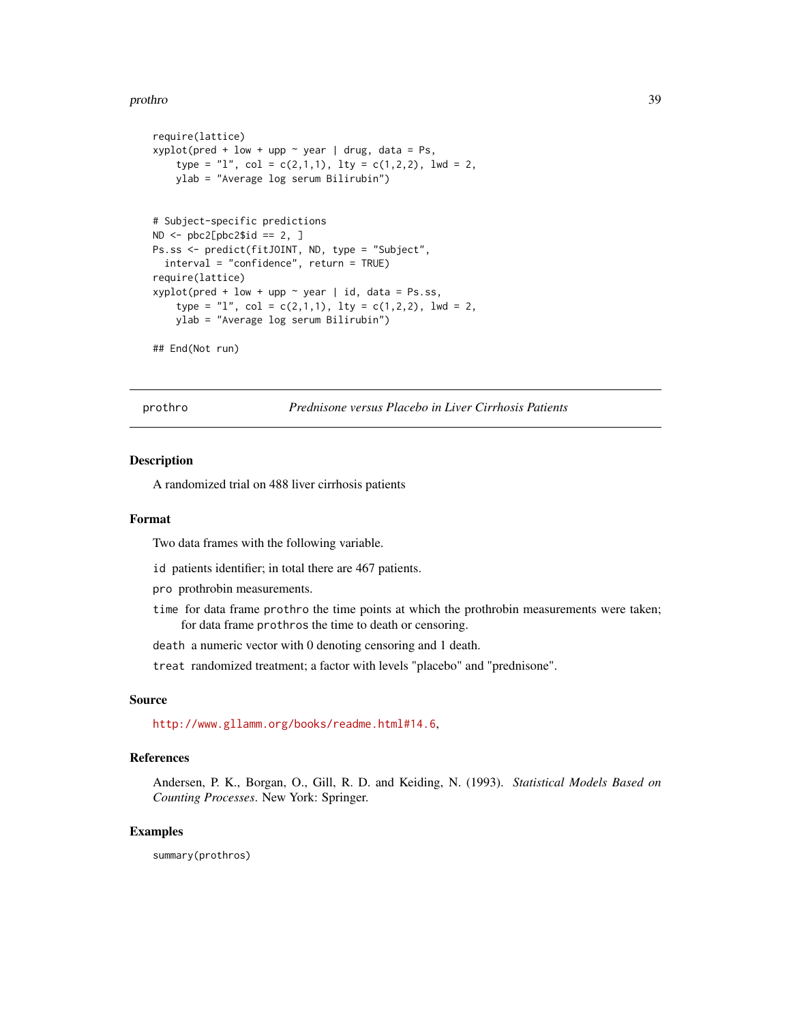#### <span id="page-38-0"></span>prothro 39

```
require(lattice)
xyplot(pred + low + upp ~ year ~ | drug, data = Ps,
    type = "1", col = c(2,1,1), lty = c(1,2,2), lwd = 2,ylab = "Average log serum Bilirubin")
# Subject-specific predictions
ND \leftarrow \text{pbc2}[ \text{pbc2$id} == 2, ]Ps.ss <- predict(fitJOINT, ND, type = "Subject",
  interval = "confidence", return = TRUE)
require(lattice)
xyplot(pred + low + upp ~ year | id, data = Ps:ss,type = "l", col = c(2,1,1), lty = c(1,2,2), lwd = 2,
    ylab = "Average log serum Bilirubin")
```

```
## End(Not run)
```
prothro *Prednisone versus Placebo in Liver Cirrhosis Patients*

#### Description

A randomized trial on 488 liver cirrhosis patients

# Format

Two data frames with the following variable.

id patients identifier; in total there are 467 patients.

pro prothrobin measurements.

- time for data frame prothro the time points at which the prothrobin measurements were taken; for data frame prothros the time to death or censoring.
- death a numeric vector with 0 denoting censoring and 1 death.

treat randomized treatment; a factor with levels "placebo" and "prednisone".

#### Source

<http://www.gllamm.org/books/readme.html#14.6>,

#### References

Andersen, P. K., Borgan, O., Gill, R. D. and Keiding, N. (1993). *Statistical Models Based on Counting Processes*. New York: Springer.

#### Examples

summary(prothros)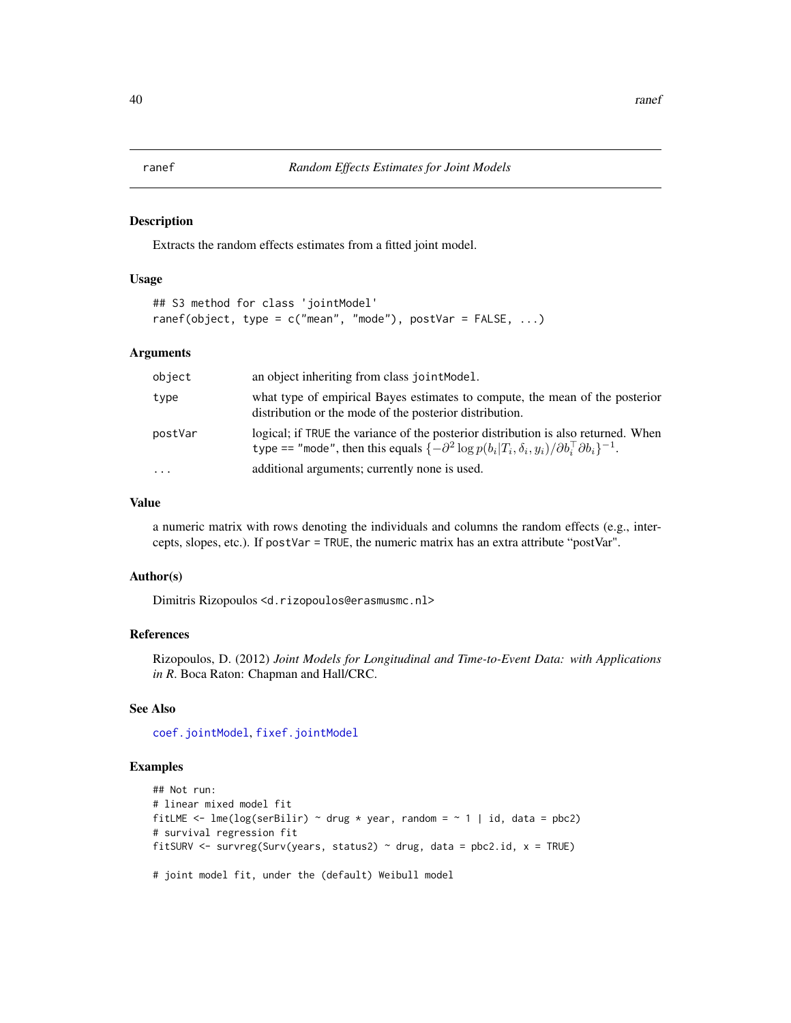<span id="page-39-1"></span><span id="page-39-0"></span>Extracts the random effects estimates from a fitted joint model.

#### Usage

```
## S3 method for class 'jointModel'
ranef(object, type = c("mean", "mode"), postVar = FALSE, ...)
```
#### Arguments

| object   | an object inheriting from class joint Model.                                                                                                                                                                    |
|----------|-----------------------------------------------------------------------------------------------------------------------------------------------------------------------------------------------------------------|
| type     | what type of empirical Bayes estimates to compute, the mean of the posterior<br>distribution or the mode of the posterior distribution.                                                                         |
| postVar  | logical; if TRUE the variance of the posterior distribution is also returned. When<br>type == "mode", then this equals $\{-\partial^2 \log p(b_i T_i, \delta_i, y_i)/\partial b_i^{\top} \partial b_i\}^{-1}$ . |
| $\cdots$ | additional arguments; currently none is used.                                                                                                                                                                   |

#### Value

a numeric matrix with rows denoting the individuals and columns the random effects (e.g., intercepts, slopes, etc.). If postVar = TRUE, the numeric matrix has an extra attribute "postVar".

#### Author(s)

Dimitris Rizopoulos <d.rizopoulos@erasmusmc.nl>

#### References

Rizopoulos, D. (2012) *Joint Models for Longitudinal and Time-to-Event Data: with Applications in R*. Boca Raton: Chapman and Hall/CRC.

#### See Also

[coef.jointModel](#page-6-1), [fixef.jointModel](#page-6-1)

```
## Not run:
# linear mixed model fit
fitLME <- lme(log(serBilir) ~ drug * year, random = ~ 1 | id, data = pbc2)
# survival regression fit
fitSURV <- survreg(Surv(years, status2) ~ drug, data = pbc2.id, x = TRUE)
# joint model fit, under the (default) Weibull model
```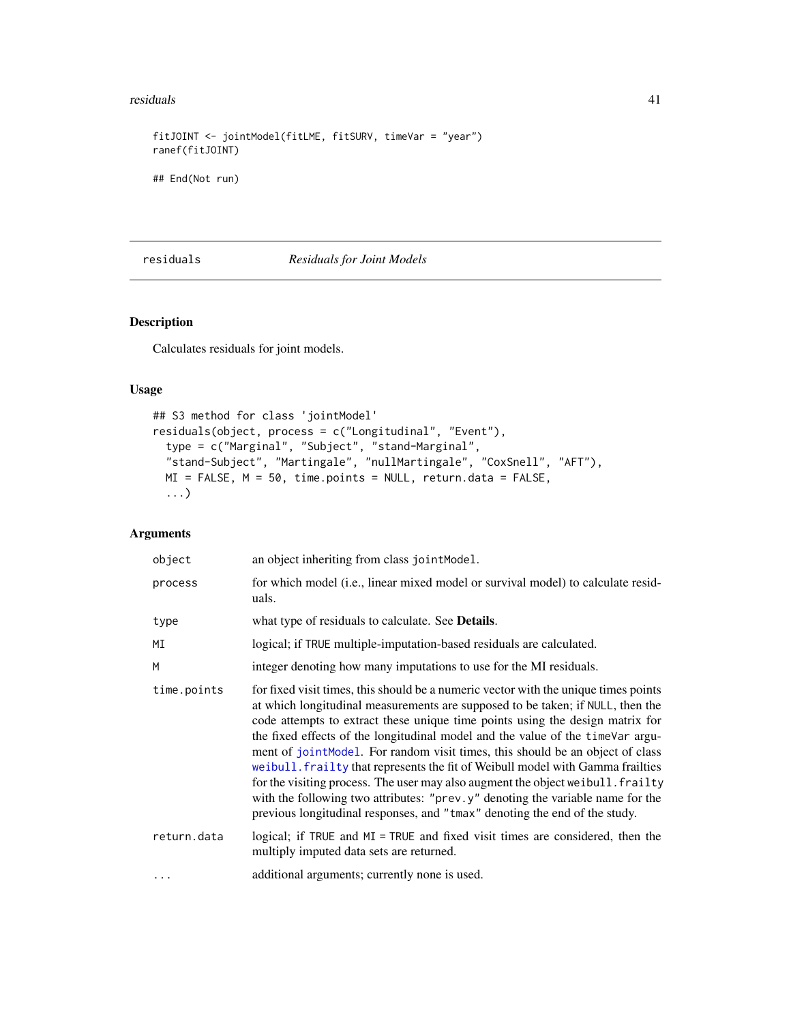#### <span id="page-40-0"></span>residuals 41

```
fitJOINT <- jointModel(fitLME, fitSURV, timeVar = "year")
ranef(fitJOINT)
## End(Not run)
```
#### residuals *Residuals for Joint Models*

# <span id="page-40-1"></span>Description

Calculates residuals for joint models.

#### Usage

```
## S3 method for class 'jointModel'
residuals(object, process = c("Longitudinal", "Event"),
  type = c("Marginal", "Subject", "stand-Marginal",
  "stand-Subject", "Martingale", "nullMartingale", "CoxSnell", "AFT"),
 MI = FALSE, M = 50, time.points = NULL, return.data = FALSE,
  ...)
```
# Arguments

| object      | an object inheriting from class jointModel.                                                                                                                                                                                                                                                                                                                                                                                                                                                                                                                                                                                                                                                                                                                     |
|-------------|-----------------------------------------------------------------------------------------------------------------------------------------------------------------------------------------------------------------------------------------------------------------------------------------------------------------------------------------------------------------------------------------------------------------------------------------------------------------------------------------------------------------------------------------------------------------------------------------------------------------------------------------------------------------------------------------------------------------------------------------------------------------|
| process     | for which model ( <i>i.e.</i> , linear mixed model or survival model) to calculate resid-<br>uals.                                                                                                                                                                                                                                                                                                                                                                                                                                                                                                                                                                                                                                                              |
| type        | what type of residuals to calculate. See <b>Details</b> .                                                                                                                                                                                                                                                                                                                                                                                                                                                                                                                                                                                                                                                                                                       |
| ΜI          | logical; if TRUE multiple-imputation-based residuals are calculated.                                                                                                                                                                                                                                                                                                                                                                                                                                                                                                                                                                                                                                                                                            |
| M           | integer denoting how many imputations to use for the MI residuals.                                                                                                                                                                                                                                                                                                                                                                                                                                                                                                                                                                                                                                                                                              |
| time.points | for fixed visit times, this should be a numeric vector with the unique times points<br>at which longitudinal measurements are supposed to be taken; if NULL, then the<br>code attempts to extract these unique time points using the design matrix for<br>the fixed effects of the longitudinal model and the value of the timeVar argu-<br>ment of jointModel. For random visit times, this should be an object of class<br>weibull. frailty that represents the fit of Weibull model with Gamma frailties<br>for the visiting process. The user may also augment the object we ibull. frailty<br>with the following two attributes: "prev.y" denoting the variable name for the<br>previous longitudinal responses, and "tmax" denoting the end of the study. |
| return.data | logical; if TRUE and MI = TRUE and fixed visit times are considered, then the<br>multiply imputed data sets are returned.                                                                                                                                                                                                                                                                                                                                                                                                                                                                                                                                                                                                                                       |
| .           | additional arguments; currently none is used.                                                                                                                                                                                                                                                                                                                                                                                                                                                                                                                                                                                                                                                                                                                   |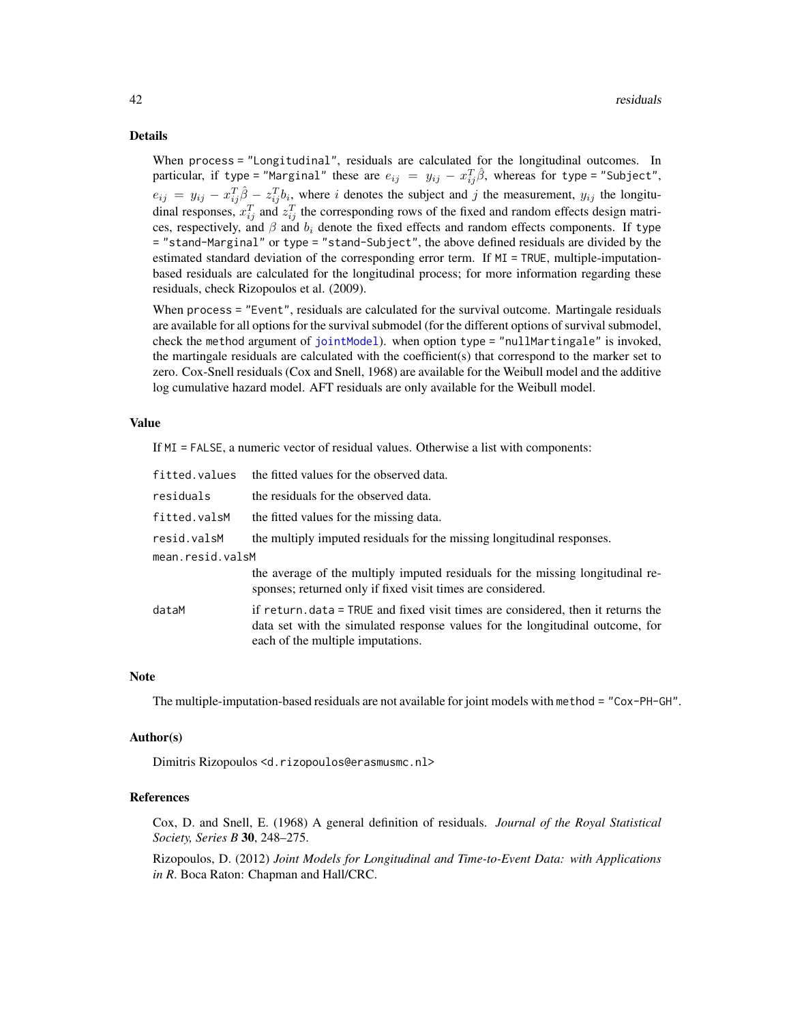#### <span id="page-41-0"></span>Details

When process = "Longitudinal", residuals are calculated for the longitudinal outcomes. In particular, if type="Marginal" these are  $e_{ij}$  =  $y_{ij}$  -  $x_{ij}^T\hat{\beta}$ , whereas for type="Subject",  $e_{ij} = y_{ij} - x_{ij}^T \hat{\beta} - z_{ij}^T b_i$ , where i denotes the subject and j the measurement,  $y_{ij}$  the longitudinal responses,  $x_{ij}^T$  and  $z_{ij}^T$  the corresponding rows of the fixed and random effects design matrices, respectively, and  $\beta$  and  $b_i$  denote the fixed effects and random effects components. If type = "stand-Marginal" or type = "stand-Subject", the above defined residuals are divided by the estimated standard deviation of the corresponding error term. If MI = TRUE, multiple-imputationbased residuals are calculated for the longitudinal process; for more information regarding these residuals, check Rizopoulos et al. (2009).

When process = "Event", residuals are calculated for the survival outcome. Martingale residuals are available for all options for the survival submodel (for the different options of survival submodel, check the method argument of [jointModel](#page-16-1)). when option type = "nullMartingale" is invoked, the martingale residuals are calculated with the coefficient(s) that correspond to the marker set to zero. Cox-Snell residuals (Cox and Snell, 1968) are available for the Weibull model and the additive log cumulative hazard model. AFT residuals are only available for the Weibull model.

#### Value

If MI = FALSE, a numeric vector of residual values. Otherwise a list with components:

| fitted.values    | the fitted values for the observed data.                                                                                                                                                               |  |
|------------------|--------------------------------------------------------------------------------------------------------------------------------------------------------------------------------------------------------|--|
| residuals        | the residuals for the observed data.                                                                                                                                                                   |  |
| fitted.valsM     | the fitted values for the missing data.                                                                                                                                                                |  |
| resid.valsM      | the multiply imputed residuals for the missing longitudinal responses.                                                                                                                                 |  |
| mean.resid.valsM |                                                                                                                                                                                                        |  |
|                  | the average of the multiply imputed residuals for the missing longitudinal re-<br>sponses; returned only if fixed visit times are considered.                                                          |  |
| dataM            | if return, data = TRUE and fixed visit times are considered, then it returns the<br>data set with the simulated response values for the longitudinal outcome, for<br>each of the multiple imputations. |  |

#### Note

The multiple-imputation-based residuals are not available for joint models with method = "Cox-PH-GH".

#### Author(s)

Dimitris Rizopoulos <d.rizopoulos@erasmusmc.nl>

#### References

Cox, D. and Snell, E. (1968) A general definition of residuals. *Journal of the Royal Statistical Society, Series B* 30, 248–275.

Rizopoulos, D. (2012) *Joint Models for Longitudinal and Time-to-Event Data: with Applications in R*. Boca Raton: Chapman and Hall/CRC.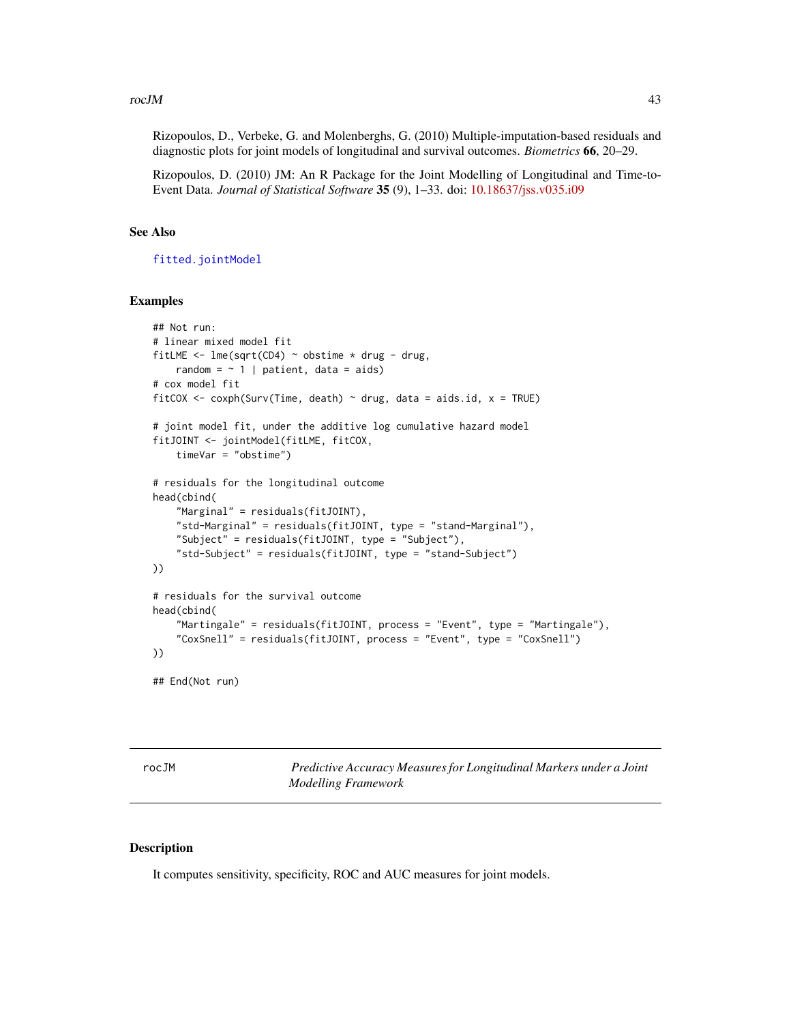#### <span id="page-42-0"></span> $r_{\rm co}$ *rocJM*  $\qquad \qquad \qquad$  43

Rizopoulos, D., Verbeke, G. and Molenberghs, G. (2010) Multiple-imputation-based residuals and diagnostic plots for joint models of longitudinal and survival outcomes. *Biometrics* 66, 20–29.

Rizopoulos, D. (2010) JM: An R Package for the Joint Modelling of Longitudinal and Time-to-Event Data. *Journal of Statistical Software* 35 (9), 1–33. doi: [10.18637/jss.v035.i09](https://doi.org/10.18637/jss.v035.i09)

### See Also

[fitted.jointModel](#page-12-1)

#### Examples

```
## Not run:
# linear mixed model fit
fitLME <- lme(sqrt(CD4) \sim obstime \times drug - drug,random = \sim 1 | patient, data = aids)
# cox model fit
fitCOX <- coxph(Surv(Time, death) \sim drug, data = aids.id, x = TRUE)
# joint model fit, under the additive log cumulative hazard model
fitJOINT <- jointModel(fitLME, fitCOX,
    timeVar = "obstime")
# residuals for the longitudinal outcome
head(cbind(
    "Marginal" = residuals(fitJOINT),
    "std-Marginal" = residuals(fitJOINT, type = "stand-Marginal"),
    "Subject" = residuals(fitJOINT, type = "Subject"),
    "std-Subject" = residuals(fitJOINT, type = "stand-Subject")
))
# residuals for the survival outcome
head(cbind(
    "Martingale" = residuals(fitJOINT, process = "Event", type = "Martingale"),
    "CoxSnell" = residuals(fitJOINT, process = "Event", type = "CoxSnell")
))
## End(Not run)
```
<span id="page-42-1"></span>rocJM *Predictive Accuracy Measures for Longitudinal Markers under a Joint Modelling Framework*

#### Description

It computes sensitivity, specificity, ROC and AUC measures for joint models.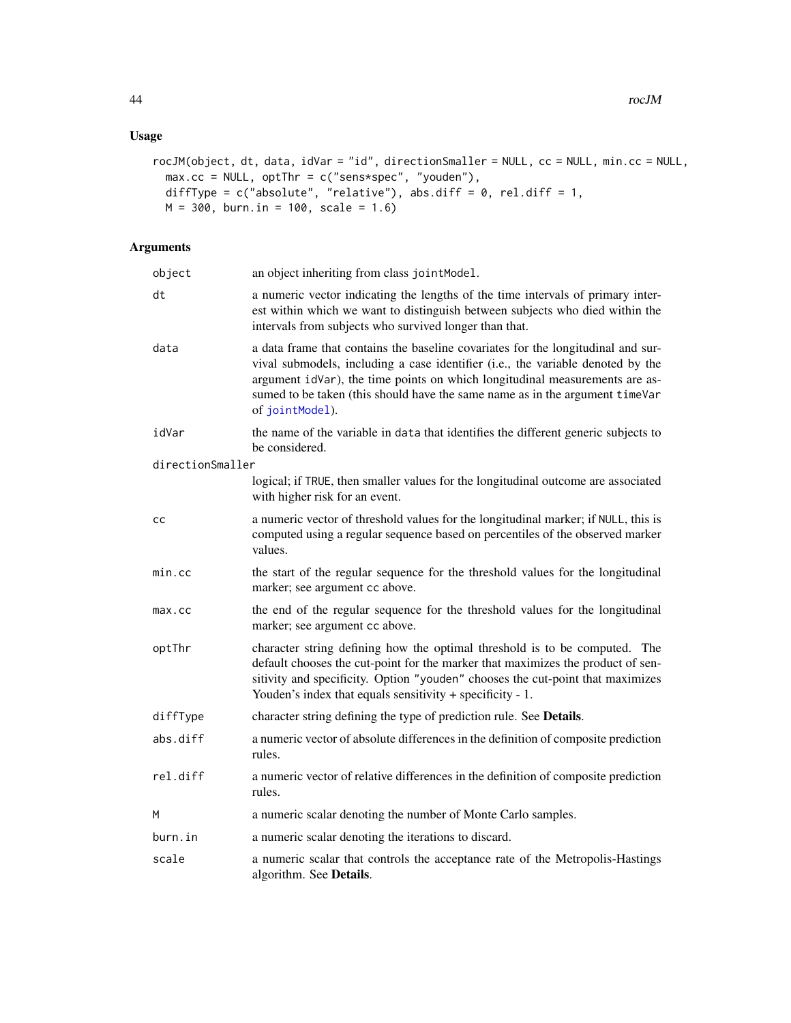# Usage

```
rocJM(object, dt, data, idVar = "id", directionSmaller = NULL, cc = NULL, min.cc = NULL,
 max.cc = NULL, optThr = c("sens*spec", "youden"),
 diffType = c("absolute", "relative"), abs.diff = 0, rel.diff = 1,M = 300, burn.in = 100, scale = 1.6)
```
# Arguments

| object           | an object inheriting from class jointModel.                                                                                                                                                                                                                                                                                                           |
|------------------|-------------------------------------------------------------------------------------------------------------------------------------------------------------------------------------------------------------------------------------------------------------------------------------------------------------------------------------------------------|
| dt               | a numeric vector indicating the lengths of the time intervals of primary inter-<br>est within which we want to distinguish between subjects who died within the<br>intervals from subjects who survived longer than that.                                                                                                                             |
| data             | a data frame that contains the baseline covariates for the longitudinal and sur-<br>vival submodels, including a case identifier (i.e., the variable denoted by the<br>argument idVar), the time points on which longitudinal measurements are as-<br>sumed to be taken (this should have the same name as in the argument timeVar<br>of jointModel). |
| idVar            | the name of the variable in data that identifies the different generic subjects to<br>be considered.                                                                                                                                                                                                                                                  |
| directionSmaller |                                                                                                                                                                                                                                                                                                                                                       |
|                  | logical; if TRUE, then smaller values for the longitudinal outcome are associated<br>with higher risk for an event.                                                                                                                                                                                                                                   |
| cс               | a numeric vector of threshold values for the longitudinal marker; if NULL, this is<br>computed using a regular sequence based on percentiles of the observed marker<br>values.                                                                                                                                                                        |
| min.cc           | the start of the regular sequence for the threshold values for the longitudinal<br>marker; see argument cc above.                                                                                                                                                                                                                                     |
| max.cc           | the end of the regular sequence for the threshold values for the longitudinal<br>marker; see argument cc above.                                                                                                                                                                                                                                       |
| optThr           | character string defining how the optimal threshold is to be computed. The<br>default chooses the cut-point for the marker that maximizes the product of sen-<br>sitivity and specificity. Option "youden" chooses the cut-point that maximizes<br>Youden's index that equals sensitivity $+$ specificity $-1$ .                                      |
| diffType         | character string defining the type of prediction rule. See Details.                                                                                                                                                                                                                                                                                   |
| abs.diff         | a numeric vector of absolute differences in the definition of composite prediction<br>rules.                                                                                                                                                                                                                                                          |
| rel.diff         | a numeric vector of relative differences in the definition of composite prediction<br>rules.                                                                                                                                                                                                                                                          |
| Μ                | a numeric scalar denoting the number of Monte Carlo samples.                                                                                                                                                                                                                                                                                          |
| burn.in          | a numeric scalar denoting the iterations to discard.                                                                                                                                                                                                                                                                                                  |
| scale            | a numeric scalar that controls the acceptance rate of the Metropolis-Hastings<br>algorithm. See Details.                                                                                                                                                                                                                                              |

<span id="page-43-0"></span>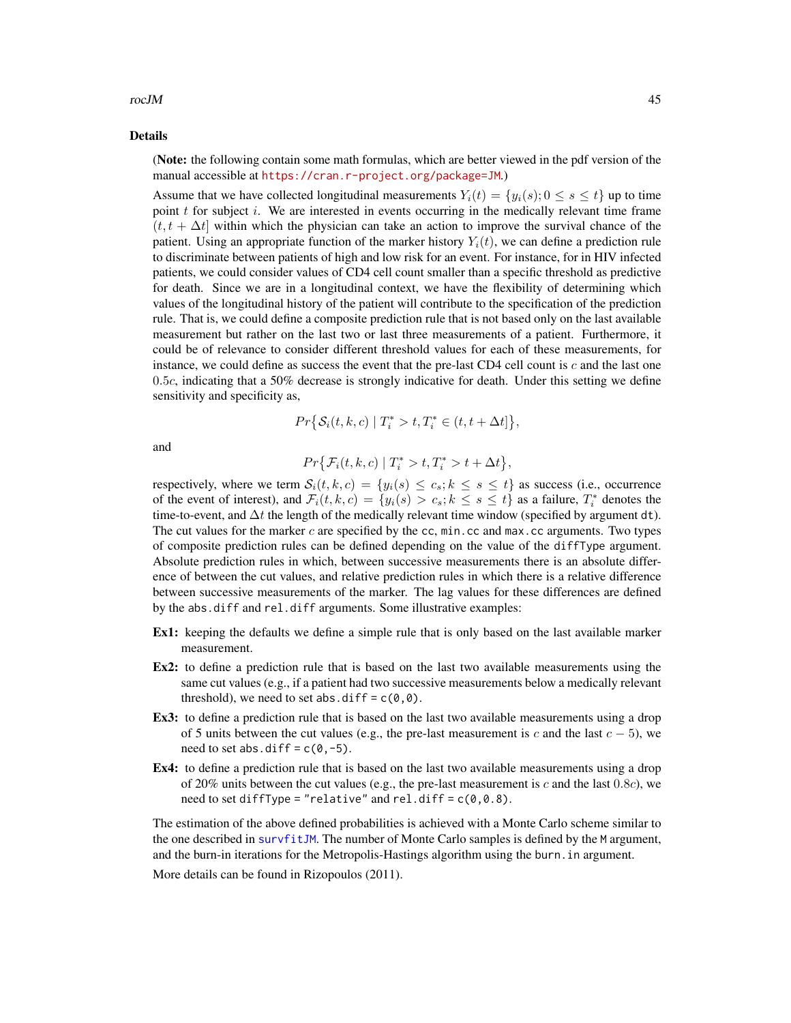#### <span id="page-44-0"></span>rocJM and the set of the set of the set of the set of the set of the set of the set of the set of the set of the set of the set of the set of the set of the set of the set of the set of the set of the set of the set of the

#### Details

(Note: the following contain some math formulas, which are better viewed in the pdf version of the manual accessible at <https://cran.r-project.org/package=JM>.)

Assume that we have collected longitudinal measurements  $Y_i(t) = \{y_i(s); 0 \le s \le t\}$  up to time point  $t$  for subject  $i$ . We are interested in events occurring in the medically relevant time frame  $(t, t + \Delta t)$  within which the physician can take an action to improve the survival chance of the patient. Using an appropriate function of the marker history  $Y_i(t)$ , we can define a prediction rule to discriminate between patients of high and low risk for an event. For instance, for in HIV infected patients, we could consider values of CD4 cell count smaller than a specific threshold as predictive for death. Since we are in a longitudinal context, we have the flexibility of determining which values of the longitudinal history of the patient will contribute to the specification of the prediction rule. That is, we could define a composite prediction rule that is not based only on the last available measurement but rather on the last two or last three measurements of a patient. Furthermore, it could be of relevance to consider different threshold values for each of these measurements, for instance, we could define as success the event that the pre-last CD4 cell count is  $c$  and the last one 0.5c, indicating that a 50% decrease is strongly indicative for death. Under this setting we define sensitivity and specificity as,

$$
Pr\big\{\mathcal{S}_i(t,k,c) \mid T_i^* > t, T_i^* \in (t, t + \Delta t] \big\},\
$$

and

$$
Pr{\mathcal{F}_i(t, k, c) | T_i^* > t, T_i^* > t + \Delta t},
$$

respectively, where we term  $S_i(t, k, c) = \{y_i(s) \le c_s; k \le s \le t\}$  as success (i.e., occurrence of the event of interest), and  $\mathcal{F}_i(t, k, c) = \{y_i(s) > c_s; k \leq s \leq t\}$  as a failure,  $T_i^*$  denotes the time-to-event, and  $\Delta t$  the length of the medically relevant time window (specified by argument dt). The cut values for the marker c are specified by the cc,  $min$ , cc and  $max$ , cc arguments. Two types of composite prediction rules can be defined depending on the value of the diffType argument. Absolute prediction rules in which, between successive measurements there is an absolute difference of between the cut values, and relative prediction rules in which there is a relative difference between successive measurements of the marker. The lag values for these differences are defined by the abs.diff and rel.diff arguments. Some illustrative examples:

- Ex1: keeping the defaults we define a simple rule that is only based on the last available marker measurement.
- Ex2: to define a prediction rule that is based on the last two available measurements using the same cut values (e.g., if a patient had two successive measurements below a medically relevant threshold), we need to set abs.diff =  $c(0,0)$ .
- Ex3: to define a prediction rule that is based on the last two available measurements using a drop of 5 units between the cut values (e.g., the pre-last measurement is c and the last  $c - 5$ ), we need to set abs.diff =  $c(0, -5)$ .
- Ex4: to define a prediction rule that is based on the last two available measurements using a drop of 20% units between the cut values (e.g., the pre-last measurement is c and the last 0.8c), we need to set diffType = "relative" and rel.diff =  $c(0, 0.8)$ .

The estimation of the above defined probabilities is achieved with a Monte Carlo scheme similar to the one described in [survfitJM](#page-49-1). The number of Monte Carlo samples is defined by the M argument, and the burn-in iterations for the Metropolis-Hastings algorithm using the burn.in argument.

More details can be found in Rizopoulos (2011).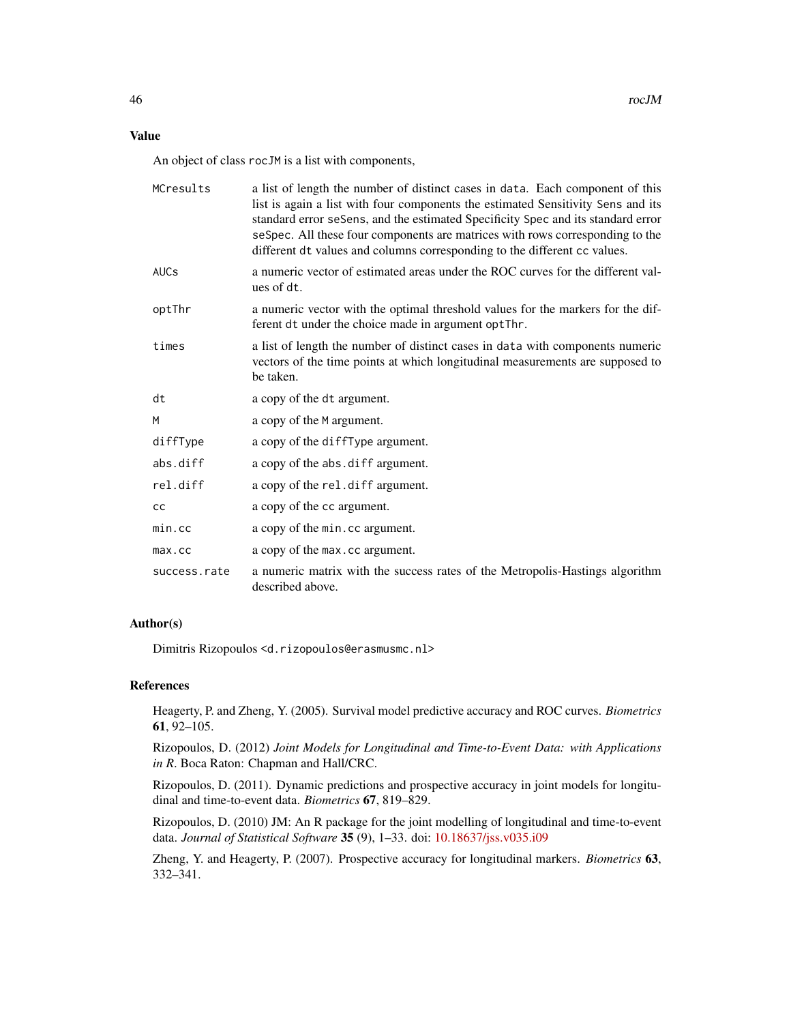# Value

An object of class rocJM is a list with components,

| MCresults    | a list of length the number of distinct cases in data. Each component of this<br>list is again a list with four components the estimated Sensitivity Sens and its<br>standard error seSens, and the estimated Specificity Spec and its standard error<br>seSpec. All these four components are matrices with rows corresponding to the<br>different dt values and columns corresponding to the different cc values. |
|--------------|---------------------------------------------------------------------------------------------------------------------------------------------------------------------------------------------------------------------------------------------------------------------------------------------------------------------------------------------------------------------------------------------------------------------|
| <b>AUCs</b>  | a numeric vector of estimated areas under the ROC curves for the different val-<br>ues of dt.                                                                                                                                                                                                                                                                                                                       |
| optThr       | a numeric vector with the optimal threshold values for the markers for the dif-<br>ferent dt under the choice made in argument optThr.                                                                                                                                                                                                                                                                              |
| times        | a list of length the number of distinct cases in data with components numeric<br>vectors of the time points at which longitudinal measurements are supposed to<br>be taken.                                                                                                                                                                                                                                         |
| dt           | a copy of the dt argument.                                                                                                                                                                                                                                                                                                                                                                                          |
| M            | a copy of the M argument.                                                                                                                                                                                                                                                                                                                                                                                           |
| diffType     | a copy of the diffType argument.                                                                                                                                                                                                                                                                                                                                                                                    |
| abs.diff     | a copy of the abs. diff argument.                                                                                                                                                                                                                                                                                                                                                                                   |
| rel.diff     | a copy of the rel.diff argument.                                                                                                                                                                                                                                                                                                                                                                                    |
| cc           | a copy of the cc argument.                                                                                                                                                                                                                                                                                                                                                                                          |
| $min$ . $cc$ | a copy of the min.cc argument.                                                                                                                                                                                                                                                                                                                                                                                      |
| $max$ . $cc$ | a copy of the max.cc argument.                                                                                                                                                                                                                                                                                                                                                                                      |
| success.rate | a numeric matrix with the success rates of the Metropolis-Hastings algorithm<br>described above.                                                                                                                                                                                                                                                                                                                    |

# Author(s)

Dimitris Rizopoulos <d.rizopoulos@erasmusmc.nl>

#### References

Heagerty, P. and Zheng, Y. (2005). Survival model predictive accuracy and ROC curves. *Biometrics* 61, 92–105.

Rizopoulos, D. (2012) *Joint Models for Longitudinal and Time-to-Event Data: with Applications in R*. Boca Raton: Chapman and Hall/CRC.

Rizopoulos, D. (2011). Dynamic predictions and prospective accuracy in joint models for longitudinal and time-to-event data. *Biometrics* 67, 819–829.

Rizopoulos, D. (2010) JM: An R package for the joint modelling of longitudinal and time-to-event data. *Journal of Statistical Software* 35 (9), 1–33. doi: [10.18637/jss.v035.i09](https://doi.org/10.18637/jss.v035.i09)

Zheng, Y. and Heagerty, P. (2007). Prospective accuracy for longitudinal markers. *Biometrics* 63, 332–341.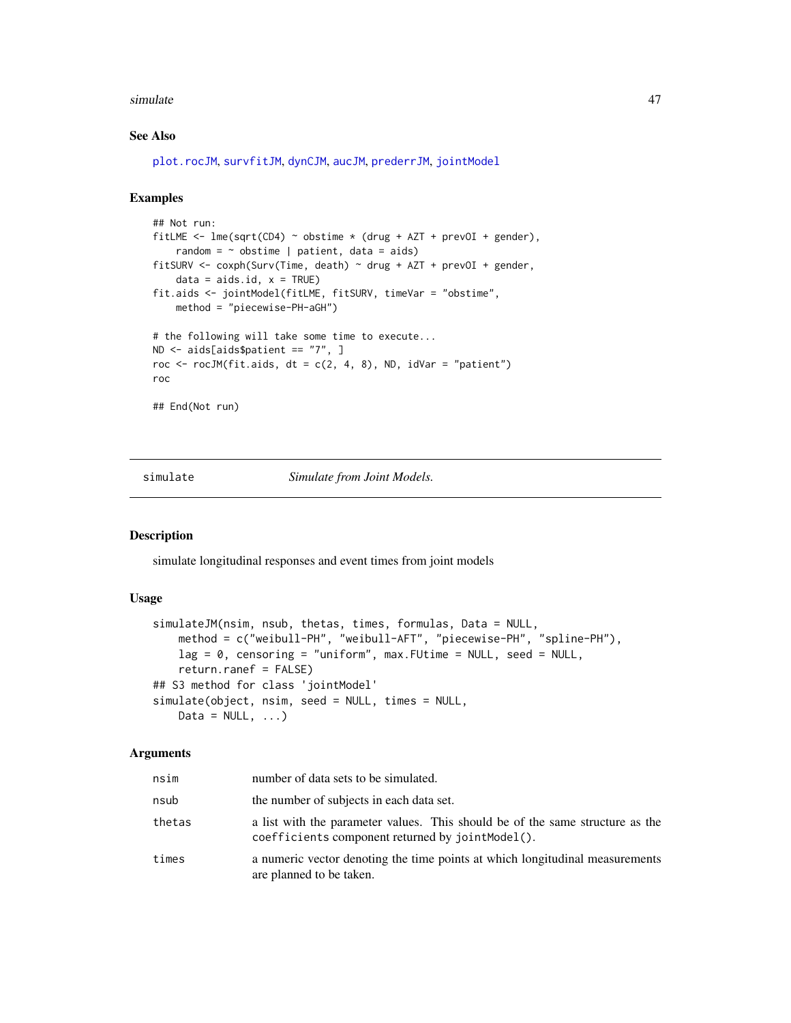#### <span id="page-46-0"></span>simulate 47

#### See Also

[plot.rocJM](#page-29-1), [survfitJM](#page-49-1), [dynCJM](#page-10-1), [aucJM](#page-4-1), [prederrJM](#page-33-1), [jointModel](#page-16-1)

# Examples

```
## Not run:
fitLME <- lmc(sqrt(CD4) \sim obstime \times (drug + AZT + prevOI + gender),
    random = \sim obstime | patient, data = aids)
fitSURV <- \text{cov}(Time, death) \sim drug + AZT + \text{prevOL} + \text{gender},data = aids.id, x = TRUE)fit.aids <- jointModel(fitLME, fitSURV, timeVar = "obstime",
    method = "piecewise-PH-aGH")
# the following will take some time to execute...
ND <- aids[aids$patient == "7", ]
roc \le rocJM(fit.aids, dt = c(2, 4, 8), ND, idVar = "patient")
roc
## End(Not run)
```
simulate *Simulate from Joint Models.*

#### Description

simulate longitudinal responses and event times from joint models

#### Usage

```
simulateJM(nsim, nsub, thetas, times, formulas, Data = NULL,
   method = c("weibull-PH", "weibull-AFT", "piecewise-PH", "spline-PH"),
   lag = 0, censoring = "uniform", max. FUtime = NULL, seed = NULL,
   return.ranef = FALSE)
## S3 method for class 'jointModel'
simulate(object, nsim, seed = NULL, times = NULL,
   Data = NULL, ...,)
```
#### Arguments

| nsim   | number of data sets to be simulated.                                                                                              |
|--------|-----------------------------------------------------------------------------------------------------------------------------------|
| nsub   | the number of subjects in each data set.                                                                                          |
| thetas | a list with the parameter values. This should be of the same structure as the<br>coefficients component returned by jointModel(). |
| times  | a numeric vector denoting the time points at which longitudinal measurements<br>are planned to be taken.                          |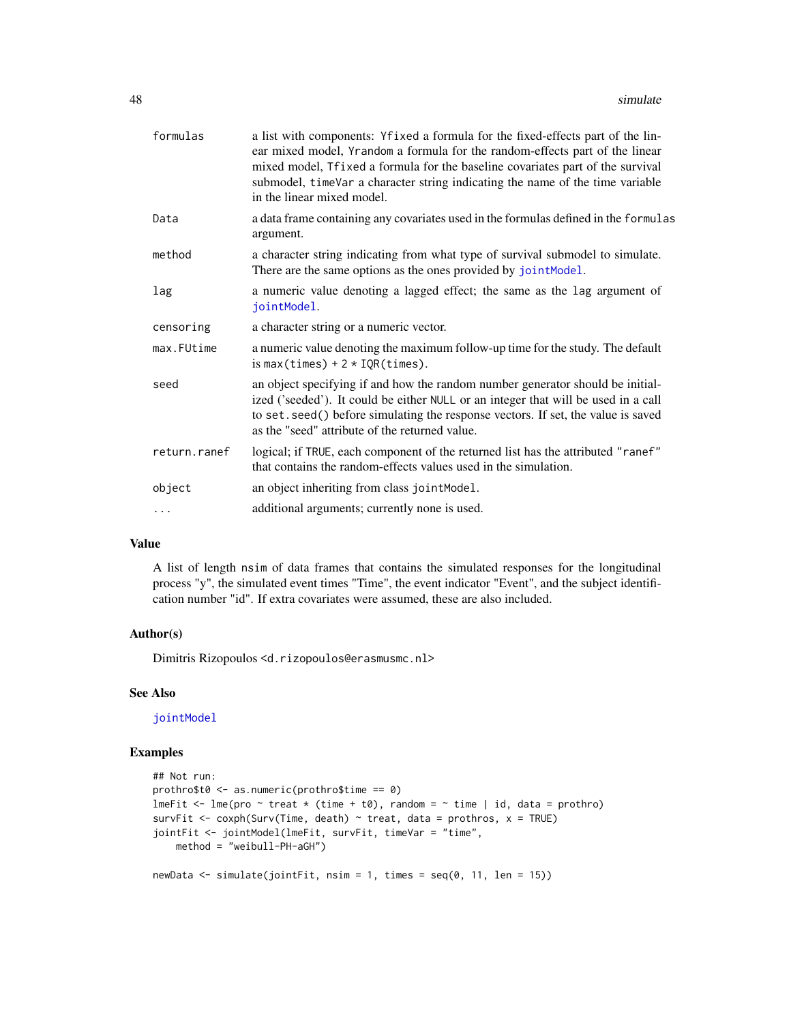<span id="page-47-0"></span>

| formulas     | a list with components: Yfixed a formula for the fixed-effects part of the lin-<br>ear mixed model, Yrandom a formula for the random-effects part of the linear<br>mixed model, Tfixed a formula for the baseline covariates part of the survival<br>submodel, timeVar a character string indicating the name of the time variable<br>in the linear mixed model. |
|--------------|------------------------------------------------------------------------------------------------------------------------------------------------------------------------------------------------------------------------------------------------------------------------------------------------------------------------------------------------------------------|
| Data         | a data frame containing any covariates used in the formulas defined in the formulas<br>argument.                                                                                                                                                                                                                                                                 |
| method       | a character string indicating from what type of survival submodel to simulate.<br>There are the same options as the ones provided by jointModel.                                                                                                                                                                                                                 |
| lag          | a numeric value denoting a lagged effect; the same as the lag argument of<br>jointModel.                                                                                                                                                                                                                                                                         |
| censoring    | a character string or a numeric vector.                                                                                                                                                                                                                                                                                                                          |
| max.FUtime   | a numeric value denoting the maximum follow-up time for the study. The default<br>is max(times) + $2 * IQR$ (times).                                                                                                                                                                                                                                             |
| seed         | an object specifying if and how the random number generator should be initial-<br>ized ('seeded'). It could be either NULL or an integer that will be used in a call<br>to set. seed() before simulating the response vectors. If set, the value is saved<br>as the "seed" attribute of the returned value.                                                      |
| return.ranef | logical; if TRUE, each component of the returned list has the attributed "ranef"<br>that contains the random-effects values used in the simulation.                                                                                                                                                                                                              |
| object       | an object inheriting from class jointModel.                                                                                                                                                                                                                                                                                                                      |
| .            | additional arguments; currently none is used.                                                                                                                                                                                                                                                                                                                    |
|              |                                                                                                                                                                                                                                                                                                                                                                  |

# Value

A list of length nsim of data frames that contains the simulated responses for the longitudinal process "y", the simulated event times "Time", the event indicator "Event", and the subject identification number "id". If extra covariates were assumed, these are also included.

#### Author(s)

Dimitris Rizopoulos <d.rizopoulos@erasmusmc.nl>

# See Also

[jointModel](#page-16-1)

```
## Not run:
prothro$t0 \leq -as.numeric(prothro$time == \theta)
lmeFit \le lme(pro \sim treat \star (time + t0), random = \sim time | id, data = prothro)
survFit <- coxph(Surv(Time, death) \sim treat, data = prothros, x = TRUE)
jointFit <- jointModel(lmeFit, survFit, timeVar = "time",
    method = "weibull-PH-aGH")
newData \le simulate(jointFit, nsim = 1, times = seq(0, 11, len = 15))
```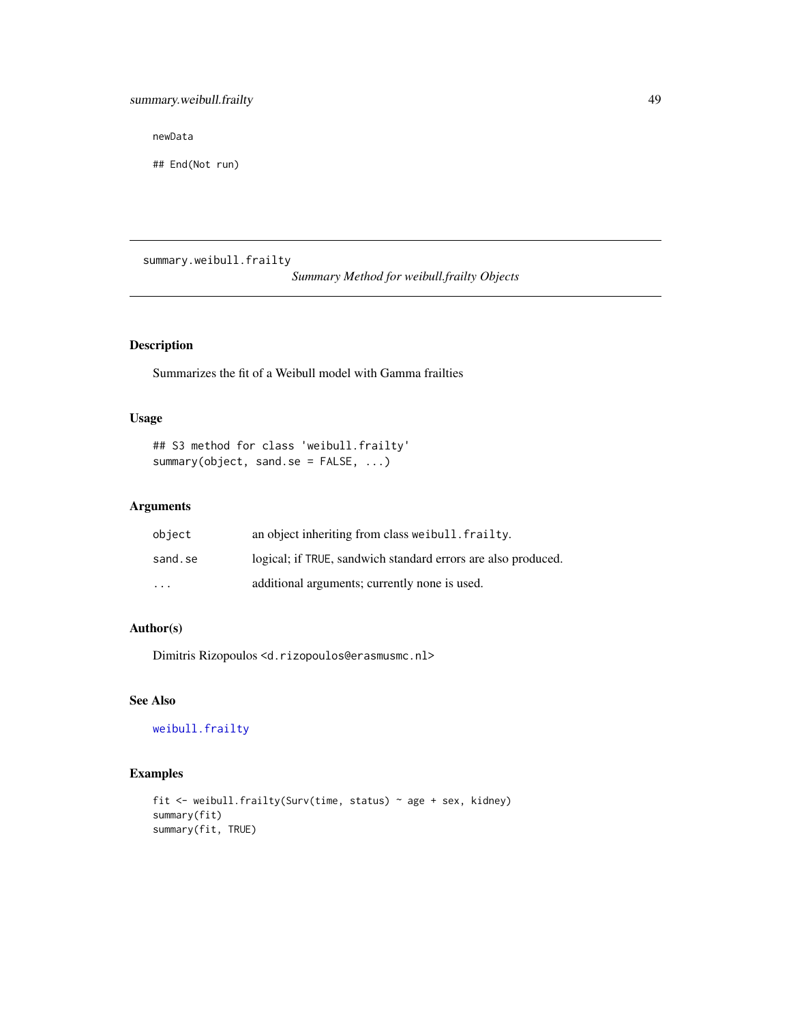<span id="page-48-0"></span>newData

## End(Not run)

summary.weibull.frailty

*Summary Method for weibull.frailty Objects*

# Description

Summarizes the fit of a Weibull model with Gamma frailties

# Usage

## S3 method for class 'weibull.frailty' summary(object, sand.se = FALSE, ...)

# Arguments

| object                  | an object inheriting from class we ibull. frailty.            |
|-------------------------|---------------------------------------------------------------|
| sand.se                 | logical; if TRUE, sandwich standard errors are also produced. |
| $\cdot$ $\cdot$ $\cdot$ | additional arguments; currently none is used.                 |

# Author(s)

Dimitris Rizopoulos <d.rizopoulos@erasmusmc.nl>

# See Also

[weibull.frailty](#page-53-1)

```
fit <- weibull.frailty(Surv(time, status) ~ age + sex, kidney)
summary(fit)
summary(fit, TRUE)
```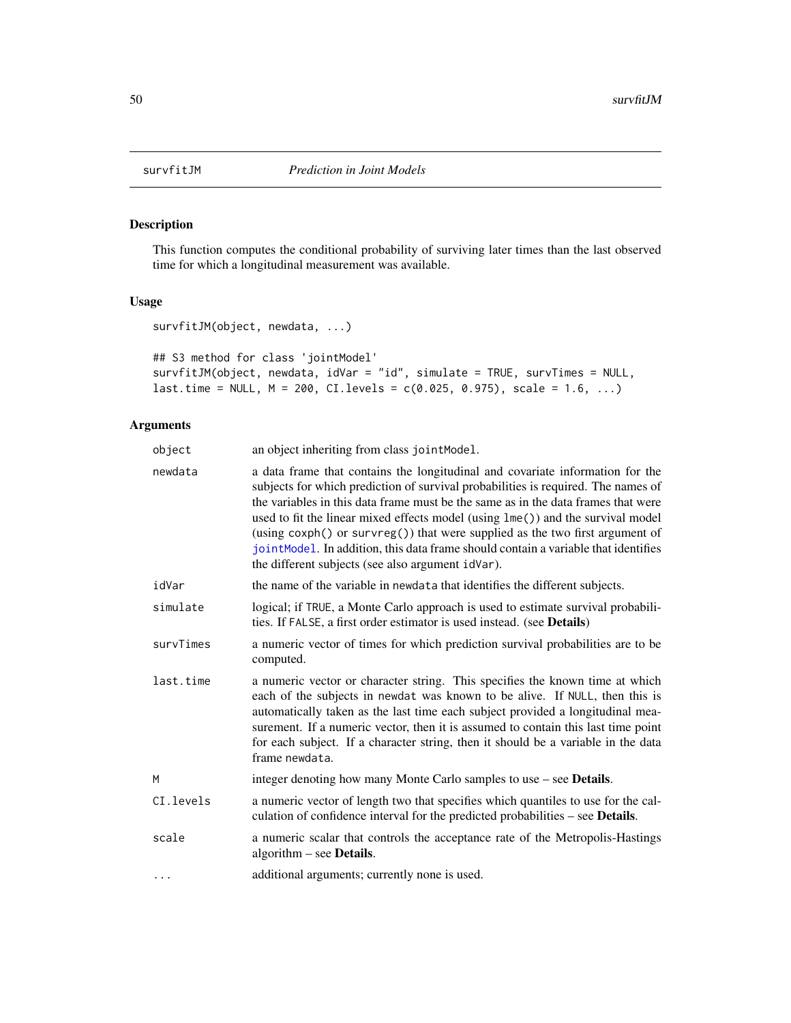This function computes the conditional probability of surviving later times than the last observed time for which a longitudinal measurement was available.

# Usage

```
survfitJM(object, newdata, ...)
```

```
## S3 method for class 'jointModel'
survfitJM(object, newdata, idVar = "id", simulate = TRUE, survTimes = NULL,
last.time = NULL, M = 200, CI. levels = c(0.025, 0.975), scale = 1.6, ...)
```
# Arguments

| object    | an object inheriting from class jointModel.                                                                                                                                                                                                                                                                                                                                                                                                                                                                                                                           |
|-----------|-----------------------------------------------------------------------------------------------------------------------------------------------------------------------------------------------------------------------------------------------------------------------------------------------------------------------------------------------------------------------------------------------------------------------------------------------------------------------------------------------------------------------------------------------------------------------|
| newdata   | a data frame that contains the longitudinal and covariate information for the<br>subjects for which prediction of survival probabilities is required. The names of<br>the variables in this data frame must be the same as in the data frames that were<br>used to fit the linear mixed effects model (using lme()) and the survival model<br>(using coxph() or survreg()) that were supplied as the two first argument of<br>jointModel. In addition, this data frame should contain a variable that identifies<br>the different subjects (see also argument idVar). |
| idVar     | the name of the variable in newdata that identifies the different subjects.                                                                                                                                                                                                                                                                                                                                                                                                                                                                                           |
| simulate  | logical; if TRUE, a Monte Carlo approach is used to estimate survival probabili-<br>ties. If FALSE, a first order estimator is used instead. (see Details)                                                                                                                                                                                                                                                                                                                                                                                                            |
| survTimes | a numeric vector of times for which prediction survival probabilities are to be<br>computed.                                                                                                                                                                                                                                                                                                                                                                                                                                                                          |
| last.time | a numeric vector or character string. This specifies the known time at which<br>each of the subjects in newdat was known to be alive. If NULL, then this is<br>automatically taken as the last time each subject provided a longitudinal mea-<br>surement. If a numeric vector, then it is assumed to contain this last time point<br>for each subject. If a character string, then it should be a variable in the data<br>frame newdata.                                                                                                                             |
| M         | integer denoting how many Monte Carlo samples to use – see <b>Details</b> .                                                                                                                                                                                                                                                                                                                                                                                                                                                                                           |
| CI.levels | a numeric vector of length two that specifies which quantiles to use for the cal-<br>culation of confidence interval for the predicted probabilities – see Details.                                                                                                                                                                                                                                                                                                                                                                                                   |
| scale     | a numeric scalar that controls the acceptance rate of the Metropolis-Hastings<br>algorithm $-$ see <b>Details</b> .                                                                                                                                                                                                                                                                                                                                                                                                                                                   |
| .         | additional arguments; currently none is used.                                                                                                                                                                                                                                                                                                                                                                                                                                                                                                                         |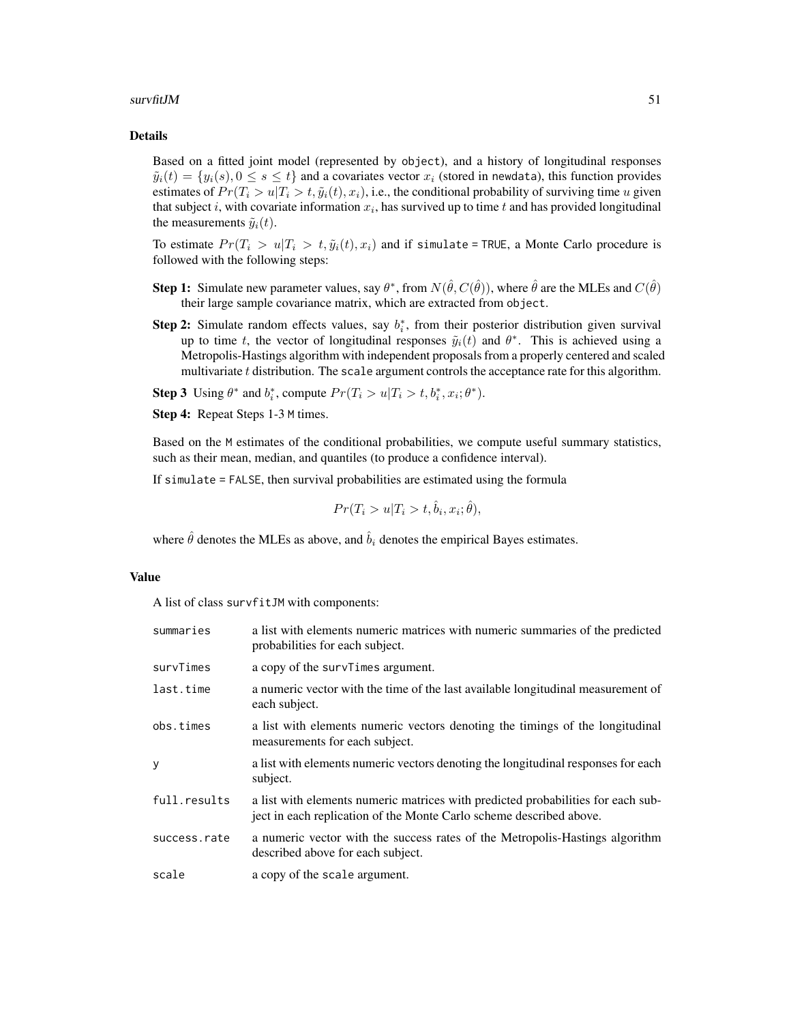#### $surrfitJM$  51

#### Details

Based on a fitted joint model (represented by object), and a history of longitudinal responses  $\tilde{y}_i(t) = \{y_i(s), 0 \le s \le t\}$  and a covariates vector  $x_i$  (stored in newdata), this function provides estimates of  $Pr(T_i > u | T_i > t, \tilde{y}_i(t), x_i)$ , i.e., the conditional probability of surviving time u given that subject i, with covariate information  $x_i$ , has survived up to time t and has provided longitudinal the measurements  $\tilde{y}_i(t)$ .

To estimate  $Pr(T_i > u | T_i > t, \tilde{y}_i(t), x_i)$  and if simulate = TRUE, a Monte Carlo procedure is followed with the following steps:

- **Step 1:** Simulate new parameter values, say  $\theta^*$ , from  $N(\hat{\theta}, C(\hat{\theta}))$ , where  $\hat{\theta}$  are the MLEs and  $C(\hat{\theta})$ their large sample covariance matrix, which are extracted from object.
- **Step 2:** Simulate random effects values, say  $b_i^*$ , from their posterior distribution given survival up to time t, the vector of longitudinal responses  $\tilde{y}_i(t)$  and  $\theta^*$ . This is achieved using a Metropolis-Hastings algorithm with independent proposals from a properly centered and scaled multivariate  $t$  distribution. The scale argument controls the acceptance rate for this algorithm.

**Step 3** Using  $\theta^*$  and  $b_i^*$ , compute  $Pr(T_i > u | T_i > t, b_i^*, x_i; \theta^*)$ .

Step 4: Repeat Steps 1-3 M times.

Based on the M estimates of the conditional probabilities, we compute useful summary statistics, such as their mean, median, and quantiles (to produce a confidence interval).

If simulate = FALSE, then survival probabilities are estimated using the formula

$$
Pr(T_i > u | T_i > t, \hat{b}_i, x_i; \hat{\theta}),
$$

where  $\hat{\theta}$  denotes the MLEs as above, and  $\hat{b}_i$  denotes the empirical Bayes estimates.

# Value

A list of class survfitJM with components:

| summaries    | a list with elements numeric matrices with numeric summaries of the predicted<br>probabilities for each subject.                                        |
|--------------|---------------------------------------------------------------------------------------------------------------------------------------------------------|
| survTimes    | a copy of the survillers argument.                                                                                                                      |
| last.time    | a numeric vector with the time of the last available longitudinal measurement of<br>each subject.                                                       |
| obs.times    | a list with elements numeric vectors denoting the timings of the longitudinal<br>measurements for each subject.                                         |
| y            | a list with elements numeric vectors denoting the longitudinal responses for each<br>subject.                                                           |
| full.results | a list with elements numeric matrices with predicted probabilities for each sub-<br>ject in each replication of the Monte Carlo scheme described above. |
| success.rate | a numeric vector with the success rates of the Metropolis-Hastings algorithm<br>described above for each subject.                                       |
| scale        | a copy of the scale argument.                                                                                                                           |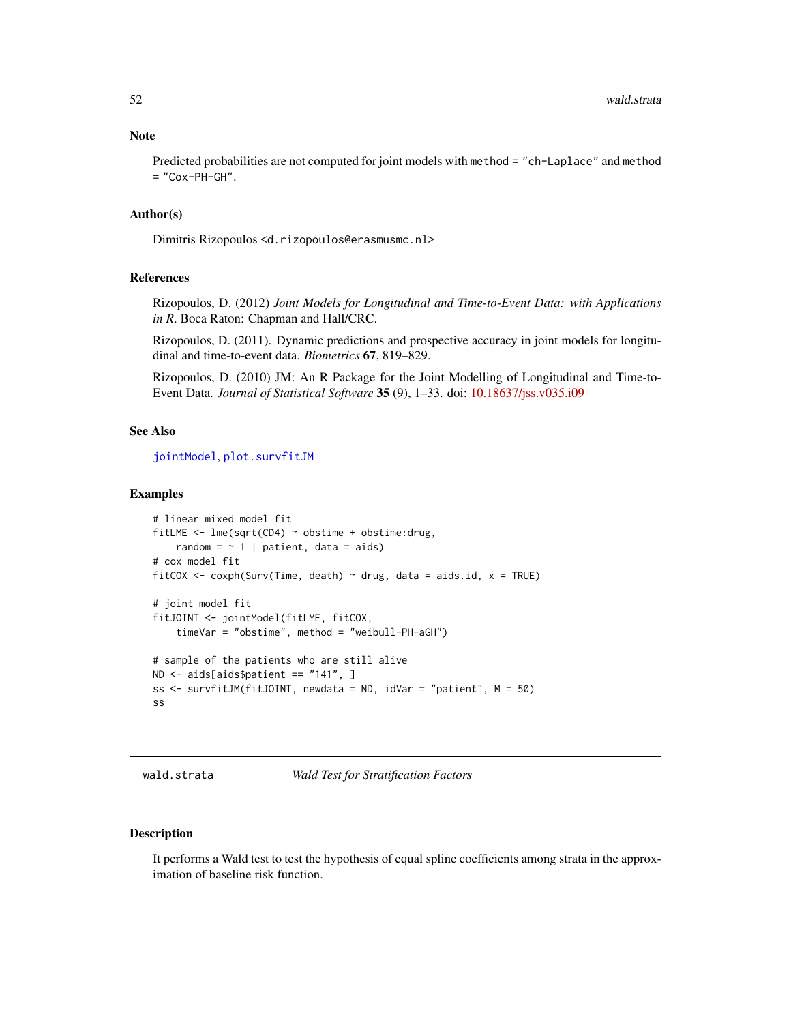<span id="page-51-0"></span>Predicted probabilities are not computed for joint models with method = "ch-Laplace" and method  $=$  "Cox-PH-GH".

#### Author(s)

Dimitris Rizopoulos <d.rizopoulos@erasmusmc.nl>

# References

Rizopoulos, D. (2012) *Joint Models for Longitudinal and Time-to-Event Data: with Applications in R*. Boca Raton: Chapman and Hall/CRC.

Rizopoulos, D. (2011). Dynamic predictions and prospective accuracy in joint models for longitudinal and time-to-event data. *Biometrics* 67, 819–829.

Rizopoulos, D. (2010) JM: An R Package for the Joint Modelling of Longitudinal and Time-to-Event Data. *Journal of Statistical Software* 35 (9), 1–33. doi: [10.18637/jss.v035.i09](https://doi.org/10.18637/jss.v035.i09)

#### See Also

[jointModel](#page-16-1), [plot.survfitJM](#page-31-1)

#### Examples

```
# linear mixed model fit
fitLME <- lme(sqrt(CD4) ~ obstime + obstime:drug,
   random = \sim 1 | patient, data = aids)
# cox model fit
fitCOX <- coxph(Surv(Time, death) \sim drug, data = aids.id, x = TRUE)
# joint model fit
fitJOINT <- jointModel(fitLME, fitCOX,
    timeVar = "obstime", method = "weibull-PH-aGH")
# sample of the patients who are still alive
ND <- aids[aids$patient == "141", ]
ss <- survfitJM(fitJOINT, newdata = ND, idVar = "patient", M = 50)
ss
```
wald.strata *Wald Test for Stratification Factors*

#### Description

It performs a Wald test to test the hypothesis of equal spline coefficients among strata in the approximation of baseline risk function.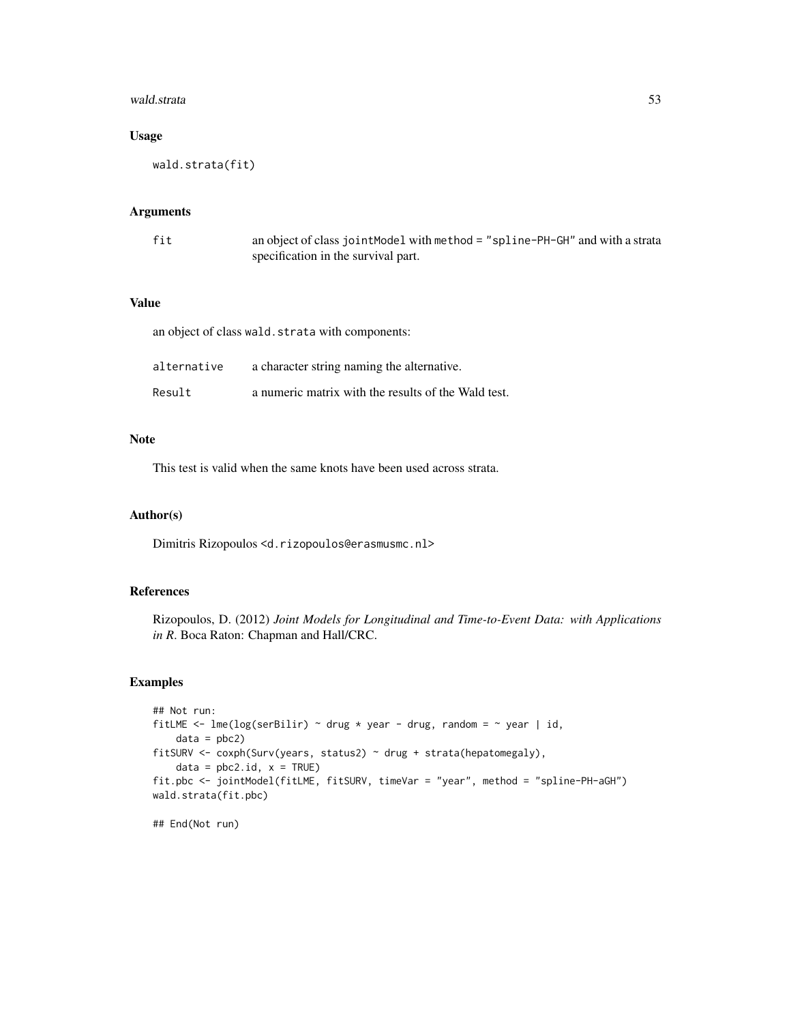#### wald.strata 53

# Usage

wald.strata(fit)

### Arguments

| fit | an object of class joint Model with method = "spline-PH-GH" and with a strata |
|-----|-------------------------------------------------------------------------------|
|     | specification in the survival part.                                           |

#### Value

an object of class wald.strata with components:

| alternative | a character string naming the alternative.          |
|-------------|-----------------------------------------------------|
| Result      | a numeric matrix with the results of the Wald test. |

# Note

This test is valid when the same knots have been used across strata.

#### Author(s)

Dimitris Rizopoulos <d.rizopoulos@erasmusmc.nl>

# References

Rizopoulos, D. (2012) *Joint Models for Longitudinal and Time-to-Event Data: with Applications in R*. Boca Raton: Chapman and Hall/CRC.

# Examples

```
## Not run:
fitLME <- lme(log(serBilir) \sim drug * year - drug, random = \sim year | id,
   data = pbc2)fitSURV <- coxph(Surv(years, status2) ~ drug + strata(hepatomegaly),
   data = pbc2.id, x = TRUE)fit.pbc <- jointModel(fitLME, fitSURV, timeVar = "year", method = "spline-PH-aGH")
wald.strata(fit.pbc)
```
## End(Not run)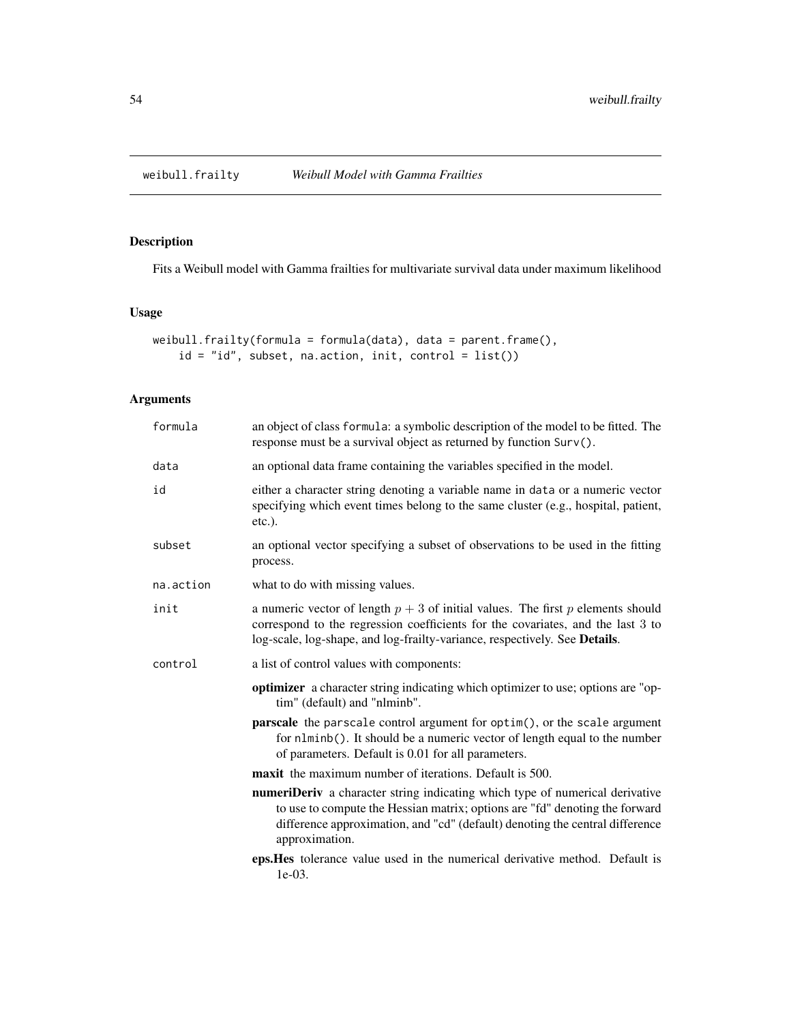<span id="page-53-1"></span><span id="page-53-0"></span>

Fits a Weibull model with Gamma frailties for multivariate survival data under maximum likelihood

# Usage

```
weibull.frailty(formula = formula(data), data = parent.frame(),
   id = "id", subset, na.action, init, control = list())
```
# Arguments

| formula   | an object of class formula: a symbolic description of the model to be fitted. The<br>response must be a survival object as returned by function Surv().                                                                                                              |
|-----------|----------------------------------------------------------------------------------------------------------------------------------------------------------------------------------------------------------------------------------------------------------------------|
| data      | an optional data frame containing the variables specified in the model.                                                                                                                                                                                              |
| id        | either a character string denoting a variable name in data or a numeric vector<br>specifying which event times belong to the same cluster (e.g., hospital, patient,<br>$etc.$ ).                                                                                     |
| subset    | an optional vector specifying a subset of observations to be used in the fitting<br>process.                                                                                                                                                                         |
| na.action | what to do with missing values.                                                                                                                                                                                                                                      |
| init      | a numeric vector of length $p + 3$ of initial values. The first p elements should<br>correspond to the regression coefficients for the covariates, and the last 3 to<br>log-scale, log-shape, and log-frailty-variance, respectively. See Details.                   |
| control   | a list of control values with components:                                                                                                                                                                                                                            |
|           | <b>optimizer</b> a character string indicating which optimizer to use; options are "op-<br>tim" (default) and "nlminb".                                                                                                                                              |
|           | <b>parscale</b> the parscale control argument for optim(), or the scale argument<br>for n1minb(). It should be a numeric vector of length equal to the number<br>of parameters. Default is 0.01 for all parameters.                                                  |
|           | <b>maxit</b> the maximum number of iterations. Default is 500.                                                                                                                                                                                                       |
|           | <b>numeriDeriv</b> a character string indicating which type of numerical derivative<br>to use to compute the Hessian matrix; options are "fd" denoting the forward<br>difference approximation, and "cd" (default) denoting the central difference<br>approximation. |
|           | eps. Hes tolerance value used in the numerical derivative method. Default is<br>$1e-03.$                                                                                                                                                                             |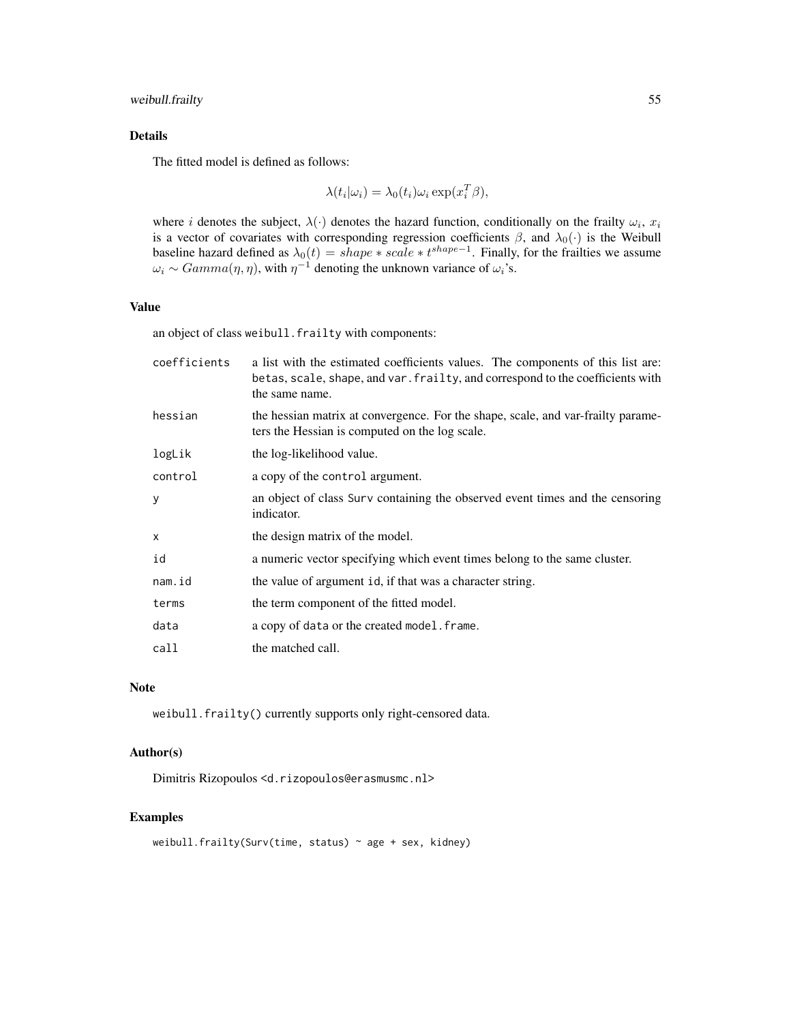# weibull.frailty 55

# Details

The fitted model is defined as follows:

$$
\lambda(t_i|\omega_i) = \lambda_0(t_i)\omega_i \exp(x_i^T\beta),
$$

where *i* denotes the subject,  $\lambda(\cdot)$  denotes the hazard function, conditionally on the frailty  $\omega_i$ ,  $x_i$ is a vector of covariates with corresponding regression coefficients  $\beta$ , and  $\lambda_0(\cdot)$  is the Weibull baseline hazard defined as  $\lambda_0(t) = shape * scale * t^{shape-1}$ . Finally, for the frailties we assume  $\omega_i \sim Gamma(\eta, \eta)$ , with  $\eta^{-1}$  denoting the unknown variance of  $\omega_i$ 's.

#### Value

an object of class weibull.frailty with components:

| coefficients | a list with the estimated coefficients values. The components of this list are:<br>betas, scale, shape, and var. frailty, and correspond to the coefficients with<br>the same name. |
|--------------|-------------------------------------------------------------------------------------------------------------------------------------------------------------------------------------|
| hessian      | the hessian matrix at convergence. For the shape, scale, and var-frailty parame-<br>ters the Hessian is computed on the log scale.                                                  |
| logLik       | the log-likelihood value.                                                                                                                                                           |
| control      | a copy of the control argument.                                                                                                                                                     |
| V            | an object of class Surv containing the observed event times and the censoring<br>indicator.                                                                                         |
| x            | the design matrix of the model.                                                                                                                                                     |
| id           | a numeric vector specifying which event times belong to the same cluster.                                                                                                           |
| nam.id       | the value of argument id, if that was a character string.                                                                                                                           |
| terms        | the term component of the fitted model.                                                                                                                                             |
| data         | a copy of data or the created model. frame.                                                                                                                                         |
| call         | the matched call.                                                                                                                                                                   |

#### Note

weibull.frailty() currently supports only right-censored data.

# Author(s)

Dimitris Rizopoulos <d.rizopoulos@erasmusmc.nl>

```
weibull.frailty(Surv(time, status) ~ age + sex, kidney)
```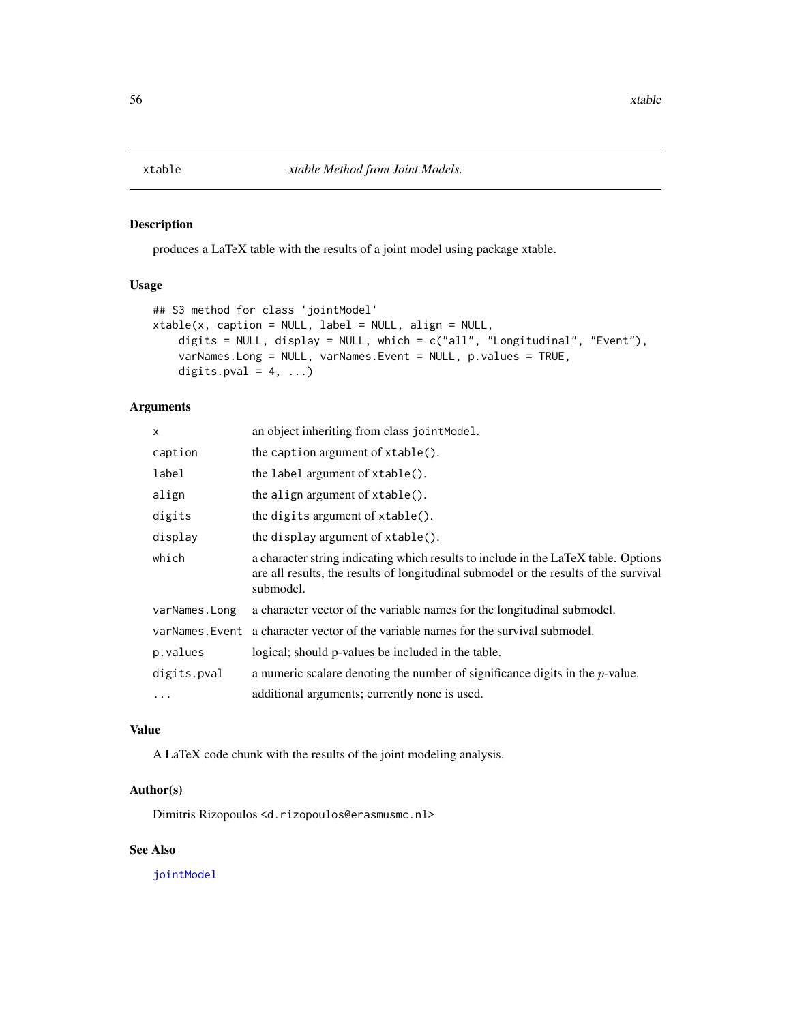<span id="page-55-0"></span>

produces a LaTeX table with the results of a joint model using package xtable.

# Usage

```
## S3 method for class 'jointModel'
xtable(x, caption = NULL, label = NULL, align = NULL,digits = NULL, display = NULL, which = c("all", "Longitudinal", "Event"),
    varNames.Long = NULL, varNames.Event = NULL, p.values = TRUE,
   digits.pval = 4, ...)
```
# Arguments

| $\mathsf{x}$   | an object inheriting from class jointModel.                                                                                                                                             |
|----------------|-----------------------------------------------------------------------------------------------------------------------------------------------------------------------------------------|
| caption        | the caption argument of $xtable()$ .                                                                                                                                                    |
| label          | the label argument of xtable().                                                                                                                                                         |
| align          | the align argument of xtable().                                                                                                                                                         |
| digits         | the digits argument of xtable().                                                                                                                                                        |
| display        | the display argument of xtable().                                                                                                                                                       |
| which          | a character string indicating which results to include in the LaTeX table. Options<br>are all results, the results of longitudinal submodel or the results of the survival<br>submodel. |
| varNames. Long | a character vector of the variable names for the longitudinal submodel.                                                                                                                 |
| varNames.Event | a character vector of the variable names for the survival submodel.                                                                                                                     |
| p.values       | logical; should p-values be included in the table.                                                                                                                                      |
| digits.pval    | a numeric scalare denoting the number of significance digits in the $p$ -value.                                                                                                         |
| $\ddots$       | additional arguments; currently none is used.                                                                                                                                           |

#### Value

A LaTeX code chunk with the results of the joint modeling analysis.

# Author(s)

Dimitris Rizopoulos <d.rizopoulos@erasmusmc.nl>

# See Also

[jointModel](#page-16-1)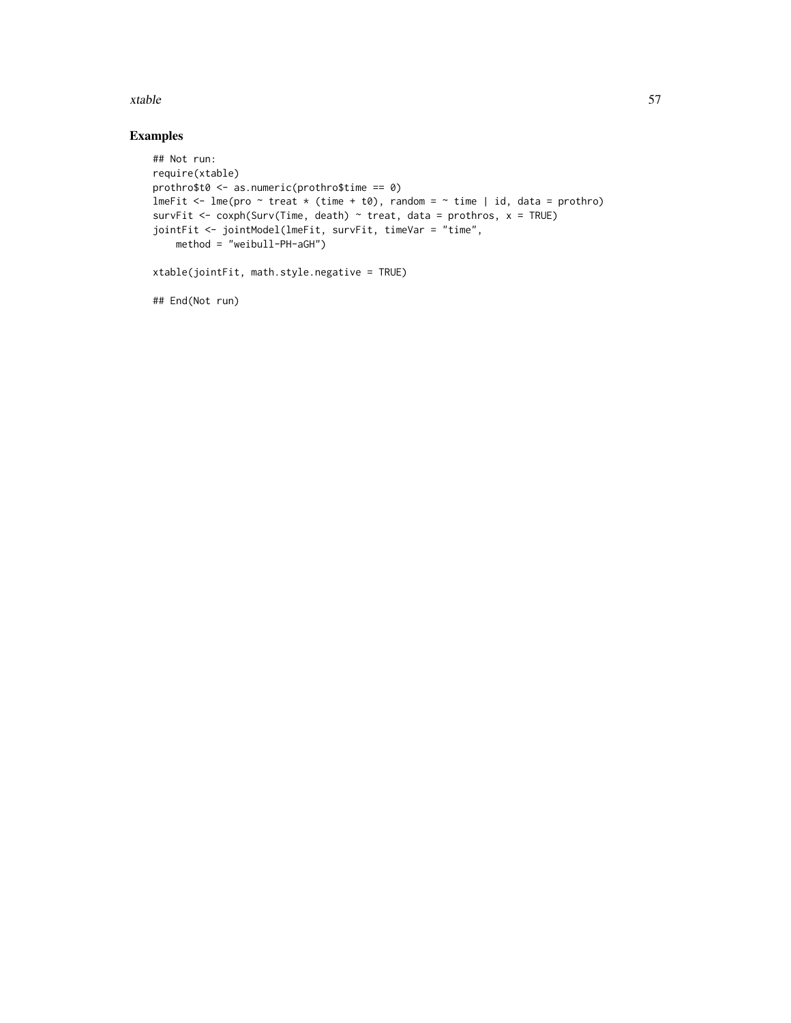#### xtable 57

# Examples

```
## Not run:
require(xtable)
prothro$t0 <- as.numeric(prothro$time == 0)
lmeFit \leq lme(pro \sim treat \ast (time + t0), random = \sim time | id, data = prothro)
survFit <- coxph(Surv(Time, death) \sim treat, data = prothros, x = TRUE)
jointFit <- jointModel(lmeFit, survFit, timeVar = "time",
    method = "weibull-PH-aGH")
```

```
xtable(jointFit, math.style.negative = TRUE)
```
## End(Not run)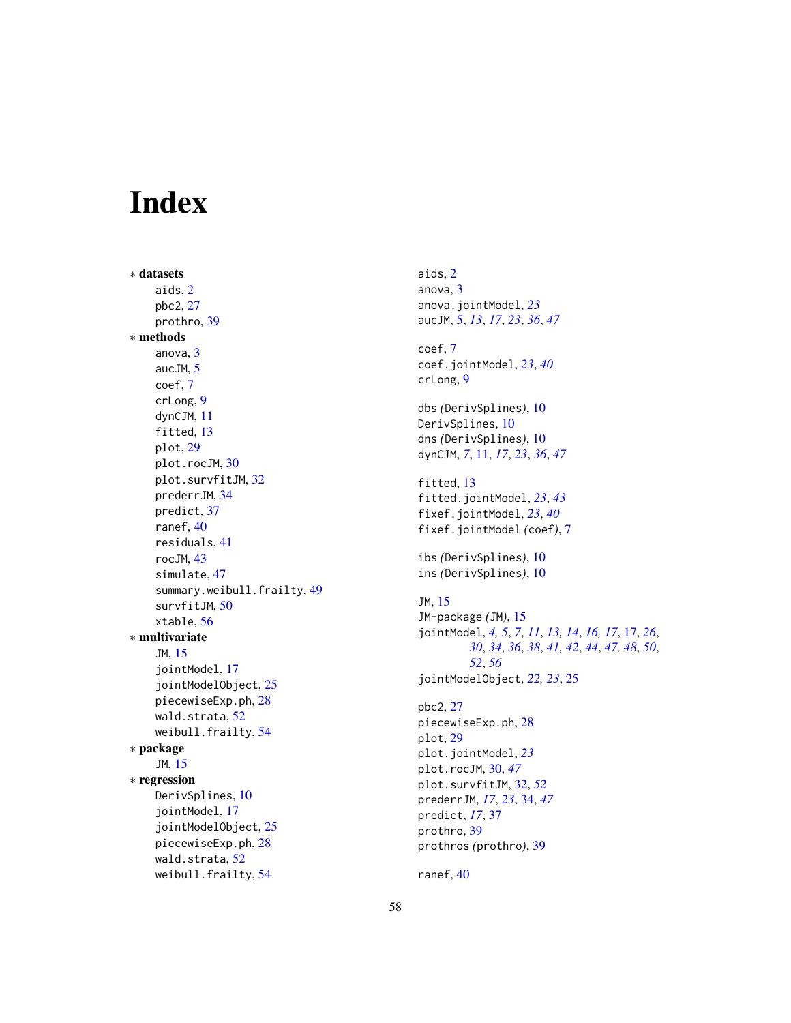# <span id="page-57-0"></span>**Index**

∗ datasets aids , [2](#page-1-0) pbc2 , [27](#page-26-0) prothro , [39](#page-38-0) ∗ methods anova , [3](#page-2-0) aucJM , [5](#page-4-0) coef , [7](#page-6-0) crLong , [9](#page-8-0) dynCJM , [11](#page-10-0) fitted, [13](#page-12-0) plot , [29](#page-28-0) plot.rocJM, [30](#page-29-0) plot.survfitJM , [32](#page-31-0) prederrJM , [34](#page-33-0) predict , [37](#page-36-0) ranef , [40](#page-39-0) residuals , [41](#page-40-0) rocJM , [43](#page-42-0) simulate , [47](#page-46-0) summary.weibull.frailty, [49](#page-48-0) survfitJM , [50](#page-49-0) xtable , [56](#page-55-0) ∗ multivariate JM , [15](#page-14-0) jointModel , [17](#page-16-0) jointModelObject , [25](#page-24-0) piecewiseExp.ph , [28](#page-27-0) wald.strata, <mark>[52](#page-51-0)</mark> weibull.frailty , [54](#page-53-0) ∗ package JM , [15](#page-14-0) ∗ regression DerivSplines, [10](#page-9-0) jointModel , [17](#page-16-0) jointModelObject , [25](#page-24-0) piecewiseExp.ph , [28](#page-27-0) wald.strata, [52](#page-51-0) weibull.frailty , [54](#page-53-0)

aids , [2](#page-1-0) anova, [3](#page-2-0) anova.jointModel , *[23](#page-22-0)* aucJM , [5](#page-4-0) , *[13](#page-12-0)* , *[17](#page-16-0)* , *[23](#page-22-0)* , *[36](#page-35-0)* , *[47](#page-46-0)* coef , [7](#page-6-0) coef.jointModel , *[23](#page-22-0)* , *[40](#page-39-0)* crLong , [9](#page-8-0) dbs *(*DerivSplines *)* , [10](#page-9-0) DerivSplines, [10](#page-9-0) dns *(*DerivSplines *)* , [10](#page-9-0) dynCJM , *[7](#page-6-0)* , [11](#page-10-0) , *[17](#page-16-0)* , *[23](#page-22-0)* , *[36](#page-35-0)* , *[47](#page-46-0)* fitted, [13](#page-12-0) fitted.jointModel , *[23](#page-22-0)* , *[43](#page-42-0)* fixef.jointModel , *[23](#page-22-0)* , *[40](#page-39-0)* fixef.jointModel *(*coef *)* , [7](#page-6-0) ibs *(*DerivSplines *)* , [10](#page-9-0) ins *(*DerivSplines *)* , [10](#page-9-0) JM , [15](#page-14-0) JM-package *(*JM *)* , [15](#page-14-0) jointModel , *[4](#page-3-0) , [5](#page-4-0)* , *[7](#page-6-0)* , *[11](#page-10-0)* , *[13](#page-12-0) , [14](#page-13-0)* , *[16,](#page-15-0) [17](#page-16-0)* , [17](#page-16-0) , *[26](#page-25-0)* , *[30](#page-29-0)* , *[34](#page-33-0)* , *[36](#page-35-0)* , *[38](#page-37-0)* , *[41](#page-40-0) , [42](#page-41-0)* , *[44](#page-43-0)* , *[47,](#page-46-0) [48](#page-47-0)* , *[50](#page-49-0)* , *[52](#page-51-0)* , *[56](#page-55-0)* jointModelObject , *[22](#page-21-0) , [23](#page-22-0)* , [25](#page-24-0) pbc2 , [27](#page-26-0) piecewiseExp.ph , [28](#page-27-0) plot , [29](#page-28-0) plot.jointModel , *[23](#page-22-0)* plot.rocJM , [30](#page-29-0) , *[47](#page-46-0)* plot.survfitJM , [32](#page-31-0) , *[52](#page-51-0)* prederrJM , *[17](#page-16-0)* , *[23](#page-22-0)* , [34](#page-33-0) , *[47](#page-46-0)* predict , *[17](#page-16-0)* , [37](#page-36-0) prothro , [39](#page-38-0) prothros *(*prothro *)* , [39](#page-38-0)

ranef , [40](#page-39-0)